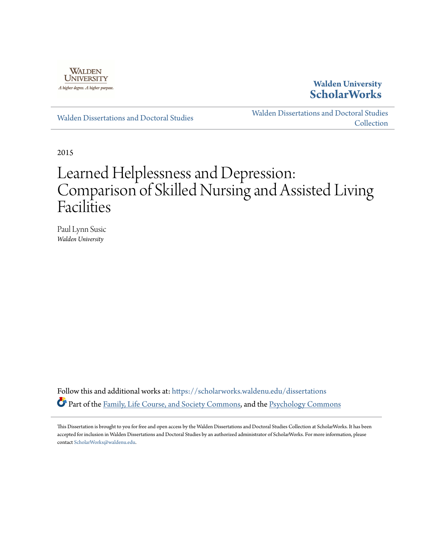

## **Walden University [ScholarWorks](https://scholarworks.waldenu.edu?utm_source=scholarworks.waldenu.edu%2Fdissertations%2F312&utm_medium=PDF&utm_campaign=PDFCoverPages)**

[Walden Dissertations and Doctoral Studies](https://scholarworks.waldenu.edu/dissertations?utm_source=scholarworks.waldenu.edu%2Fdissertations%2F312&utm_medium=PDF&utm_campaign=PDFCoverPages)

[Walden Dissertations and Doctoral Studies](https://scholarworks.waldenu.edu/dissanddoc?utm_source=scholarworks.waldenu.edu%2Fdissertations%2F312&utm_medium=PDF&utm_campaign=PDFCoverPages) **[Collection](https://scholarworks.waldenu.edu/dissanddoc?utm_source=scholarworks.waldenu.edu%2Fdissertations%2F312&utm_medium=PDF&utm_campaign=PDFCoverPages)** 

2015

# Learned Helplessness and Depression: Comparison of Skilled Nursing and Assisted Living Facilities

Paul Lynn Susic *Walden University*

Follow this and additional works at: [https://scholarworks.waldenu.edu/dissertations](https://scholarworks.waldenu.edu/dissertations?utm_source=scholarworks.waldenu.edu%2Fdissertations%2F312&utm_medium=PDF&utm_campaign=PDFCoverPages) Part of the [Family, Life Course, and Society Commons](http://network.bepress.com/hgg/discipline/419?utm_source=scholarworks.waldenu.edu%2Fdissertations%2F312&utm_medium=PDF&utm_campaign=PDFCoverPages), and the [Psychology Commons](http://network.bepress.com/hgg/discipline/404?utm_source=scholarworks.waldenu.edu%2Fdissertations%2F312&utm_medium=PDF&utm_campaign=PDFCoverPages)

This Dissertation is brought to you for free and open access by the Walden Dissertations and Doctoral Studies Collection at ScholarWorks. It has been accepted for inclusion in Walden Dissertations and Doctoral Studies by an authorized administrator of ScholarWorks. For more information, please contact [ScholarWorks@waldenu.edu](mailto:ScholarWorks@waldenu.edu).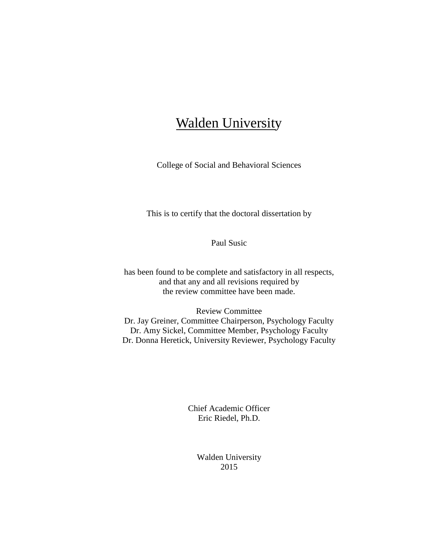## Walden University

College of Social and Behavioral Sciences

This is to certify that the doctoral dissertation by

Paul Susic

has been found to be complete and satisfactory in all respects, and that any and all revisions required by the review committee have been made.

Review Committee Dr. Jay Greiner, Committee Chairperson, Psychology Faculty Dr. Amy Sickel, Committee Member, Psychology Faculty Dr. Donna Heretick, University Reviewer, Psychology Faculty

> Chief Academic Officer Eric Riedel, Ph.D.

> > Walden University 2015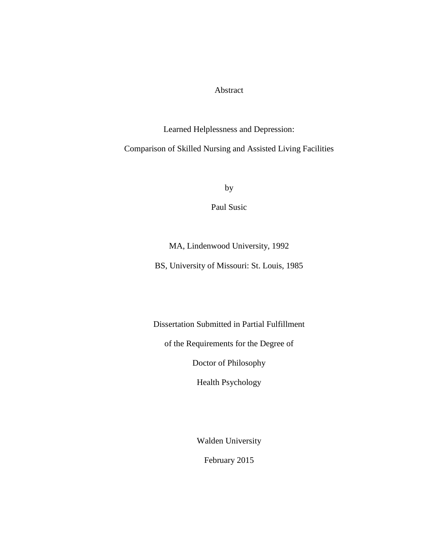#### Abstract

Learned Helplessness and Depression:

Comparison of Skilled Nursing and Assisted Living Facilities

by

Paul Susic

## MA, Lindenwood University, 1992

BS, University of Missouri: St. Louis, 1985

Dissertation Submitted in Partial Fulfillment

of the Requirements for the Degree of

Doctor of Philosophy

Health Psychology

Walden University

February 2015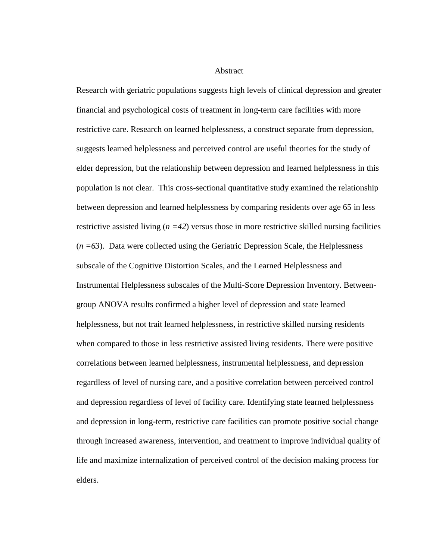Abstract

Research with geriatric populations suggests high levels of clinical depression and greater financial and psychological costs of treatment in long-term care facilities with more restrictive care. Research on learned helplessness, a construct separate from depression, suggests learned helplessness and perceived control are useful theories for the study of elder depression, but the relationship between depression and learned helplessness in this population is not clear. This cross-sectional quantitative study examined the relationship between depression and learned helplessness by comparing residents over age 65 in less restrictive assisted living  $(n = 42)$  versus those in more restrictive skilled nursing facilities  $(n = 63)$ . Data were collected using the Geriatric Depression Scale, the Helplessness subscale of the Cognitive Distortion Scales, and the Learned Helplessness and Instrumental Helplessness subscales of the Multi-Score Depression Inventory. Betweengroup ANOVA results confirmed a higher level of depression and state learned helplessness, but not trait learned helplessness, in restrictive skilled nursing residents when compared to those in less restrictive assisted living residents. There were positive correlations between learned helplessness, instrumental helplessness, and depression regardless of level of nursing care, and a positive correlation between perceived control and depression regardless of level of facility care. Identifying state learned helplessness and depression in long-term, restrictive care facilities can promote positive social change through increased awareness, intervention, and treatment to improve individual quality of life and maximize internalization of perceived control of the decision making process for elders.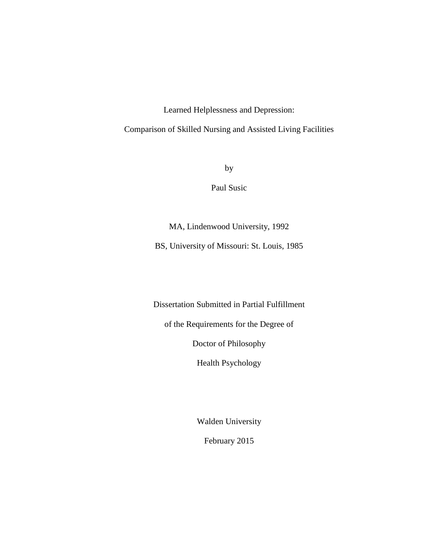Learned Helplessness and Depression:

Comparison of Skilled Nursing and Assisted Living Facilities

by

Paul Susic

MA, Lindenwood University, 1992

BS, University of Missouri: St. Louis, 1985

Dissertation Submitted in Partial Fulfillment

of the Requirements for the Degree of

Doctor of Philosophy

Health Psychology

Walden University

February 2015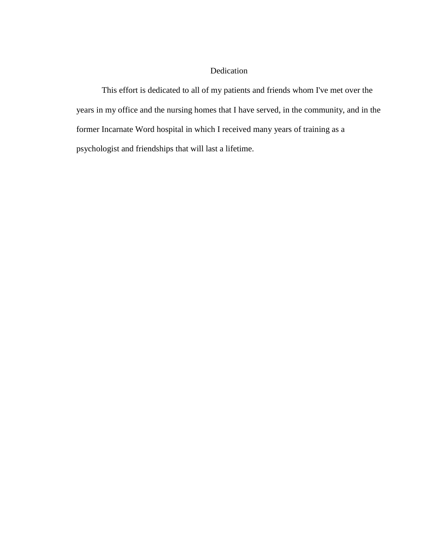### Dedication

This effort is dedicated to all of my patients and friends whom I've met over the years in my office and the nursing homes that I have served, in the community, and in the former Incarnate Word hospital in which I received many years of training as a psychologist and friendships that will last a lifetime.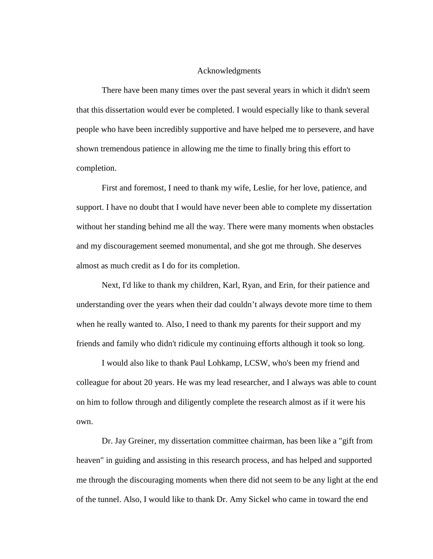#### Acknowledgments

There have been many times over the past several years in which it didn't seem that this dissertation would ever be completed. I would especially like to thank several people who have been incredibly supportive and have helped me to persevere, and have shown tremendous patience in allowing me the time to finally bring this effort to completion.

First and foremost, I need to thank my wife, Leslie, for her love, patience, and support. I have no doubt that I would have never been able to complete my dissertation without her standing behind me all the way. There were many moments when obstacles and my discouragement seemed monumental, and she got me through. She deserves almost as much credit as I do for its completion.

Next, I'd like to thank my children, Karl, Ryan, and Erin, for their patience and understanding over the years when their dad couldn't always devote more time to them when he really wanted to. Also, I need to thank my parents for their support and my friends and family who didn't ridicule my continuing efforts although it took so long.

I would also like to thank Paul Lohkamp, LCSW, who's been my friend and colleague for about 20 years. He was my lead researcher, and I always was able to count on him to follow through and diligently complete the research almost as if it were his own.

Dr. Jay Greiner, my dissertation committee chairman, has been like a "gift from heaven" in guiding and assisting in this research process, and has helped and supported me through the discouraging moments when there did not seem to be any light at the end of the tunnel. Also, I would like to thank Dr. Amy Sickel who came in toward the end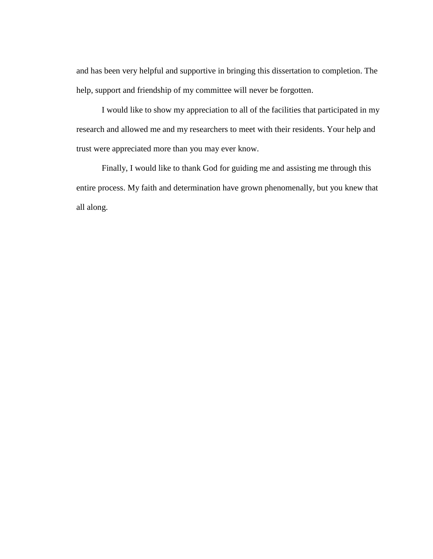and has been very helpful and supportive in bringing this dissertation to completion. The help, support and friendship of my committee will never be forgotten.

I would like to show my appreciation to all of the facilities that participated in my research and allowed me and my researchers to meet with their residents. Your help and trust were appreciated more than you may ever know.

Finally, I would like to thank God for guiding me and assisting me through this entire process. My faith and determination have grown phenomenally, but you knew that all along.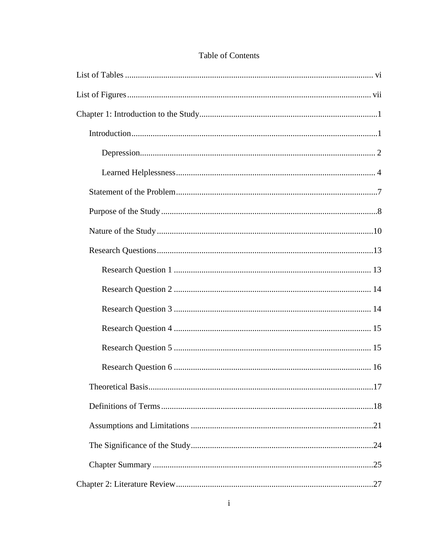| .17 |
|-----|
|     |
|     |
|     |
|     |
|     |

### Table of Contents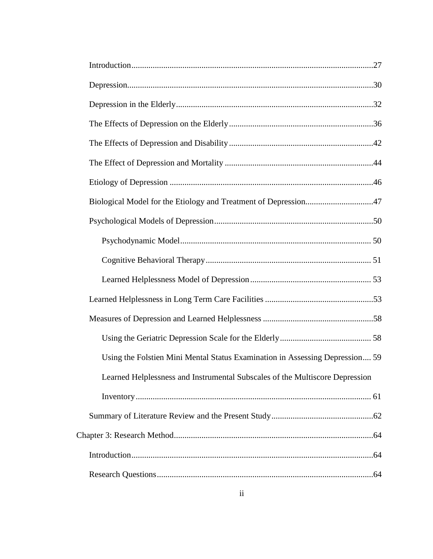| Biological Model for the Etiology and Treatment of Depression47              |  |
|------------------------------------------------------------------------------|--|
|                                                                              |  |
|                                                                              |  |
|                                                                              |  |
|                                                                              |  |
|                                                                              |  |
|                                                                              |  |
|                                                                              |  |
| Using the Folstien Mini Mental Status Examination in Assessing Depression 59 |  |
| Learned Helplessness and Instrumental Subscales of the Multiscore Depression |  |
|                                                                              |  |
|                                                                              |  |
|                                                                              |  |
|                                                                              |  |
|                                                                              |  |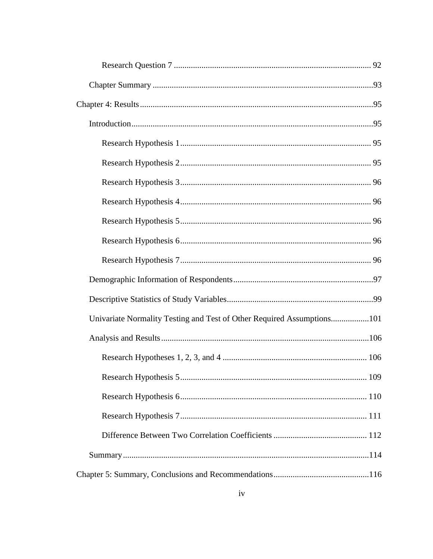| Univariate Normality Testing and Test of Other Required Assumptions101 |  |
|------------------------------------------------------------------------|--|
|                                                                        |  |
|                                                                        |  |
|                                                                        |  |
|                                                                        |  |
|                                                                        |  |
|                                                                        |  |
|                                                                        |  |
|                                                                        |  |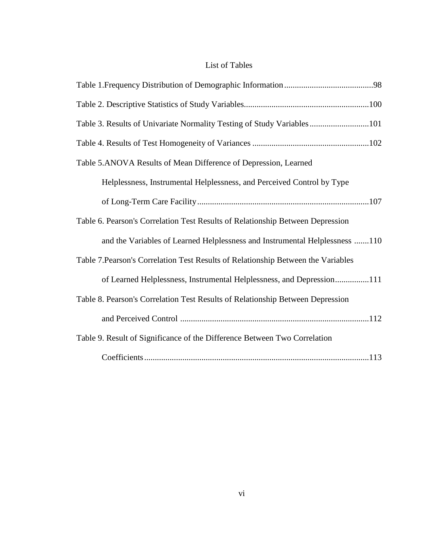## List of Tables

<span id="page-13-0"></span>

| Table 3. Results of Univariate Normality Testing of Study Variables101            |
|-----------------------------------------------------------------------------------|
|                                                                                   |
| Table 5.ANOVA Results of Mean Difference of Depression, Learned                   |
| Helplessness, Instrumental Helplessness, and Perceived Control by Type            |
|                                                                                   |
| Table 6. Pearson's Correlation Test Results of Relationship Between Depression    |
| and the Variables of Learned Helplessness and Instrumental Helplessness 110       |
| Table 7. Pearson's Correlation Test Results of Relationship Between the Variables |
| of Learned Helplessness, Instrumental Helplessness, and Depression111             |
| Table 8. Pearson's Correlation Test Results of Relationship Between Depression    |
|                                                                                   |
| Table 9. Result of Significance of the Difference Between Two Correlation         |
|                                                                                   |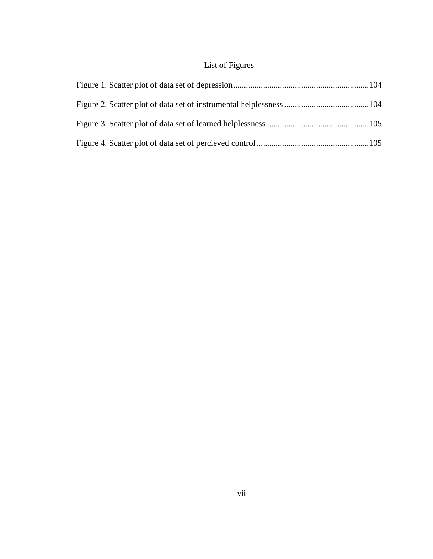## List of Figures

<span id="page-14-0"></span>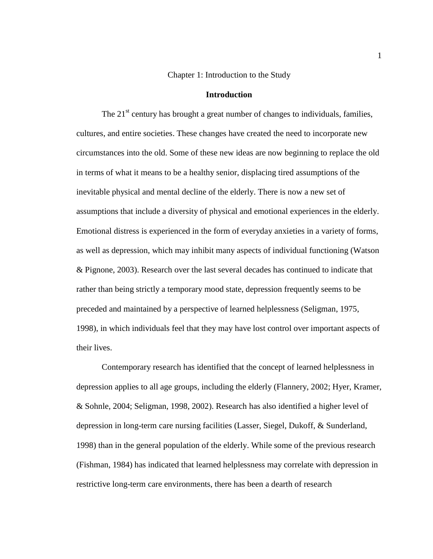#### Chapter 1: Introduction to the Study

#### **Introduction**

<span id="page-15-1"></span><span id="page-15-0"></span>The  $21<sup>st</sup>$  century has brought a great number of changes to individuals, families, cultures, and entire societies. These changes have created the need to incorporate new circumstances into the old. Some of these new ideas are now beginning to replace the old in terms of what it means to be a healthy senior, displacing tired assumptions of the inevitable physical and mental decline of the elderly. There is now a new set of assumptions that include a diversity of physical and emotional experiences in the elderly. Emotional distress is experienced in the form of everyday anxieties in a variety of forms, as well as depression, which may inhibit many aspects of individual functioning (Watson & Pignone, 2003). Research over the last several decades has continued to indicate that rather than being strictly a temporary mood state, depression frequently seems to be preceded and maintained by a perspective of learned helplessness (Seligman, 1975, 1998), in which individuals feel that they may have lost control over important aspects of their lives.

Contemporary research has identified that the concept of learned helplessness in depression applies to all age groups, including the elderly (Flannery, 2002; Hyer, Kramer, & Sohnle, 2004; Seligman, 1998, 2002). Research has also identified a higher level of depression in long-term care nursing facilities (Lasser, Siegel, Dukoff, & Sunderland, 1998) than in the general population of the elderly. While some of the previous research (Fishman, 1984) has indicated that learned helplessness may correlate with depression in restrictive long-term care environments, there has been a dearth of research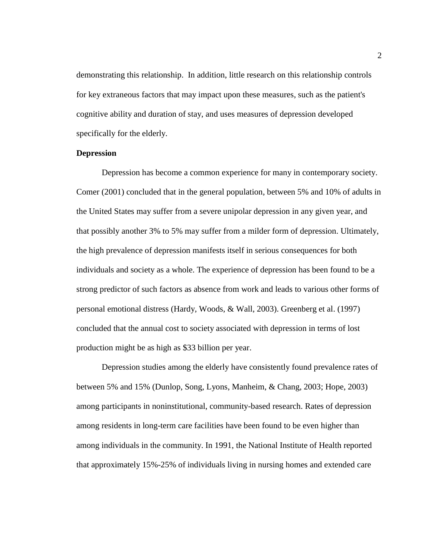demonstrating this relationship. In addition, little research on this relationship controls for key extraneous factors that may impact upon these measures, such as the patient's cognitive ability and duration of stay, and uses measures of depression developed specifically for the elderly.

#### <span id="page-16-0"></span>**Depression**

Depression has become a common experience for many in contemporary society. Comer (2001) concluded that in the general population, between 5% and 10% of adults in the United States may suffer from a severe unipolar depression in any given year, and that possibly another 3% to 5% may suffer from a milder form of depression. Ultimately, the high prevalence of depression manifests itself in serious consequences for both individuals and society as a whole. The experience of depression has been found to be a strong predictor of such factors as absence from work and leads to various other forms of personal emotional distress (Hardy, Woods, & Wall, 2003). Greenberg et al. (1997) concluded that the annual cost to society associated with depression in terms of lost production might be as high as \$33 billion per year.

Depression studies among the elderly have consistently found prevalence rates of between 5% and 15% (Dunlop, Song, Lyons, Manheim, & Chang, 2003; Hope, 2003) among participants in noninstitutional, community-based research. Rates of depression among residents in long-term care facilities have been found to be even higher than among individuals in the community. In 1991, the National Institute of Health reported that approximately 15%-25% of individuals living in nursing homes and extended care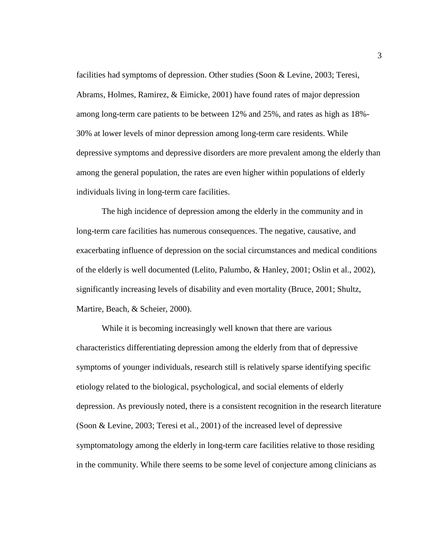facilities had symptoms of depression. Other studies (Soon & Levine, 2003; Teresi, Abrams, Holmes, Ramirez, & Eimicke, 2001) have found rates of major depression among long-term care patients to be between 12% and 25%, and rates as high as 18%- 30% at lower levels of minor depression among long-term care residents. While depressive symptoms and depressive disorders are more prevalent among the elderly than among the general population, the rates are even higher within populations of elderly individuals living in long-term care facilities.

The high incidence of depression among the elderly in the community and in long-term care facilities has numerous consequences. The negative, causative, and exacerbating influence of depression on the social circumstances and medical conditions of the elderly is well documented (Lelito, Palumbo, & Hanley, 2001; Oslin et al., 2002), significantly increasing levels of disability and even mortality (Bruce, 2001; Shultz, Martire, Beach, & Scheier, 2000).

While it is becoming increasingly well known that there are various characteristics differentiating depression among the elderly from that of depressive symptoms of younger individuals, research still is relatively sparse identifying specific etiology related to the biological, psychological, and social elements of elderly depression. As previously noted, there is a consistent recognition in the research literature (Soon & Levine, 2003; Teresi et al., 2001) of the increased level of depressive symptomatology among the elderly in long-term care facilities relative to those residing in the community. While there seems to be some level of conjecture among clinicians as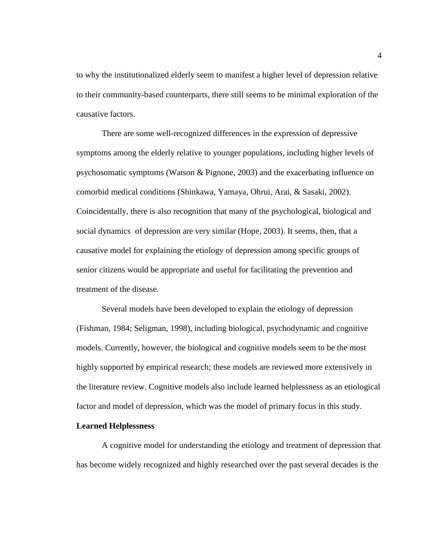to why the institutionalized elderly seem to manifest a higher level of depression relative to their community-based counterparts, there still seems to be minimal exploration of the causative factors.

There are some well-recognized differences in the expression of depressive symptoms among the elderly relative to younger populations, including higher levels of psychosomatic symptoms (Watson & Pignone, 2003) and the exacerbating influence on comorbid medical conditions (Shinkawa, Yamaya, Ohrui, Arai, & Sasaki, 2002). Coincidentally, there is also recognition that many of the psychological, biological and social dynamics of depression are very similar (Hope, 2003). It seems, then, that a causative model for explaining the etiology of depression among specific groups of senior citizens would be appropriate and useful for facilitating the prevention and treatment of the disease.

Several models have been developed to explain the etiology of depression (Fishman, 1984; Seligman, 1998), including biological, psychodynamic and cognitive models. Currently, however, the biological and cognitive models seem to be the most highly supported by empirical research; these models are reviewed more extensively in the literature review. Cognitive models also include learned helplessness as an etiological factor and model of depression, which was the model of primary focus in this study.

#### <span id="page-18-0"></span>**Learned Helplessness**

A cognitive model for understanding the etiology and treatment of depression that has become widely recognized and highly researched over the past several decades is the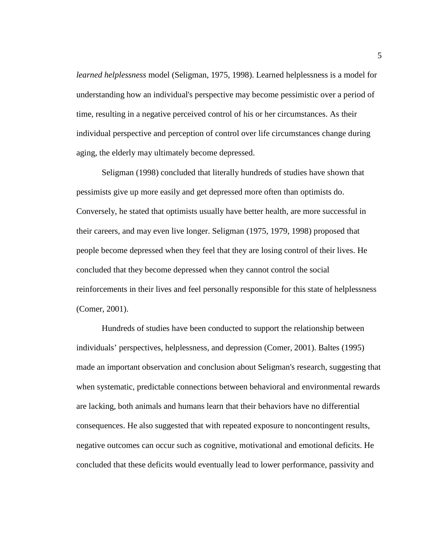*learned helplessness* model (Seligman, 1975, 1998). Learned helplessness is a model for understanding how an individual's perspective may become pessimistic over a period of time, resulting in a negative perceived control of his or her circumstances. As their individual perspective and perception of control over life circumstances change during aging, the elderly may ultimately become depressed.

Seligman (1998) concluded that literally hundreds of studies have shown that pessimists give up more easily and get depressed more often than optimists do. Conversely, he stated that optimists usually have better health, are more successful in their careers, and may even live longer. Seligman (1975, 1979, 1998) proposed that people become depressed when they feel that they are losing control of their lives. He concluded that they become depressed when they cannot control the social reinforcements in their lives and feel personally responsible for this state of helplessness (Comer, 2001).

Hundreds of studies have been conducted to support the relationship between individuals' perspectives, helplessness, and depression (Comer, 2001). Baltes (1995) made an important observation and conclusion about Seligman's research, suggesting that when systematic, predictable connections between behavioral and environmental rewards are lacking, both animals and humans learn that their behaviors have no differential consequences. He also suggested that with repeated exposure to noncontingent results, negative outcomes can occur such as cognitive, motivational and emotional deficits. He concluded that these deficits would eventually lead to lower performance, passivity and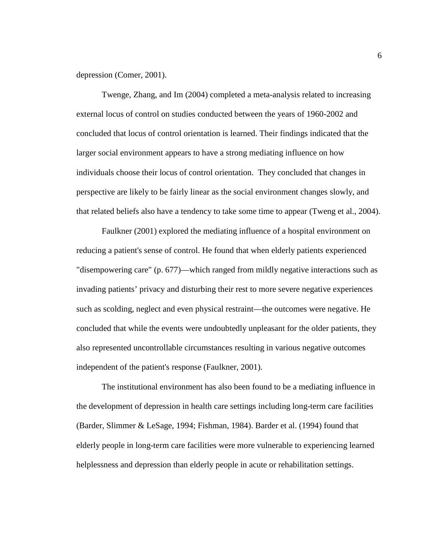depression (Comer, 2001).

Twenge, Zhang, and Im (2004) completed a meta-analysis related to increasing external locus of control on studies conducted between the years of 1960-2002 and concluded that locus of control orientation is learned. Their findings indicated that the larger social environment appears to have a strong mediating influence on how individuals choose their locus of control orientation. They concluded that changes in perspective are likely to be fairly linear as the social environment changes slowly, and that related beliefs also have a tendency to take some time to appear (Tweng et al., 2004).

Faulkner (2001) explored the mediating influence of a hospital environment on reducing a patient's sense of control. He found that when elderly patients experienced "disempowering care" (p. 677)—which ranged from mildly negative interactions such as invading patients' privacy and disturbing their rest to more severe negative experiences such as scolding, neglect and even physical restraint—the outcomes were negative. He concluded that while the events were undoubtedly unpleasant for the older patients, they also represented uncontrollable circumstances resulting in various negative outcomes independent of the patient's response (Faulkner, 2001).

The institutional environment has also been found to be a mediating influence in the development of depression in health care settings including long-term care facilities (Barder, Slimmer & LeSage, 1994; Fishman, 1984). Barder et al. (1994) found that elderly people in long-term care facilities were more vulnerable to experiencing learned helplessness and depression than elderly people in acute or rehabilitation settings.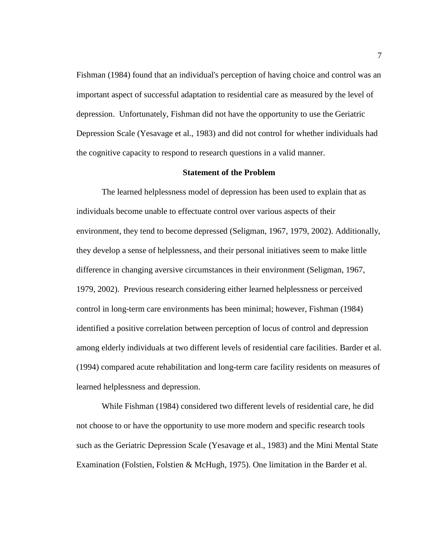Fishman (1984) found that an individual's perception of having choice and control was an important aspect of successful adaptation to residential care as measured by the level of depression. Unfortunately, Fishman did not have the opportunity to use the Geriatric Depression Scale (Yesavage et al., 1983) and did not control for whether individuals had the cognitive capacity to respond to research questions in a valid manner.

#### **Statement of the Problem**

<span id="page-21-0"></span>The learned helplessness model of depression has been used to explain that as individuals become unable to effectuate control over various aspects of their environment, they tend to become depressed (Seligman, 1967, 1979, 2002). Additionally, they develop a sense of helplessness, and their personal initiatives seem to make little difference in changing aversive circumstances in their environment (Seligman, 1967, 1979, 2002). Previous research considering either learned helplessness or perceived control in long-term care environments has been minimal; however, Fishman (1984) identified a positive correlation between perception of locus of control and depression among elderly individuals at two different levels of residential care facilities. Barder et al. (1994) compared acute rehabilitation and long-term care facility residents on measures of learned helplessness and depression.

While Fishman (1984) considered two different levels of residential care, he did not choose to or have the opportunity to use more modern and specific research tools such as the Geriatric Depression Scale (Yesavage et al., 1983) and the Mini Mental State Examination (Folstien, Folstien & McHugh, 1975). One limitation in the Barder et al.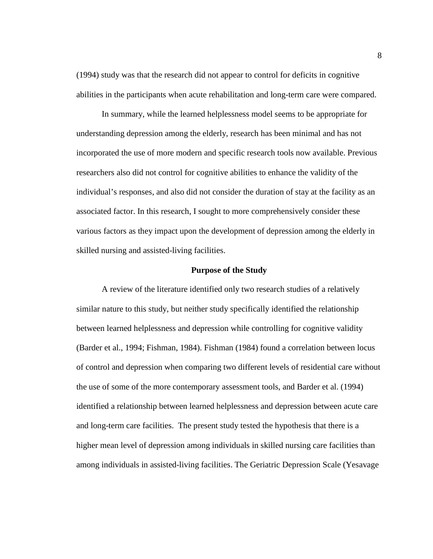(1994) study was that the research did not appear to control for deficits in cognitive abilities in the participants when acute rehabilitation and long-term care were compared.

In summary, while the learned helplessness model seems to be appropriate for understanding depression among the elderly, research has been minimal and has not incorporated the use of more modern and specific research tools now available. Previous researchers also did not control for cognitive abilities to enhance the validity of the individual's responses, and also did not consider the duration of stay at the facility as an associated factor. In this research, I sought to more comprehensively consider these various factors as they impact upon the development of depression among the elderly in skilled nursing and assisted-living facilities.

#### **Purpose of the Study**

<span id="page-22-0"></span>A review of the literature identified only two research studies of a relatively similar nature to this study, but neither study specifically identified the relationship between learned helplessness and depression while controlling for cognitive validity (Barder et al., 1994; Fishman, 1984). Fishman (1984) found a correlation between locus of control and depression when comparing two different levels of residential care without the use of some of the more contemporary assessment tools, and Barder et al. (1994) identified a relationship between learned helplessness and depression between acute care and long-term care facilities. The present study tested the hypothesis that there is a higher mean level of depression among individuals in skilled nursing care facilities than among individuals in assisted-living facilities. The Geriatric Depression Scale (Yesavage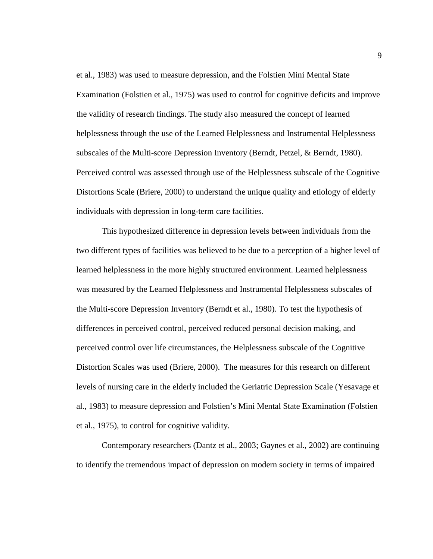et al., 1983) was used to measure depression, and the Folstien Mini Mental State Examination (Folstien et al., 1975) was used to control for cognitive deficits and improve the validity of research findings. The study also measured the concept of learned helplessness through the use of the Learned Helplessness and Instrumental Helplessness subscales of the Multi-score Depression Inventory (Berndt, Petzel, & Berndt, 1980). Perceived control was assessed through use of the Helplessness subscale of the Cognitive Distortions Scale (Briere, 2000) to understand the unique quality and etiology of elderly individuals with depression in long-term care facilities.

This hypothesized difference in depression levels between individuals from the two different types of facilities was believed to be due to a perception of a higher level of learned helplessness in the more highly structured environment. Learned helplessness was measured by the Learned Helplessness and Instrumental Helplessness subscales of the Multi-score Depression Inventory (Berndt et al., 1980). To test the hypothesis of differences in perceived control, perceived reduced personal decision making, and perceived control over life circumstances, the Helplessness subscale of the Cognitive Distortion Scales was used (Briere, 2000). The measures for this research on different levels of nursing care in the elderly included the Geriatric Depression Scale (Yesavage et al., 1983) to measure depression and Folstien's Mini Mental State Examination (Folstien et al., 1975), to control for cognitive validity.

Contemporary researchers (Dantz et al., 2003; Gaynes et al., 2002) are continuing to identify the tremendous impact of depression on modern society in terms of impaired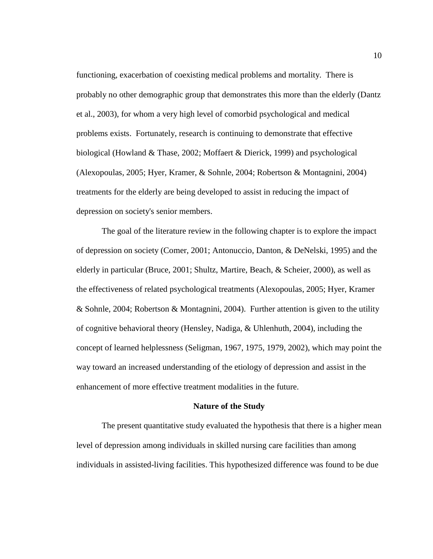functioning, exacerbation of coexisting medical problems and mortality. There is probably no other demographic group that demonstrates this more than the elderly (Dantz et al., 2003), for whom a very high level of comorbid psychological and medical problems exists. Fortunately, research is continuing to demonstrate that effective biological (Howland & Thase, 2002; Moffaert & Dierick, 1999) and psychological (Alexopoulas, 2005; Hyer, Kramer, & Sohnle, 2004; Robertson & Montagnini, 2004) treatments for the elderly are being developed to assist in reducing the impact of depression on society's senior members.

The goal of the literature review in the following chapter is to explore the impact of depression on society (Comer, 2001; Antonuccio, Danton, & DeNelski, 1995) and the elderly in particular (Bruce, 2001; Shultz, Martire, Beach, & Scheier, 2000), as well as the effectiveness of related psychological treatments (Alexopoulas, 2005; Hyer, Kramer & Sohnle, 2004; Robertson & Montagnini, 2004). Further attention is given to the utility of cognitive behavioral theory (Hensley, Nadiga, & Uhlenhuth, 2004), including the concept of learned helplessness (Seligman, 1967, 1975, 1979, 2002), which may point the way toward an increased understanding of the etiology of depression and assist in the enhancement of more effective treatment modalities in the future.

#### **Nature of the Study**

<span id="page-24-0"></span>The present quantitative study evaluated the hypothesis that there is a higher mean level of depression among individuals in skilled nursing care facilities than among individuals in assisted-living facilities. This hypothesized difference was found to be due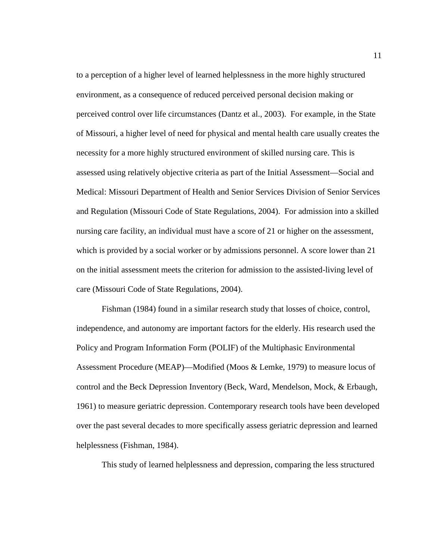to a perception of a higher level of learned helplessness in the more highly structured environment, as a consequence of reduced perceived personal decision making or perceived control over life circumstances (Dantz et al., 2003). For example, in the State of Missouri, a higher level of need for physical and mental health care usually creates the necessity for a more highly structured environment of skilled nursing care. This is assessed using relatively objective criteria as part of the Initial Assessment—Social and Medical: Missouri Department of Health and Senior Services Division of Senior Services and Regulation (Missouri Code of State Regulations, 2004). For admission into a skilled nursing care facility, an individual must have a score of 21 or higher on the assessment, which is provided by a social worker or by admissions personnel. A score lower than 21 on the initial assessment meets the criterion for admission to the assisted-living level of care (Missouri Code of State Regulations, 2004).

Fishman (1984) found in a similar research study that losses of choice, control, independence, and autonomy are important factors for the elderly. His research used the Policy and Program Information Form (POLIF) of the Multiphasic Environmental Assessment Procedure (MEAP)—Modified (Moos & Lemke, 1979) to measure locus of control and the Beck Depression Inventory (Beck, Ward, Mendelson, Mock, & Erbaugh, 1961) to measure geriatric depression. Contemporary research tools have been developed over the past several decades to more specifically assess geriatric depression and learned helplessness (Fishman, 1984).

This study of learned helplessness and depression, comparing the less structured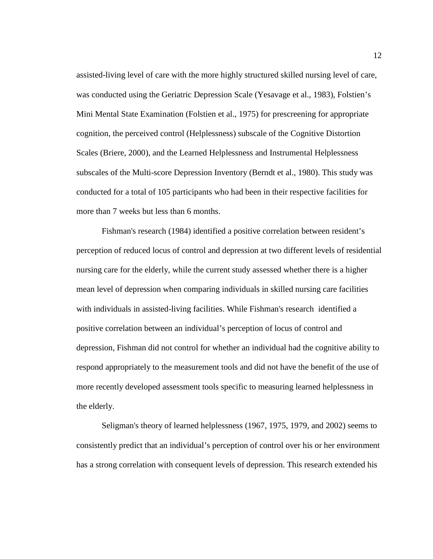assisted-living level of care with the more highly structured skilled nursing level of care, was conducted using the Geriatric Depression Scale (Yesavage et al., 1983), Folstien's Mini Mental State Examination (Folstien et al., 1975) for prescreening for appropriate cognition, the perceived control (Helplessness) subscale of the Cognitive Distortion Scales (Briere, 2000), and the Learned Helplessness and Instrumental Helplessness subscales of the Multi-score Depression Inventory (Berndt et al., 1980). This study was conducted for a total of 105 participants who had been in their respective facilities for more than 7 weeks but less than 6 months.

Fishman's research (1984) identified a positive correlation between resident's perception of reduced locus of control and depression at two different levels of residential nursing care for the elderly, while the current study assessed whether there is a higher mean level of depression when comparing individuals in skilled nursing care facilities with individuals in assisted-living facilities. While Fishman's research identified a positive correlation between an individual's perception of locus of control and depression, Fishman did not control for whether an individual had the cognitive ability to respond appropriately to the measurement tools and did not have the benefit of the use of more recently developed assessment tools specific to measuring learned helplessness in the elderly.

Seligman's theory of learned helplessness (1967, 1975, 1979, and 2002) seems to consistently predict that an individual's perception of control over his or her environment has a strong correlation with consequent levels of depression. This research extended his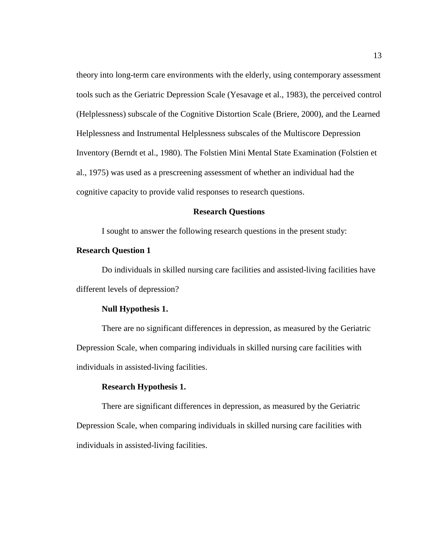theory into long-term care environments with the elderly, using contemporary assessment tools such as the Geriatric Depression Scale (Yesavage et al., 1983), the perceived control (Helplessness) subscale of the Cognitive Distortion Scale (Briere, 2000), and the Learned Helplessness and Instrumental Helplessness subscales of the Multiscore Depression Inventory (Berndt et al., 1980). The Folstien Mini Mental State Examination (Folstien et al., 1975) was used as a prescreening assessment of whether an individual had the cognitive capacity to provide valid responses to research questions.

#### **Research Questions**

<span id="page-27-0"></span>I sought to answer the following research questions in the present study:

#### <span id="page-27-1"></span>**Research Question 1**

Do individuals in skilled nursing care facilities and assisted-living facilities have different levels of depression?

#### **Null Hypothesis 1.**

There are no significant differences in depression, as measured by the Geriatric Depression Scale, when comparing individuals in skilled nursing care facilities with individuals in assisted-living facilities.

#### **Research Hypothesis 1.**

There are significant differences in depression, as measured by the Geriatric Depression Scale, when comparing individuals in skilled nursing care facilities with individuals in assisted-living facilities.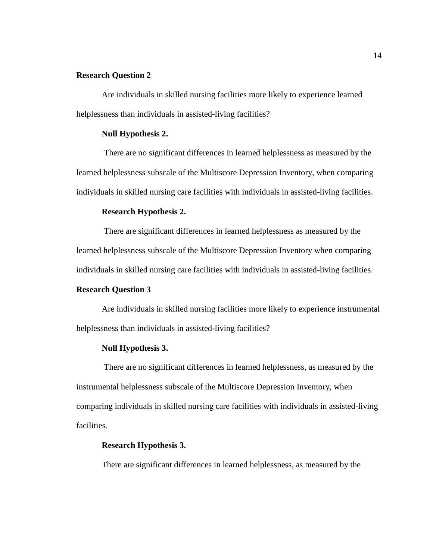#### <span id="page-28-0"></span>**Research Question 2**

Are individuals in skilled nursing facilities more likely to experience learned helplessness than individuals in assisted-living facilities?

#### **Null Hypothesis 2.**

There are no significant differences in learned helplessness as measured by the learned helplessness subscale of the Multiscore Depression Inventory, when comparing individuals in skilled nursing care facilities with individuals in assisted-living facilities.

#### **Research Hypothesis 2.**

There are significant differences in learned helplessness as measured by the learned helplessness subscale of the Multiscore Depression Inventory when comparing individuals in skilled nursing care facilities with individuals in assisted-living facilities.

#### <span id="page-28-1"></span>**Research Question 3**

Are individuals in skilled nursing facilities more likely to experience instrumental helplessness than individuals in assisted-living facilities?

#### **Null Hypothesis 3.**

There are no significant differences in learned helplessness, as measured by the instrumental helplessness subscale of the Multiscore Depression Inventory, when comparing individuals in skilled nursing care facilities with individuals in assisted-living facilities.

#### **Research Hypothesis 3.**

There are significant differences in learned helplessness, as measured by the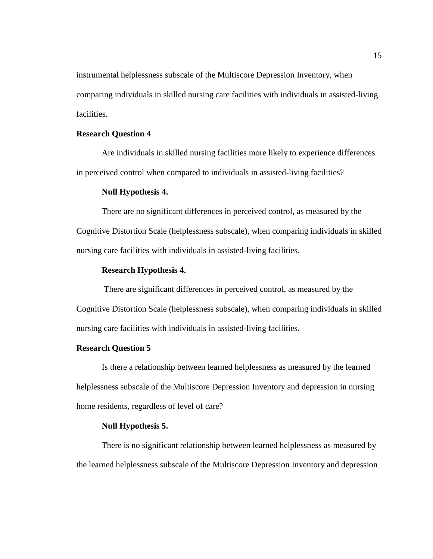instrumental helplessness subscale of the Multiscore Depression Inventory, when comparing individuals in skilled nursing care facilities with individuals in assisted-living facilities.

#### <span id="page-29-0"></span>**Research Question 4**

Are individuals in skilled nursing facilities more likely to experience differences in perceived control when compared to individuals in assisted-living facilities?

#### **Null Hypothesis 4.**

There are no significant differences in perceived control, as measured by the Cognitive Distortion Scale (helplessness subscale), when comparing individuals in skilled nursing care facilities with individuals in assisted-living facilities.

#### **Research Hypothesis 4.**

There are significant differences in perceived control, as measured by the Cognitive Distortion Scale (helplessness subscale), when comparing individuals in skilled nursing care facilities with individuals in assisted-living facilities.

#### <span id="page-29-1"></span>**Research Question 5**

Is there a relationship between learned helplessness as measured by the learned helplessness subscale of the Multiscore Depression Inventory and depression in nursing home residents, regardless of level of care?

#### **Null Hypothesis 5.**

There is no significant relationship between learned helplessness as measured by the learned helplessness subscale of the Multiscore Depression Inventory and depression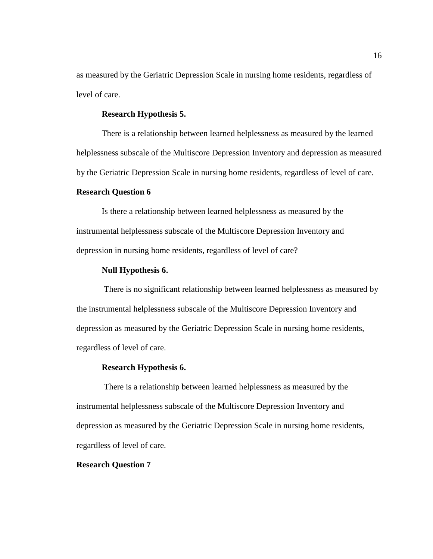as measured by the Geriatric Depression Scale in nursing home residents, regardless of level of care.

#### **Research Hypothesis 5.**

There is a relationship between learned helplessness as measured by the learned helplessness subscale of the Multiscore Depression Inventory and depression as measured by the Geriatric Depression Scale in nursing home residents, regardless of level of care.

#### <span id="page-30-0"></span>**Research Question 6**

Is there a relationship between learned helplessness as measured by the instrumental helplessness subscale of the Multiscore Depression Inventory and depression in nursing home residents, regardless of level of care?

#### **Null Hypothesis 6.**

There is no significant relationship between learned helplessness as measured by the instrumental helplessness subscale of the Multiscore Depression Inventory and depression as measured by the Geriatric Depression Scale in nursing home residents, regardless of level of care.

#### **Research Hypothesis 6.**

There is a relationship between learned helplessness as measured by the instrumental helplessness subscale of the Multiscore Depression Inventory and depression as measured by the Geriatric Depression Scale in nursing home residents, regardless of level of care.

#### **Research Question 7**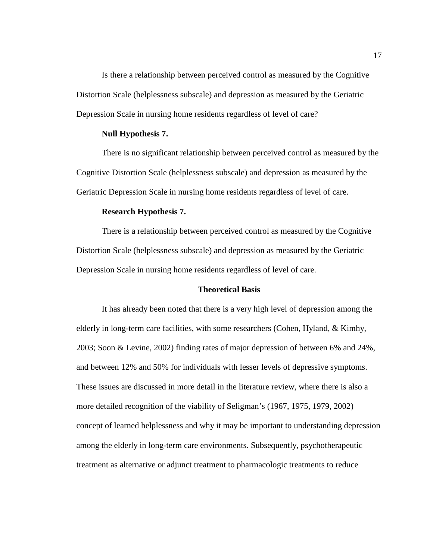Is there a relationship between perceived control as measured by the Cognitive Distortion Scale (helplessness subscale) and depression as measured by the Geriatric Depression Scale in nursing home residents regardless of level of care?

#### **Null Hypothesis 7.**

There is no significant relationship between perceived control as measured by the Cognitive Distortion Scale (helplessness subscale) and depression as measured by the Geriatric Depression Scale in nursing home residents regardless of level of care.

#### **Research Hypothesis 7.**

There is a relationship between perceived control as measured by the Cognitive Distortion Scale (helplessness subscale) and depression as measured by the Geriatric Depression Scale in nursing home residents regardless of level of care.

#### **Theoretical Basis**

<span id="page-31-0"></span>It has already been noted that there is a very high level of depression among the elderly in long-term care facilities, with some researchers (Cohen, Hyland, & Kimhy, 2003; Soon & Levine, 2002) finding rates of major depression of between 6% and 24%, and between 12% and 50% for individuals with lesser levels of depressive symptoms. These issues are discussed in more detail in the literature review, where there is also a more detailed recognition of the viability of Seligman's (1967, 1975, 1979, 2002) concept of learned helplessness and why it may be important to understanding depression among the elderly in long-term care environments. Subsequently, psychotherapeutic treatment as alternative or adjunct treatment to pharmacologic treatments to reduce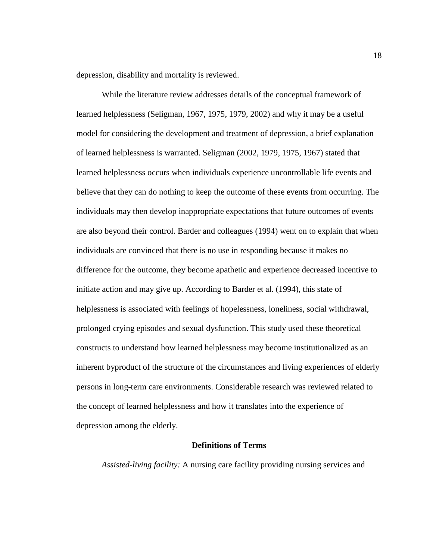depression, disability and mortality is reviewed.

While the literature review addresses details of the conceptual framework of learned helplessness (Seligman, 1967, 1975, 1979, 2002) and why it may be a useful model for considering the development and treatment of depression, a brief explanation of learned helplessness is warranted. Seligman (2002, 1979, 1975, 1967) stated that learned helplessness occurs when individuals experience uncontrollable life events and believe that they can do nothing to keep the outcome of these events from occurring. The individuals may then develop inappropriate expectations that future outcomes of events are also beyond their control. Barder and colleagues (1994) went on to explain that when individuals are convinced that there is no use in responding because it makes no difference for the outcome, they become apathetic and experience decreased incentive to initiate action and may give up. According to Barder et al. (1994), this state of helplessness is associated with feelings of hopelessness, loneliness, social withdrawal, prolonged crying episodes and sexual dysfunction. This study used these theoretical constructs to understand how learned helplessness may become institutionalized as an inherent byproduct of the structure of the circumstances and living experiences of elderly persons in long-term care environments. Considerable research was reviewed related to the concept of learned helplessness and how it translates into the experience of depression among the elderly.

#### **Definitions of Terms**

<span id="page-32-0"></span>*Assisted-living facility:* A nursing care facility providing nursing services and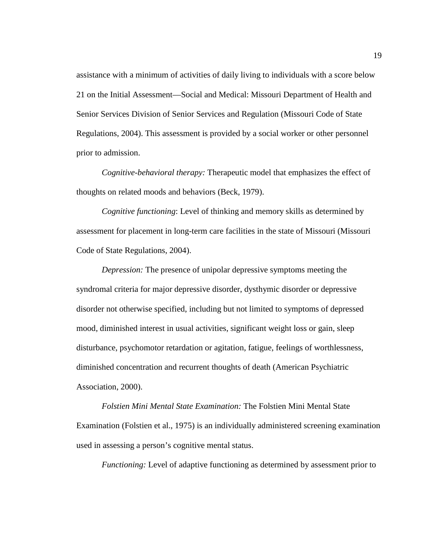assistance with a minimum of activities of daily living to individuals with a score below 21 on the Initial Assessment—Social and Medical: Missouri Department of Health and Senior Services Division of Senior Services and Regulation (Missouri Code of State Regulations, 2004). This assessment is provided by a social worker or other personnel prior to admission.

*Cognitive-behavioral therapy:* Therapeutic model that emphasizes the effect of thoughts on related moods and behaviors (Beck, 1979).

*Cognitive functioning*: Level of thinking and memory skills as determined by assessment for placement in long-term care facilities in the state of Missouri (Missouri Code of State Regulations, 2004).

*Depression:* The presence of unipolar depressive symptoms meeting the syndromal criteria for major depressive disorder, dysthymic disorder or depressive disorder not otherwise specified, including but not limited to symptoms of depressed mood, diminished interest in usual activities, significant weight loss or gain, sleep disturbance, psychomotor retardation or agitation, fatigue, feelings of worthlessness, diminished concentration and recurrent thoughts of death (American Psychiatric Association, 2000).

*Folstien Mini Mental State Examination:* The Folstien Mini Mental State Examination (Folstien et al., 1975) is an individually administered screening examination used in assessing a person's cognitive mental status.

*Functioning:* Level of adaptive functioning as determined by assessment prior to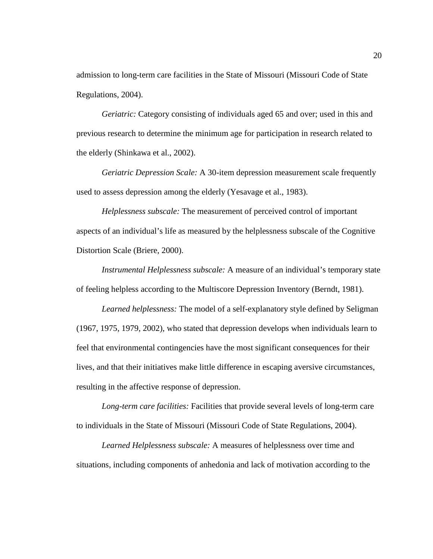admission to long-term care facilities in the State of Missouri (Missouri Code of State Regulations, 2004).

*Geriatric:* Category consisting of individuals aged 65 and over; used in this and previous research to determine the minimum age for participation in research related to the elderly (Shinkawa et al., 2002).

*Geriatric Depression Scale:* A 30-item depression measurement scale frequently used to assess depression among the elderly (Yesavage et al., 1983).

*Helplessness subscale:* The measurement of perceived control of important aspects of an individual's life as measured by the helplessness subscale of the Cognitive Distortion Scale (Briere, 2000).

*Instrumental Helplessness subscale:* A measure of an individual's temporary state of feeling helpless according to the Multiscore Depression Inventory (Berndt, 1981).

*Learned helplessness:* The model of a self-explanatory style defined by Seligman (1967, 1975, 1979, 2002), who stated that depression develops when individuals learn to feel that environmental contingencies have the most significant consequences for their lives, and that their initiatives make little difference in escaping aversive circumstances, resulting in the affective response of depression.

*Long-term care facilities:* Facilities that provide several levels of long-term care to individuals in the State of Missouri (Missouri Code of State Regulations, 2004).

*Learned Helplessness subscale:* A measures of helplessness over time and situations, including components of anhedonia and lack of motivation according to the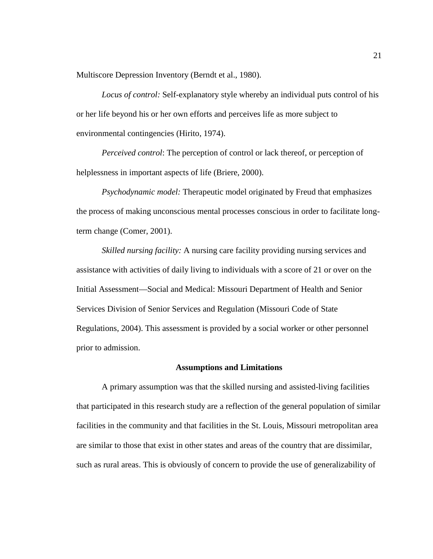Multiscore Depression Inventory (Berndt et al., 1980).

*Locus of control:* Self-explanatory style whereby an individual puts control of his or her life beyond his or her own efforts and perceives life as more subject to environmental contingencies (Hirito, 1974).

*Perceived control*: The perception of control or lack thereof, or perception of helplessness in important aspects of life (Briere, 2000).

*Psychodynamic model:* Therapeutic model originated by Freud that emphasizes the process of making unconscious mental processes conscious in order to facilitate longterm change (Comer, 2001).

*Skilled nursing facility:* A nursing care facility providing nursing services and assistance with activities of daily living to individuals with a score of 21 or over on the Initial Assessment—Social and Medical: Missouri Department of Health and Senior Services Division of Senior Services and Regulation (Missouri Code of State Regulations, 2004). This assessment is provided by a social worker or other personnel prior to admission.

#### **Assumptions and Limitations**

<span id="page-35-0"></span>A primary assumption was that the skilled nursing and assisted-living facilities that participated in this research study are a reflection of the general population of similar facilities in the community and that facilities in the St. Louis, Missouri metropolitan area are similar to those that exist in other states and areas of the country that are dissimilar, such as rural areas. This is obviously of concern to provide the use of generalizability of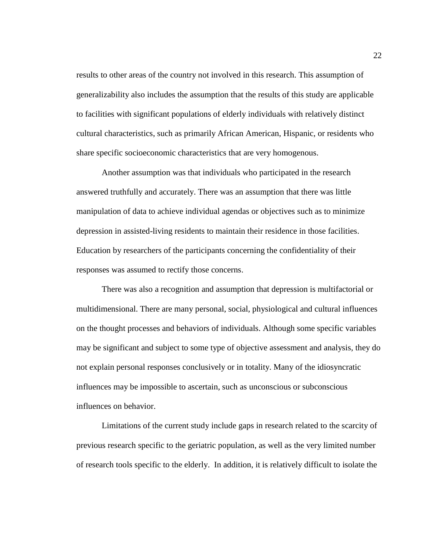results to other areas of the country not involved in this research. This assumption of generalizability also includes the assumption that the results of this study are applicable to facilities with significant populations of elderly individuals with relatively distinct cultural characteristics, such as primarily African American, Hispanic, or residents who share specific socioeconomic characteristics that are very homogenous.

Another assumption was that individuals who participated in the research answered truthfully and accurately. There was an assumption that there was little manipulation of data to achieve individual agendas or objectives such as to minimize depression in assisted-living residents to maintain their residence in those facilities. Education by researchers of the participants concerning the confidentiality of their responses was assumed to rectify those concerns.

There was also a recognition and assumption that depression is multifactorial or multidimensional. There are many personal, social, physiological and cultural influences on the thought processes and behaviors of individuals. Although some specific variables may be significant and subject to some type of objective assessment and analysis, they do not explain personal responses conclusively or in totality. Many of the idiosyncratic influences may be impossible to ascertain, such as unconscious or subconscious influences on behavior.

Limitations of the current study include gaps in research related to the scarcity of previous research specific to the geriatric population, as well as the very limited number of research tools specific to the elderly. In addition, it is relatively difficult to isolate the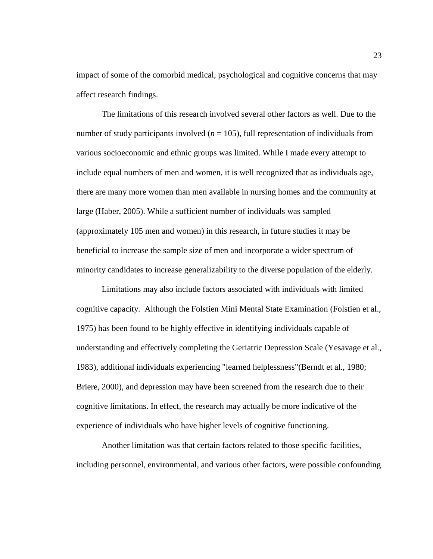impact of some of the comorbid medical, psychological and cognitive concerns that may affect research findings.

The limitations of this research involved several other factors as well. Due to the number of study participants involved  $(n = 105)$ , full representation of individuals from various socioeconomic and ethnic groups was limited. While I made every attempt to include equal numbers of men and women, it is well recognized that as individuals age, there are many more women than men available in nursing homes and the community at large (Haber, 2005). While a sufficient number of individuals was sampled (approximately 105 men and women) in this research, in future studies it may be beneficial to increase the sample size of men and incorporate a wider spectrum of minority candidates to increase generalizability to the diverse population of the elderly.

Limitations may also include factors associated with individuals with limited cognitive capacity. Although the Folstien Mini Mental State Examination (Folstien et al., 1975) has been found to be highly effective in identifying individuals capable of understanding and effectively completing the Geriatric Depression Scale (Yesavage et al., 1983), additional individuals experiencing "learned helplessness"(Berndt et al., 1980; Briere, 2000), and depression may have been screened from the research due to their cognitive limitations. In effect, the research may actually be more indicative of the experience of individuals who have higher levels of cognitive functioning.

Another limitation was that certain factors related to those specific facilities, including personnel, environmental, and various other factors, were possible confounding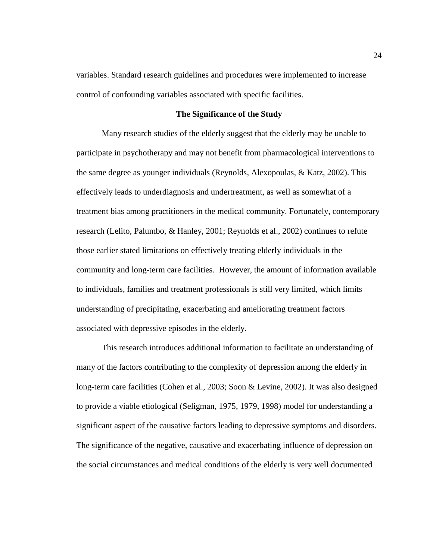variables. Standard research guidelines and procedures were implemented to increase control of confounding variables associated with specific facilities.

## **The Significance of the Study**

Many research studies of the elderly suggest that the elderly may be unable to participate in psychotherapy and may not benefit from pharmacological interventions to the same degree as younger individuals (Reynolds, Alexopoulas, & Katz, 2002). This effectively leads to underdiagnosis and undertreatment, as well as somewhat of a treatment bias among practitioners in the medical community. Fortunately, contemporary research (Lelito, Palumbo, & Hanley, 2001; Reynolds et al., 2002) continues to refute those earlier stated limitations on effectively treating elderly individuals in the community and long-term care facilities. However, the amount of information available to individuals, families and treatment professionals is still very limited, which limits understanding of precipitating, exacerbating and ameliorating treatment factors associated with depressive episodes in the elderly.

This research introduces additional information to facilitate an understanding of many of the factors contributing to the complexity of depression among the elderly in long-term care facilities (Cohen et al., 2003; Soon & Levine, 2002). It was also designed to provide a viable etiological (Seligman, 1975, 1979, 1998) model for understanding a significant aspect of the causative factors leading to depressive symptoms and disorders. The significance of the negative, causative and exacerbating influence of depression on the social circumstances and medical conditions of the elderly is very well documented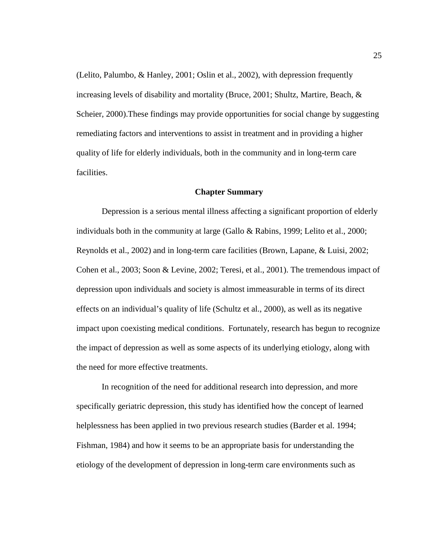(Lelito, Palumbo, & Hanley, 2001; Oslin et al., 2002), with depression frequently increasing levels of disability and mortality (Bruce, 2001; Shultz, Martire, Beach, & Scheier, 2000).These findings may provide opportunities for social change by suggesting remediating factors and interventions to assist in treatment and in providing a higher quality of life for elderly individuals, both in the community and in long-term care facilities.

# **Chapter Summary**

Depression is a serious mental illness affecting a significant proportion of elderly individuals both in the community at large (Gallo & Rabins, 1999; Lelito et al., 2000; Reynolds et al., 2002) and in long-term care facilities (Brown, Lapane, & Luisi, 2002; Cohen et al., 2003; Soon & Levine, 2002; Teresi, et al., 2001). The tremendous impact of depression upon individuals and society is almost immeasurable in terms of its direct effects on an individual's quality of life (Schultz et al., 2000), as well as its negative impact upon coexisting medical conditions. Fortunately, research has begun to recognize the impact of depression as well as some aspects of its underlying etiology, along with the need for more effective treatments.

In recognition of the need for additional research into depression, and more specifically geriatric depression, this study has identified how the concept of learned helplessness has been applied in two previous research studies (Barder et al. 1994; Fishman, 1984) and how it seems to be an appropriate basis for understanding the etiology of the development of depression in long-term care environments such as

25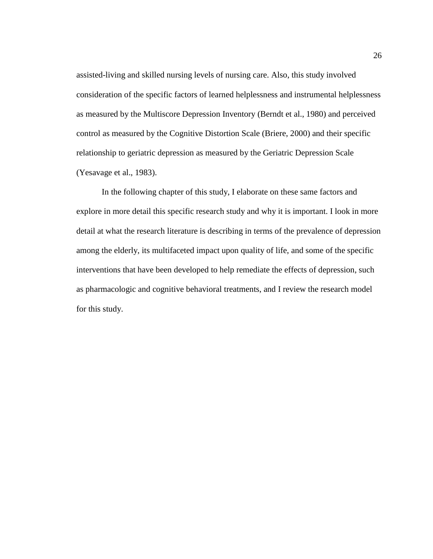assisted-living and skilled nursing levels of nursing care. Also, this study involved consideration of the specific factors of learned helplessness and instrumental helplessness as measured by the Multiscore Depression Inventory (Berndt et al., 1980) and perceived control as measured by the Cognitive Distortion Scale (Briere, 2000) and their specific relationship to geriatric depression as measured by the Geriatric Depression Scale (Yesavage et al., 1983).

In the following chapter of this study, I elaborate on these same factors and explore in more detail this specific research study and why it is important. I look in more detail at what the research literature is describing in terms of the prevalence of depression among the elderly, its multifaceted impact upon quality of life, and some of the specific interventions that have been developed to help remediate the effects of depression, such as pharmacologic and cognitive behavioral treatments, and I review the research model for this study.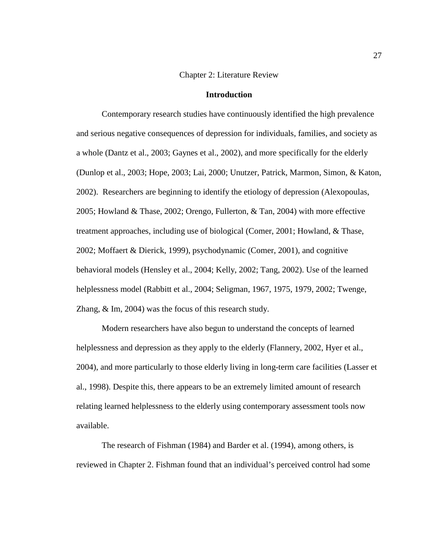## Chapter 2: Literature Review

## **Introduction**

Contemporary research studies have continuously identified the high prevalence and serious negative consequences of depression for individuals, families, and society as a whole (Dantz et al., 2003; Gaynes et al., 2002), and more specifically for the elderly (Dunlop et al., 2003; Hope, 2003; Lai, 2000; Unutzer, Patrick, Marmon, Simon, & Katon, 2002). Researchers are beginning to identify the etiology of depression (Alexopoulas, 2005; Howland & Thase, 2002; Orengo, Fullerton, & Tan, 2004) with more effective treatment approaches, including use of biological (Comer, 2001; Howland, & Thase, 2002; Moffaert & Dierick, 1999), psychodynamic (Comer, 2001), and cognitive behavioral models (Hensley et al., 2004; Kelly, 2002; Tang, 2002). Use of the learned helplessness model (Rabbitt et al., 2004; Seligman, 1967, 1975, 1979, 2002; Twenge, Zhang, & Im, 2004) was the focus of this research study.

Modern researchers have also begun to understand the concepts of learned helplessness and depression as they apply to the elderly (Flannery, 2002, Hyer et al., 2004), and more particularly to those elderly living in long-term care facilities (Lasser et al., 1998). Despite this, there appears to be an extremely limited amount of research relating learned helplessness to the elderly using contemporary assessment tools now available.

The research of Fishman (1984) and Barder et al. (1994), among others, is reviewed in Chapter 2. Fishman found that an individual's perceived control had some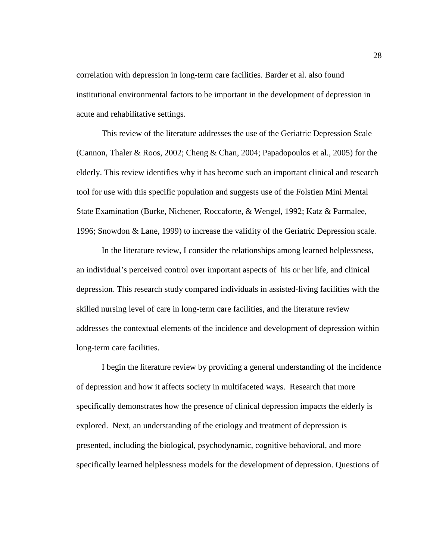correlation with depression in long-term care facilities. Barder et al. also found institutional environmental factors to be important in the development of depression in acute and rehabilitative settings.

This review of the literature addresses the use of the Geriatric Depression Scale (Cannon, Thaler & Roos, 2002; Cheng & Chan, 2004; Papadopoulos et al., 2005) for the elderly. This review identifies why it has become such an important clinical and research tool for use with this specific population and suggests use of the Folstien Mini Mental State Examination (Burke, Nichener, Roccaforte, & Wengel, 1992; Katz & Parmalee, 1996; Snowdon & Lane, 1999) to increase the validity of the Geriatric Depression scale.

In the literature review, I consider the relationships among learned helplessness, an individual's perceived control over important aspects of his or her life, and clinical depression. This research study compared individuals in assisted-living facilities with the skilled nursing level of care in long-term care facilities, and the literature review addresses the contextual elements of the incidence and development of depression within long-term care facilities.

I begin the literature review by providing a general understanding of the incidence of depression and how it affects society in multifaceted ways. Research that more specifically demonstrates how the presence of clinical depression impacts the elderly is explored. Next, an understanding of the etiology and treatment of depression is presented, including the biological, psychodynamic, cognitive behavioral, and more specifically learned helplessness models for the development of depression. Questions of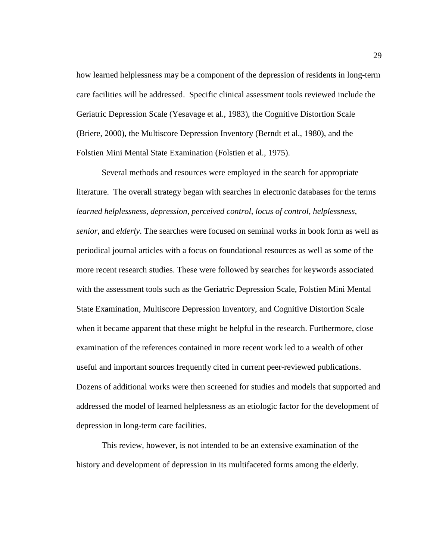how learned helplessness may be a component of the depression of residents in long-term care facilities will be addressed. Specific clinical assessment tools reviewed include the Geriatric Depression Scale (Yesavage et al., 1983), the Cognitive Distortion Scale (Briere, 2000), the Multiscore Depression Inventory (Berndt et al., 1980), and the Folstien Mini Mental State Examination (Folstien et al., 1975).

Several methods and resources were employed in the search for appropriate literature. The overall strategy began with searches in electronic databases for the terms *learned helplessness*, *depression*, *perceived control*, *locus of control*, *helplessness*, *senior*, and *elderly*. The searches were focused on seminal works in book form as well as periodical journal articles with a focus on foundational resources as well as some of the more recent research studies. These were followed by searches for keywords associated with the assessment tools such as the Geriatric Depression Scale, Folstien Mini Mental State Examination, Multiscore Depression Inventory, and Cognitive Distortion Scale when it became apparent that these might be helpful in the research. Furthermore, close examination of the references contained in more recent work led to a wealth of other useful and important sources frequently cited in current peer-reviewed publications. Dozens of additional works were then screened for studies and models that supported and addressed the model of learned helplessness as an etiologic factor for the development of depression in long-term care facilities.

This review, however, is not intended to be an extensive examination of the history and development of depression in its multifaceted forms among the elderly.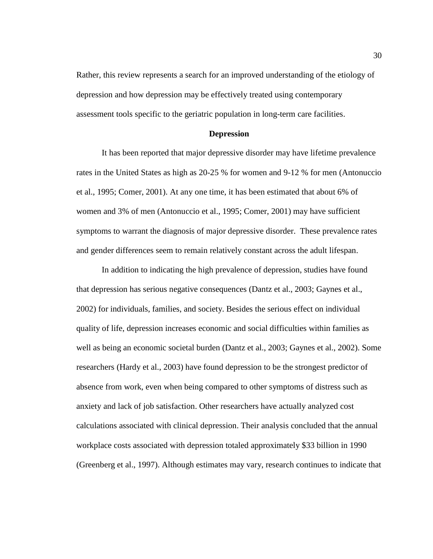Rather, this review represents a search for an improved understanding of the etiology of depression and how depression may be effectively treated using contemporary assessment tools specific to the geriatric population in long-term care facilities.

#### **Depression**

It has been reported that major depressive disorder may have lifetime prevalence rates in the United States as high as 20-25 % for women and 9-12 % for men (Antonuccio et al., 1995; Comer, 2001). At any one time, it has been estimated that about 6% of women and 3% of men (Antonuccio et al., 1995; Comer, 2001) may have sufficient symptoms to warrant the diagnosis of major depressive disorder. These prevalence rates and gender differences seem to remain relatively constant across the adult lifespan.

In addition to indicating the high prevalence of depression, studies have found that depression has serious negative consequences (Dantz et al., 2003; Gaynes et al., 2002) for individuals, families, and society. Besides the serious effect on individual quality of life, depression increases economic and social difficulties within families as well as being an economic societal burden (Dantz et al., 2003; Gaynes et al., 2002). Some researchers (Hardy et al., 2003) have found depression to be the strongest predictor of absence from work, even when being compared to other symptoms of distress such as anxiety and lack of job satisfaction. Other researchers have actually analyzed cost calculations associated with clinical depression. Their analysis concluded that the annual workplace costs associated with depression totaled approximately \$33 billion in 1990 (Greenberg et al., 1997). Although estimates may vary, research continues to indicate that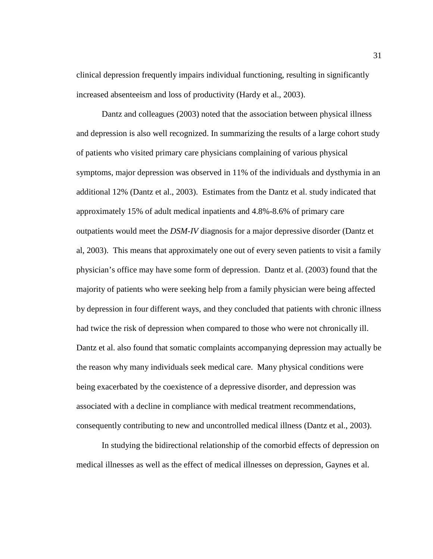clinical depression frequently impairs individual functioning, resulting in significantly increased absenteeism and loss of productivity (Hardy et al., 2003).

Dantz and colleagues (2003) noted that the association between physical illness and depression is also well recognized. In summarizing the results of a large cohort study of patients who visited primary care physicians complaining of various physical symptoms, major depression was observed in 11% of the individuals and dysthymia in an additional 12% (Dantz et al., 2003). Estimates from the Dantz et al. study indicated that approximately 15% of adult medical inpatients and 4.8%-8.6% of primary care outpatients would meet the *DSM-IV* diagnosis for a major depressive disorder (Dantz et al, 2003). This means that approximately one out of every seven patients to visit a family physician's office may have some form of depression. Dantz et al. (2003) found that the majority of patients who were seeking help from a family physician were being affected by depression in four different ways, and they concluded that patients with chronic illness had twice the risk of depression when compared to those who were not chronically ill. Dantz et al. also found that somatic complaints accompanying depression may actually be the reason why many individuals seek medical care. Many physical conditions were being exacerbated by the coexistence of a depressive disorder, and depression was associated with a decline in compliance with medical treatment recommendations, consequently contributing to new and uncontrolled medical illness (Dantz et al., 2003).

In studying the bidirectional relationship of the comorbid effects of depression on medical illnesses as well as the effect of medical illnesses on depression, Gaynes et al.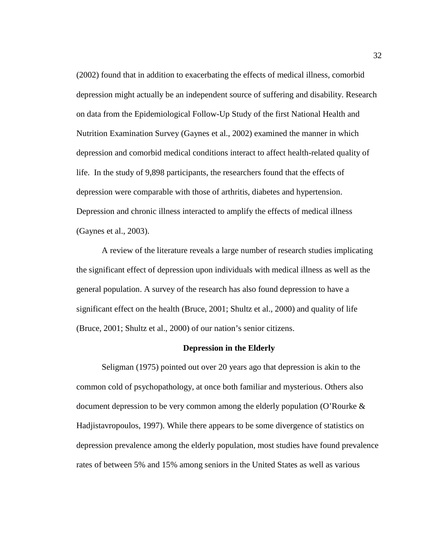(2002) found that in addition to exacerbating the effects of medical illness, comorbid depression might actually be an independent source of suffering and disability. Research on data from the Epidemiological Follow-Up Study of the first National Health and Nutrition Examination Survey (Gaynes et al., 2002) examined the manner in which depression and comorbid medical conditions interact to affect health-related quality of life. In the study of 9,898 participants, the researchers found that the effects of depression were comparable with those of arthritis, diabetes and hypertension. Depression and chronic illness interacted to amplify the effects of medical illness (Gaynes et al., 2003).

A review of the literature reveals a large number of research studies implicating the significant effect of depression upon individuals with medical illness as well as the general population. A survey of the research has also found depression to have a significant effect on the health (Bruce, 2001; Shultz et al., 2000) and quality of life (Bruce, 2001; Shultz et al., 2000) of our nation's senior citizens.

## **Depression in the Elderly**

Seligman (1975) pointed out over 20 years ago that depression is akin to the common cold of psychopathology, at once both familiar and mysterious. Others also document depression to be very common among the elderly population (O'Rourke  $\&$ Hadjistavropoulos, 1997). While there appears to be some divergence of statistics on depression prevalence among the elderly population, most studies have found prevalence rates of between 5% and 15% among seniors in the United States as well as various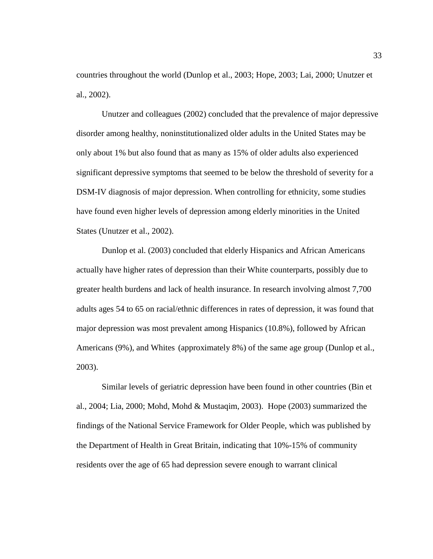countries throughout the world (Dunlop et al., 2003; Hope, 2003; Lai, 2000; Unutzer et al., 2002).

Unutzer and colleagues (2002) concluded that the prevalence of major depressive disorder among healthy, noninstitutionalized older adults in the United States may be only about 1% but also found that as many as 15% of older adults also experienced significant depressive symptoms that seemed to be below the threshold of severity for a DSM-IV diagnosis of major depression. When controlling for ethnicity, some studies have found even higher levels of depression among elderly minorities in the United States (Unutzer et al., 2002).

Dunlop et al. (2003) concluded that elderly Hispanics and African Americans actually have higher rates of depression than their White counterparts, possibly due to greater health burdens and lack of health insurance. In research involving almost 7,700 adults ages 54 to 65 on racial/ethnic differences in rates of depression, it was found that major depression was most prevalent among Hispanics (10.8%), followed by African Americans (9%), and Whites (approximately 8%) of the same age group (Dunlop et al., 2003).

Similar levels of geriatric depression have been found in other countries (Bin et al., 2004; Lia, 2000; Mohd, Mohd & Mustaqim, 2003). Hope (2003) summarized the findings of the National Service Framework for Older People, which was published by the Department of Health in Great Britain, indicating that 10%-15% of community residents over the age of 65 had depression severe enough to warrant clinical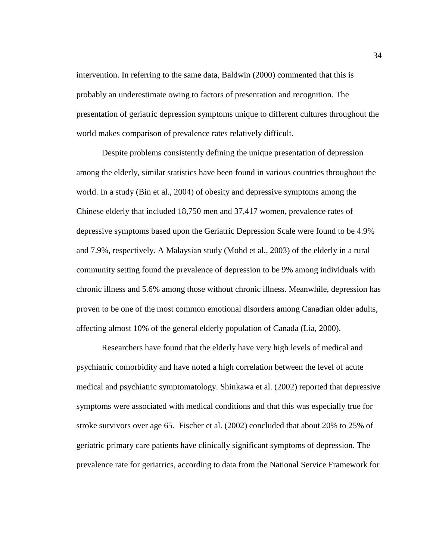intervention. In referring to the same data, Baldwin (2000) commented that this is probably an underestimate owing to factors of presentation and recognition. The presentation of geriatric depression symptoms unique to different cultures throughout the world makes comparison of prevalence rates relatively difficult.

Despite problems consistently defining the unique presentation of depression among the elderly, similar statistics have been found in various countries throughout the world. In a study (Bin et al., 2004) of obesity and depressive symptoms among the Chinese elderly that included 18,750 men and 37,417 women, prevalence rates of depressive symptoms based upon the Geriatric Depression Scale were found to be 4.9% and 7.9%, respectively. A Malaysian study (Mohd et al., 2003) of the elderly in a rural community setting found the prevalence of depression to be 9% among individuals with chronic illness and 5.6% among those without chronic illness. Meanwhile, depression has proven to be one of the most common emotional disorders among Canadian older adults, affecting almost 10% of the general elderly population of Canada (Lia, 2000).

Researchers have found that the elderly have very high levels of medical and psychiatric comorbidity and have noted a high correlation between the level of acute medical and psychiatric symptomatology. Shinkawa et al. (2002) reported that depressive symptoms were associated with medical conditions and that this was especially true for stroke survivors over age 65. Fischer et al. (2002) concluded that about 20% to 25% of geriatric primary care patients have clinically significant symptoms of depression. The prevalence rate for geriatrics, according to data from the National Service Framework for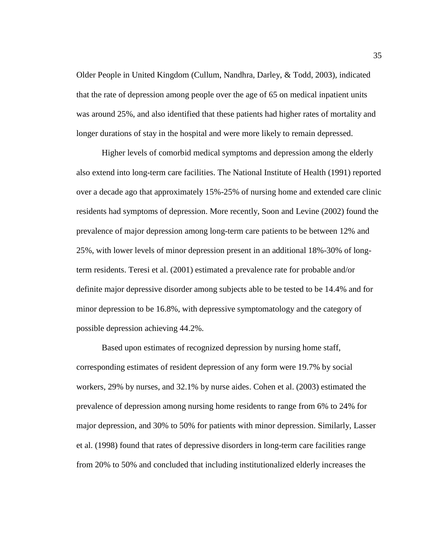Older People in United Kingdom (Cullum, Nandhra, Darley, & Todd, 2003), indicated that the rate of depression among people over the age of 65 on medical inpatient units was around 25%, and also identified that these patients had higher rates of mortality and longer durations of stay in the hospital and were more likely to remain depressed.

Higher levels of comorbid medical symptoms and depression among the elderly also extend into long-term care facilities. The National Institute of Health (1991) reported over a decade ago that approximately 15%-25% of nursing home and extended care clinic residents had symptoms of depression. More recently, Soon and Levine (2002) found the prevalence of major depression among long-term care patients to be between 12% and 25%, with lower levels of minor depression present in an additional 18%-30% of longterm residents. Teresi et al. (2001) estimated a prevalence rate for probable and/or definite major depressive disorder among subjects able to be tested to be 14.4% and for minor depression to be 16.8%, with depressive symptomatology and the category of possible depression achieving 44.2%.

Based upon estimates of recognized depression by nursing home staff, corresponding estimates of resident depression of any form were 19.7% by social workers, 29% by nurses, and 32.1% by nurse aides. Cohen et al. (2003) estimated the prevalence of depression among nursing home residents to range from 6% to 24% for major depression, and 30% to 50% for patients with minor depression. Similarly, Lasser et al. (1998) found that rates of depressive disorders in long-term care facilities range from 20% to 50% and concluded that including institutionalized elderly increases the

35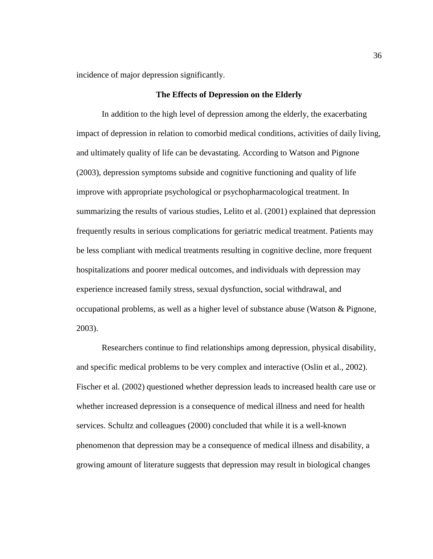incidence of major depression significantly.

## **The Effects of Depression on the Elderly**

In addition to the high level of depression among the elderly, the exacerbating impact of depression in relation to comorbid medical conditions, activities of daily living, and ultimately quality of life can be devastating. According to Watson and Pignone (2003), depression symptoms subside and cognitive functioning and quality of life improve with appropriate psychological or psychopharmacological treatment. In summarizing the results of various studies, Lelito et al. (2001) explained that depression frequently results in serious complications for geriatric medical treatment. Patients may be less compliant with medical treatments resulting in cognitive decline, more frequent hospitalizations and poorer medical outcomes, and individuals with depression may experience increased family stress, sexual dysfunction, social withdrawal, and occupational problems, as well as a higher level of substance abuse (Watson & Pignone, 2003).

Researchers continue to find relationships among depression, physical disability, and specific medical problems to be very complex and interactive (Oslin et al., 2002). Fischer et al. (2002) questioned whether depression leads to increased health care use or whether increased depression is a consequence of medical illness and need for health services. Schultz and colleagues (2000) concluded that while it is a well-known phenomenon that depression may be a consequence of medical illness and disability, a growing amount of literature suggests that depression may result in biological changes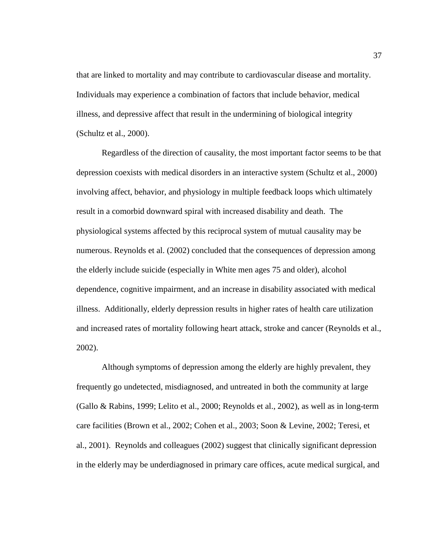that are linked to mortality and may contribute to cardiovascular disease and mortality. Individuals may experience a combination of factors that include behavior, medical illness, and depressive affect that result in the undermining of biological integrity (Schultz et al., 2000).

Regardless of the direction of causality, the most important factor seems to be that depression coexists with medical disorders in an interactive system (Schultz et al., 2000) involving affect, behavior, and physiology in multiple feedback loops which ultimately result in a comorbid downward spiral with increased disability and death. The physiological systems affected by this reciprocal system of mutual causality may be numerous. Reynolds et al. (2002) concluded that the consequences of depression among the elderly include suicide (especially in White men ages 75 and older), alcohol dependence, cognitive impairment, and an increase in disability associated with medical illness. Additionally, elderly depression results in higher rates of health care utilization and increased rates of mortality following heart attack, stroke and cancer (Reynolds et al., 2002).

Although symptoms of depression among the elderly are highly prevalent, they frequently go undetected, misdiagnosed, and untreated in both the community at large (Gallo & Rabins, 1999; Lelito et al., 2000; Reynolds et al., 2002), as well as in long-term care facilities (Brown et al., 2002; Cohen et al., 2003; Soon & Levine, 2002; Teresi, et al., 2001). Reynolds and colleagues (2002) suggest that clinically significant depression in the elderly may be underdiagnosed in primary care offices, acute medical surgical, and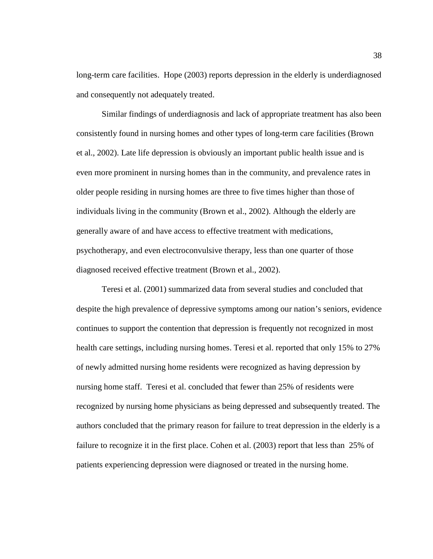long-term care facilities. Hope (2003) reports depression in the elderly is underdiagnosed and consequently not adequately treated.

Similar findings of underdiagnosis and lack of appropriate treatment has also been consistently found in nursing homes and other types of long-term care facilities (Brown et al., 2002). Late life depression is obviously an important public health issue and is even more prominent in nursing homes than in the community, and prevalence rates in older people residing in nursing homes are three to five times higher than those of individuals living in the community (Brown et al., 2002). Although the elderly are generally aware of and have access to effective treatment with medications, psychotherapy, and even electroconvulsive therapy, less than one quarter of those diagnosed received effective treatment (Brown et al., 2002).

Teresi et al. (2001) summarized data from several studies and concluded that despite the high prevalence of depressive symptoms among our nation's seniors, evidence continues to support the contention that depression is frequently not recognized in most health care settings, including nursing homes. Teresi et al. reported that only 15% to 27% of newly admitted nursing home residents were recognized as having depression by nursing home staff. Teresi et al. concluded that fewer than 25% of residents were recognized by nursing home physicians as being depressed and subsequently treated. The authors concluded that the primary reason for failure to treat depression in the elderly is a failure to recognize it in the first place. Cohen et al. (2003) report that less than 25% of patients experiencing depression were diagnosed or treated in the nursing home.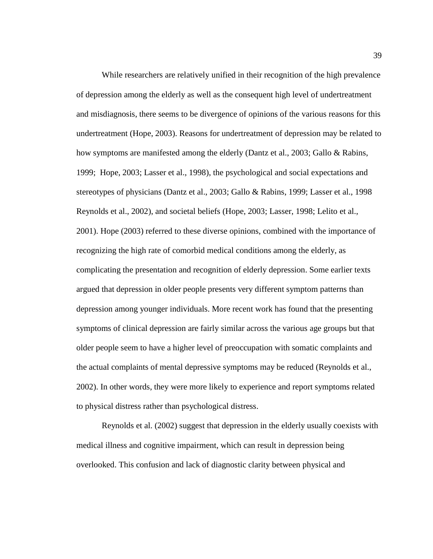While researchers are relatively unified in their recognition of the high prevalence of depression among the elderly as well as the consequent high level of undertreatment and misdiagnosis, there seems to be divergence of opinions of the various reasons for this undertreatment (Hope, 2003). Reasons for undertreatment of depression may be related to how symptoms are manifested among the elderly (Dantz et al., 2003; Gallo & Rabins, 1999; Hope, 2003; Lasser et al., 1998), the psychological and social expectations and stereotypes of physicians (Dantz et al., 2003; Gallo & Rabins, 1999; Lasser et al., 1998 Reynolds et al., 2002), and societal beliefs (Hope, 2003; Lasser, 1998; Lelito et al., 2001). Hope (2003) referred to these diverse opinions, combined with the importance of recognizing the high rate of comorbid medical conditions among the elderly, as complicating the presentation and recognition of elderly depression. Some earlier texts argued that depression in older people presents very different symptom patterns than depression among younger individuals. More recent work has found that the presenting symptoms of clinical depression are fairly similar across the various age groups but that older people seem to have a higher level of preoccupation with somatic complaints and the actual complaints of mental depressive symptoms may be reduced (Reynolds et al., 2002). In other words, they were more likely to experience and report symptoms related to physical distress rather than psychological distress.

Reynolds et al. (2002) suggest that depression in the elderly usually coexists with medical illness and cognitive impairment, which can result in depression being overlooked. This confusion and lack of diagnostic clarity between physical and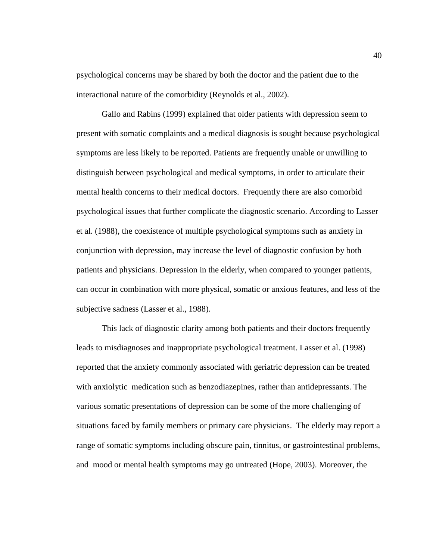psychological concerns may be shared by both the doctor and the patient due to the interactional nature of the comorbidity (Reynolds et al., 2002).

Gallo and Rabins (1999) explained that older patients with depression seem to present with somatic complaints and a medical diagnosis is sought because psychological symptoms are less likely to be reported. Patients are frequently unable or unwilling to distinguish between psychological and medical symptoms, in order to articulate their mental health concerns to their medical doctors. Frequently there are also comorbid psychological issues that further complicate the diagnostic scenario. According to Lasser et al. (1988), the coexistence of multiple psychological symptoms such as anxiety in conjunction with depression, may increase the level of diagnostic confusion by both patients and physicians. Depression in the elderly, when compared to younger patients, can occur in combination with more physical, somatic or anxious features, and less of the subjective sadness (Lasser et al., 1988).

This lack of diagnostic clarity among both patients and their doctors frequently leads to misdiagnoses and inappropriate psychological treatment. Lasser et al. (1998) reported that the anxiety commonly associated with geriatric depression can be treated with anxiolytic medication such as benzodiazepines, rather than antidepressants. The various somatic presentations of depression can be some of the more challenging of situations faced by family members or primary care physicians. The elderly may report a range of somatic symptoms including obscure pain, tinnitus, or gastrointestinal problems, and mood or mental health symptoms may go untreated (Hope, 2003). Moreover, the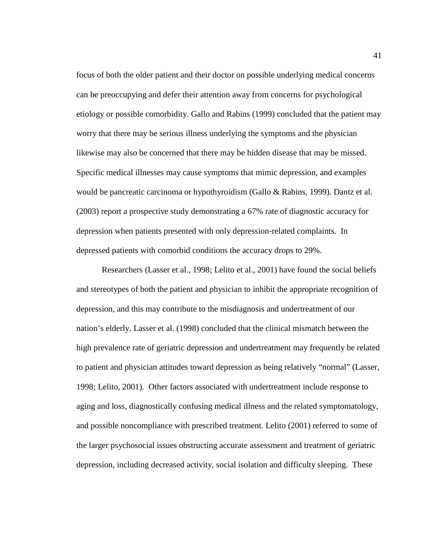focus of both the older patient and their doctor on possible underlying medical concerns can be preoccupying and defer their attention away from concerns for psychological etiology or possible comorbidity. Gallo and Rabins (1999) concluded that the patient may worry that there may be serious illness underlying the symptoms and the physician likewise may also be concerned that there may be hidden disease that may be missed. Specific medical illnesses may cause symptoms that mimic depression, and examples would be pancreatic carcinoma or hypothyroidism (Gallo & Rabins, 1999). Dantz et al. (2003) report a prospective study demonstrating a 67% rate of diagnostic accuracy for depression when patients presented with only depression-related complaints. In depressed patients with comorbid conditions the accuracy drops to 29%.

Researchers (Lasser et al., 1998; Lelito et al., 2001) have found the social beliefs and stereotypes of both the patient and physician to inhibit the appropriate recognition of depression, and this may contribute to the misdiagnosis and undertreatment of our nation's elderly. Lasser et al. (1998) concluded that the clinical mismatch between the high prevalence rate of geriatric depression and undertreatment may frequently be related to patient and physician attitudes toward depression as being relatively "normal" (Lasser, 1998; Lelito, 2001). Other factors associated with undertreatment include response to aging and loss, diagnostically confusing medical illness and the related symptomatology, and possible noncompliance with prescribed treatment. Lelito (2001) referred to some of the larger psychosocial issues obstructing accurate assessment and treatment of geriatric depression, including decreased activity, social isolation and difficulty sleeping. These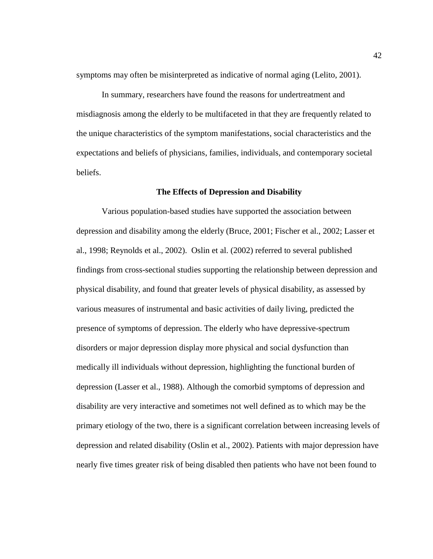symptoms may often be misinterpreted as indicative of normal aging (Lelito, 2001).

In summary, researchers have found the reasons for undertreatment and misdiagnosis among the elderly to be multifaceted in that they are frequently related to the unique characteristics of the symptom manifestations, social characteristics and the expectations and beliefs of physicians, families, individuals, and contemporary societal beliefs.

#### **The Effects of Depression and Disability**

Various population-based studies have supported the association between depression and disability among the elderly (Bruce, 2001; Fischer et al., 2002; Lasser et al., 1998; Reynolds et al., 2002). Oslin et al. (2002) referred to several published findings from cross-sectional studies supporting the relationship between depression and physical disability, and found that greater levels of physical disability, as assessed by various measures of instrumental and basic activities of daily living, predicted the presence of symptoms of depression. The elderly who have depressive-spectrum disorders or major depression display more physical and social dysfunction than medically ill individuals without depression, highlighting the functional burden of depression (Lasser et al., 1988). Although the comorbid symptoms of depression and disability are very interactive and sometimes not well defined as to which may be the primary etiology of the two, there is a significant correlation between increasing levels of depression and related disability (Oslin et al., 2002). Patients with major depression have nearly five times greater risk of being disabled then patients who have not been found to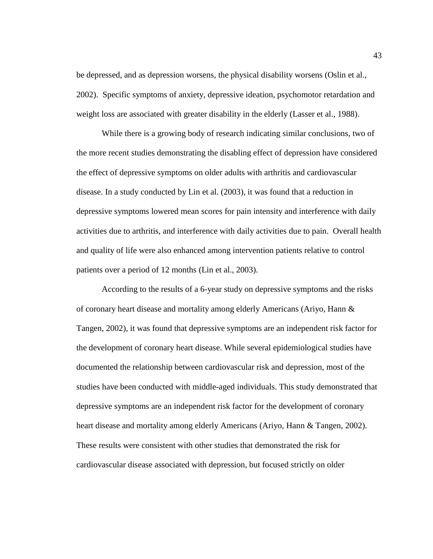be depressed, and as depression worsens, the physical disability worsens (Oslin et al., 2002). Specific symptoms of anxiety, depressive ideation, psychomotor retardation and weight loss are associated with greater disability in the elderly (Lasser et al., 1988).

While there is a growing body of research indicating similar conclusions, two of the more recent studies demonstrating the disabling effect of depression have considered the effect of depressive symptoms on older adults with arthritis and cardiovascular disease. In a study conducted by Lin et al. (2003), it was found that a reduction in depressive symptoms lowered mean scores for pain intensity and interference with daily activities due to arthritis, and interference with daily activities due to pain. Overall health and quality of life were also enhanced among intervention patients relative to control patients over a period of 12 months (Lin et al., 2003).

According to the results of a 6-year study on depressive symptoms and the risks of coronary heart disease and mortality among elderly Americans (Ariyo, Hann & Tangen, 2002), it was found that depressive symptoms are an independent risk factor for the development of coronary heart disease. While several epidemiological studies have documented the relationship between cardiovascular risk and depression, most of the studies have been conducted with middle-aged individuals. This study demonstrated that depressive symptoms are an independent risk factor for the development of coronary heart disease and mortality among elderly Americans (Ariyo, Hann & Tangen, 2002). These results were consistent with other studies that demonstrated the risk for cardiovascular disease associated with depression, but focused strictly on older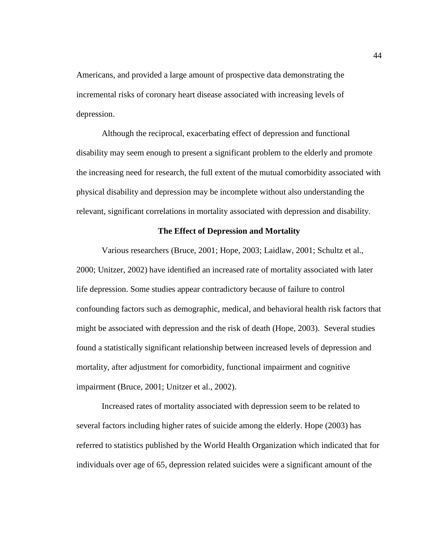Americans, and provided a large amount of prospective data demonstrating the incremental risks of coronary heart disease associated with increasing levels of depression.

Although the reciprocal, exacerbating effect of depression and functional disability may seem enough to present a significant problem to the elderly and promote the increasing need for research, the full extent of the mutual comorbidity associated with physical disability and depression may be incomplete without also understanding the relevant, significant correlations in mortality associated with depression and disability.

## **The Effect of Depression and Mortality**

Various researchers (Bruce, 2001; Hope, 2003; Laidlaw, 2001; Schultz et al., 2000; Unitzer, 2002) have identified an increased rate of mortality associated with later life depression. Some studies appear contradictory because of failure to control confounding factors such as demographic, medical, and behavioral health risk factors that might be associated with depression and the risk of death (Hope, 2003). Several studies found a statistically significant relationship between increased levels of depression and mortality, after adjustment for comorbidity, functional impairment and cognitive impairment (Bruce, 2001; Unitzer et al., 2002).

Increased rates of mortality associated with depression seem to be related to several factors including higher rates of suicide among the elderly. Hope (2003) has referred to statistics published by the World Health Organization which indicated that for individuals over age of 65, depression related suicides were a significant amount of the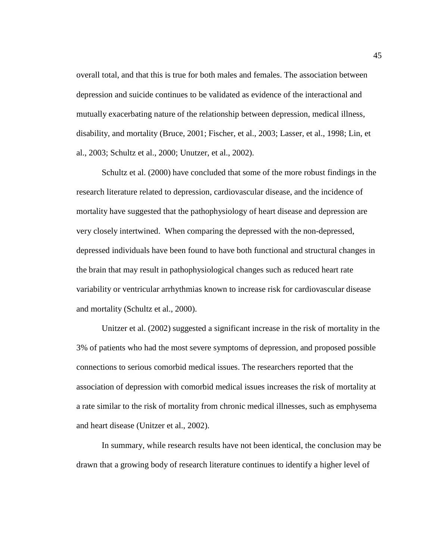overall total, and that this is true for both males and females. The association between depression and suicide continues to be validated as evidence of the interactional and mutually exacerbating nature of the relationship between depression, medical illness, disability, and mortality (Bruce, 2001; Fischer, et al., 2003; Lasser, et al., 1998; Lin, et al., 2003; Schultz et al., 2000; Unutzer, et al., 2002).

Schultz et al. (2000) have concluded that some of the more robust findings in the research literature related to depression, cardiovascular disease, and the incidence of mortality have suggested that the pathophysiology of heart disease and depression are very closely intertwined. When comparing the depressed with the non-depressed, depressed individuals have been found to have both functional and structural changes in the brain that may result in pathophysiological changes such as reduced heart rate variability or ventricular arrhythmias known to increase risk for cardiovascular disease and mortality (Schultz et al., 2000).

Unitzer et al. (2002) suggested a significant increase in the risk of mortality in the 3% of patients who had the most severe symptoms of depression, and proposed possible connections to serious comorbid medical issues. The researchers reported that the association of depression with comorbid medical issues increases the risk of mortality at a rate similar to the risk of mortality from chronic medical illnesses, such as emphysema and heart disease (Unitzer et al., 2002).

In summary, while research results have not been identical, the conclusion may be drawn that a growing body of research literature continues to identify a higher level of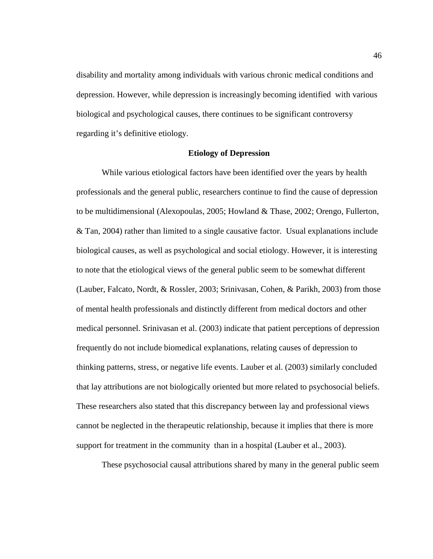disability and mortality among individuals with various chronic medical conditions and depression. However, while depression is increasingly becoming identified with various biological and psychological causes, there continues to be significant controversy regarding it's definitive etiology.

## **Etiology of Depression**

While various etiological factors have been identified over the years by health professionals and the general public, researchers continue to find the cause of depression to be multidimensional (Alexopoulas, 2005; Howland & Thase, 2002; Orengo, Fullerton, & Tan, 2004) rather than limited to a single causative factor. Usual explanations include biological causes, as well as psychological and social etiology. However, it is interesting to note that the etiological views of the general public seem to be somewhat different (Lauber, Falcato, Nordt, & Rossler, 2003; Srinivasan, Cohen, & Parikh, 2003) from those of mental health professionals and distinctly different from medical doctors and other medical personnel. Srinivasan et al. (2003) indicate that patient perceptions of depression frequently do not include biomedical explanations, relating causes of depression to thinking patterns, stress, or negative life events. Lauber et al. (2003) similarly concluded that lay attributions are not biologically oriented but more related to psychosocial beliefs. These researchers also stated that this discrepancy between lay and professional views cannot be neglected in the therapeutic relationship, because it implies that there is more support for treatment in the community than in a hospital (Lauber et al., 2003).

These psychosocial causal attributions shared by many in the general public seem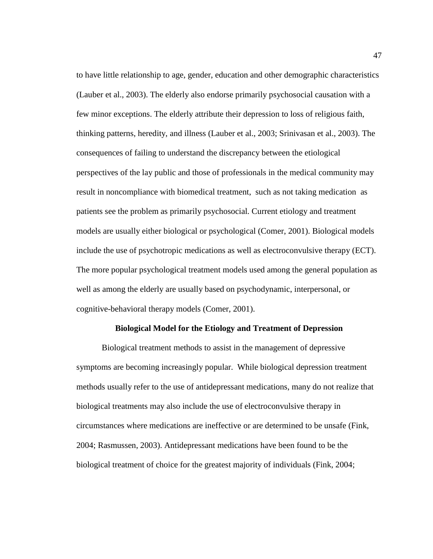to have little relationship to age, gender, education and other demographic characteristics (Lauber et al., 2003). The elderly also endorse primarily psychosocial causation with a few minor exceptions. The elderly attribute their depression to loss of religious faith, thinking patterns, heredity, and illness (Lauber et al., 2003; Srinivasan et al., 2003). The consequences of failing to understand the discrepancy between the etiological perspectives of the lay public and those of professionals in the medical community may result in noncompliance with biomedical treatment, such as not taking medication as patients see the problem as primarily psychosocial. Current etiology and treatment models are usually either biological or psychological (Comer, 2001). Biological models include the use of psychotropic medications as well as electroconvulsive therapy (ECT). The more popular psychological treatment models used among the general population as well as among the elderly are usually based on psychodynamic, interpersonal, or cognitive-behavioral therapy models (Comer, 2001).

#### **Biological Model for the Etiology and Treatment of Depression**

Biological treatment methods to assist in the management of depressive symptoms are becoming increasingly popular. While biological depression treatment methods usually refer to the use of antidepressant medications, many do not realize that biological treatments may also include the use of electroconvulsive therapy in circumstances where medications are ineffective or are determined to be unsafe (Fink, 2004; Rasmussen, 2003). Antidepressant medications have been found to be the biological treatment of choice for the greatest majority of individuals (Fink, 2004;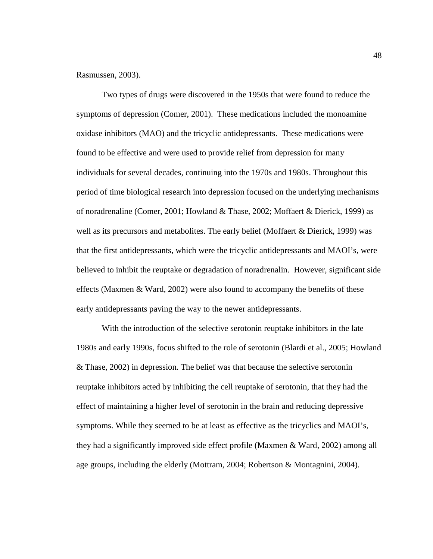## Rasmussen, 2003).

Two types of drugs were discovered in the 1950s that were found to reduce the symptoms of depression (Comer, 2001). These medications included the monoamine oxidase inhibitors (MAO) and the tricyclic antidepressants. These medications were found to be effective and were used to provide relief from depression for many individuals for several decades, continuing into the 1970s and 1980s. Throughout this period of time biological research into depression focused on the underlying mechanisms of noradrenaline (Comer, 2001; Howland & Thase, 2002; Moffaert & Dierick, 1999) as well as its precursors and metabolites. The early belief (Moffaert & Dierick, 1999) was that the first antidepressants, which were the tricyclic antidepressants and MAOI's, were believed to inhibit the reuptake or degradation of noradrenalin. However, significant side effects (Maxmen & Ward, 2002) were also found to accompany the benefits of these early antidepressants paving the way to the newer antidepressants.

With the introduction of the selective serotonin reuptake inhibitors in the late 1980s and early 1990s, focus shifted to the role of serotonin (Blardi et al., 2005; Howland & Thase, 2002) in depression. The belief was that because the selective serotonin reuptake inhibitors acted by inhibiting the cell reuptake of serotonin, that they had the effect of maintaining a higher level of serotonin in the brain and reducing depressive symptoms. While they seemed to be at least as effective as the tricyclics and MAOI's, they had a significantly improved side effect profile (Maxmen & Ward, 2002) among all age groups, including the elderly (Mottram, 2004; Robertson & Montagnini, 2004).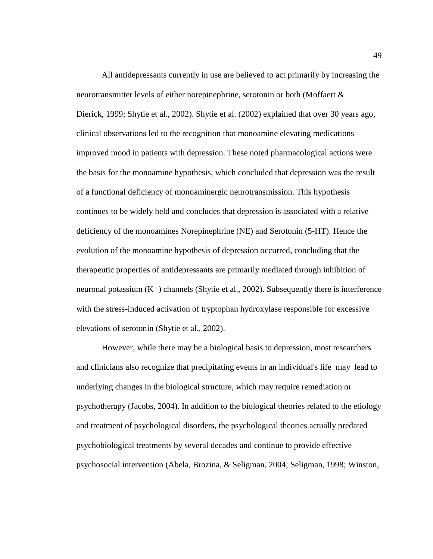All antidepressants currently in use are believed to act primarily by increasing the neurotransmitter levels of either norepinephrine, serotonin or both (Moffaert & Dierick, 1999; Shytie et al., 2002). Shytie et al. (2002) explained that over 30 years ago, clinical observations led to the recognition that monoamine elevating medications improved mood in patients with depression. These noted pharmacological actions were the basis for the monoamine hypothesis, which concluded that depression was the result of a functional deficiency of monoaminergic neurotransmission. This hypothesis continues to be widely held and concludes that depression is associated with a relative deficiency of the monoamines Norepinephrine (NE) and Serotonin (5-HT). Hence the evolution of the monoamine hypothesis of depression occurred, concluding that the therapeutic properties of antidepressants are primarily mediated through inhibition of neuronal potassium  $(K+)$  channels (Shytie et al., 2002). Subsequently there is interference with the stress-induced activation of tryptophan hydroxylase responsible for excessive elevations of serotonin (Shytie et al., 2002).

However, while there may be a biological basis to depression, most researchers and clinicians also recognize that precipitating events in an individual's life may lead to underlying changes in the biological structure, which may require remediation or psychotherapy (Jacobs, 2004). In addition to the biological theories related to the etiology and treatment of psychological disorders, the psychological theories actually predated psychobiological treatments by several decades and continue to provide effective psychosocial intervention (Abela, Brozina, & Seligman, 2004; Seligman, 1998; Winston,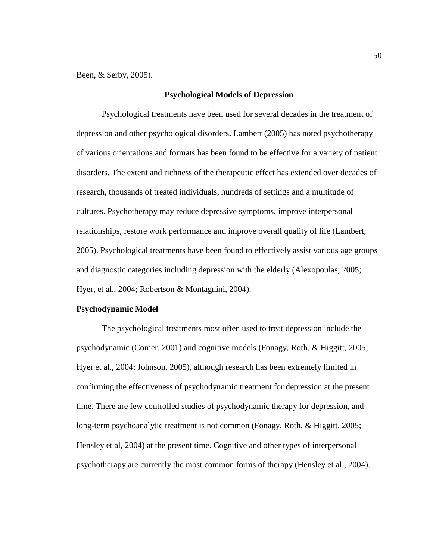Been, & Serby, 2005).

## **Psychological Models of Depression**

Psychological treatments have been used for several decades in the treatment of depression and other psychological disorders**.** Lambert (2005) has noted psychotherapy of various orientations and formats has been found to be effective for a variety of patient disorders. The extent and richness of the therapeutic effect has extended over decades of research, thousands of treated individuals, hundreds of settings and a multitude of cultures. Psychotherapy may reduce depressive symptoms, improve interpersonal relationships, restore work performance and improve overall quality of life (Lambert, 2005). Psychological treatments have been found to effectively assist various age groups and diagnostic categories including depression with the elderly (Alexopoulas, 2005; Hyer, et al., 2004; Robertson & Montagnini, 2004).

## **Psychodynamic Model**

The psychological treatments most often used to treat depression include the psychodynamic (Comer, 2001) and cognitive models (Fonagy, Roth, & Higgitt, 2005; Hyer et al., 2004; Johnson, 2005), although research has been extremely limited in confirming the effectiveness of psychodynamic treatment for depression at the present time. There are few controlled studies of psychodynamic therapy for depression, and long-term psychoanalytic treatment is not common (Fonagy, Roth, & Higgitt, 2005; Hensley et al, 2004) at the present time. Cognitive and other types of interpersonal psychotherapy are currently the most common forms of therapy (Hensley et al., 2004).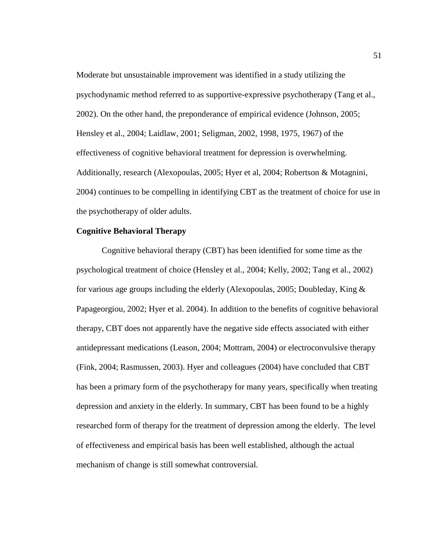Moderate but unsustainable improvement was identified in a study utilizing the psychodynamic method referred to as supportive-expressive psychotherapy (Tang et al., 2002). On the other hand, the preponderance of empirical evidence (Johnson, 2005; Hensley et al., 2004; Laidlaw, 2001; Seligman, 2002, 1998, 1975, 1967) of the effectiveness of cognitive behavioral treatment for depression is overwhelming. Additionally, research (Alexopoulas, 2005; Hyer et al, 2004; Robertson & Motagnini, 2004) continues to be compelling in identifying CBT as the treatment of choice for use in the psychotherapy of older adults.

# **Cognitive Behavioral Therapy**

Cognitive behavioral therapy (CBT) has been identified for some time as the psychological treatment of choice (Hensley et al., 2004; Kelly, 2002; Tang et al., 2002) for various age groups including the elderly (Alexopoulas, 2005; Doubleday, King & Papageorgiou, 2002; Hyer et al. 2004). In addition to the benefits of cognitive behavioral therapy, CBT does not apparently have the negative side effects associated with either antidepressant medications (Leason, 2004; Mottram, 2004) or electroconvulsive therapy (Fink, 2004; Rasmussen, 2003). Hyer and colleagues (2004) have concluded that CBT has been a primary form of the psychotherapy for many years, specifically when treating depression and anxiety in the elderly. In summary, CBT has been found to be a highly researched form of therapy for the treatment of depression among the elderly. The level of effectiveness and empirical basis has been well established, although the actual mechanism of change is still somewhat controversial.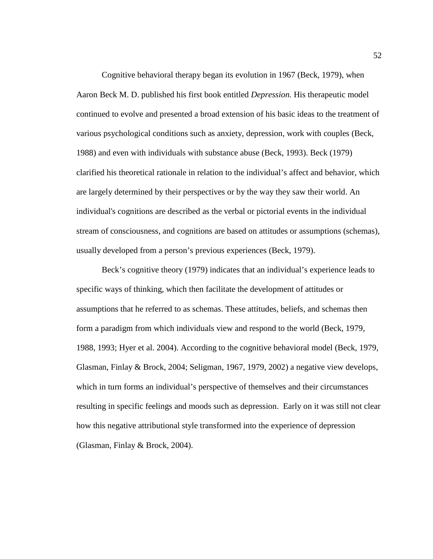Cognitive behavioral therapy began its evolution in 1967 (Beck, 1979), when Aaron Beck M. D. published his first book entitled *Depression.* His therapeutic model continued to evolve and presented a broad extension of his basic ideas to the treatment of various psychological conditions such as anxiety, depression, work with couples (Beck, 1988) and even with individuals with substance abuse (Beck, 1993). Beck (1979) clarified his theoretical rationale in relation to the individual's affect and behavior, which are largely determined by their perspectives or by the way they saw their world. An individual's cognitions are described as the verbal or pictorial events in the individual stream of consciousness, and cognitions are based on attitudes or assumptions (schemas), usually developed from a person's previous experiences (Beck, 1979).

Beck's cognitive theory (1979) indicates that an individual's experience leads to specific ways of thinking, which then facilitate the development of attitudes or assumptions that he referred to as schemas. These attitudes, beliefs, and schemas then form a paradigm from which individuals view and respond to the world (Beck, 1979, 1988, 1993; Hyer et al. 2004). According to the cognitive behavioral model (Beck, 1979, Glasman, Finlay & Brock, 2004; Seligman, 1967, 1979, 2002) a negative view develops, which in turn forms an individual's perspective of themselves and their circumstances resulting in specific feelings and moods such as depression. Early on it was still not clear how this negative attributional style transformed into the experience of depression (Glasman, Finlay & Brock, 2004).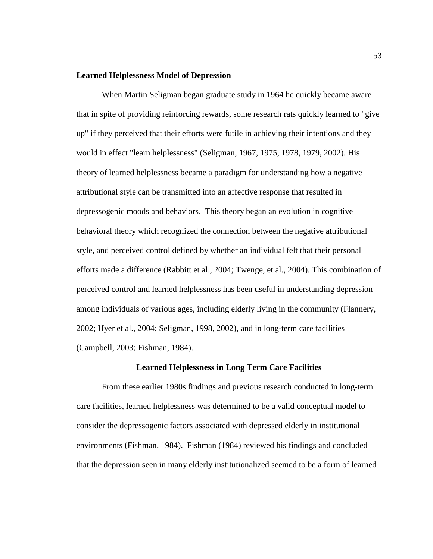## **Learned Helplessness Model of Depression**

When Martin Seligman began graduate study in 1964 he quickly became aware that in spite of providing reinforcing rewards, some research rats quickly learned to "give up" if they perceived that their efforts were futile in achieving their intentions and they would in effect "learn helplessness" (Seligman, 1967, 1975, 1978, 1979, 2002). His theory of learned helplessness became a paradigm for understanding how a negative attributional style can be transmitted into an affective response that resulted in depressogenic moods and behaviors. This theory began an evolution in cognitive behavioral theory which recognized the connection between the negative attributional style, and perceived control defined by whether an individual felt that their personal efforts made a difference (Rabbitt et al., 2004; Twenge, et al., 2004). This combination of perceived control and learned helplessness has been useful in understanding depression among individuals of various ages, including elderly living in the community (Flannery, 2002; Hyer et al., 2004; Seligman, 1998, 2002), and in long-term care facilities (Campbell, 2003; Fishman, 1984).

#### **Learned Helplessness in Long Term Care Facilities**

From these earlier 1980s findings and previous research conducted in long-term care facilities, learned helplessness was determined to be a valid conceptual model to consider the depressogenic factors associated with depressed elderly in institutional environments (Fishman, 1984). Fishman (1984) reviewed his findings and concluded that the depression seen in many elderly institutionalized seemed to be a form of learned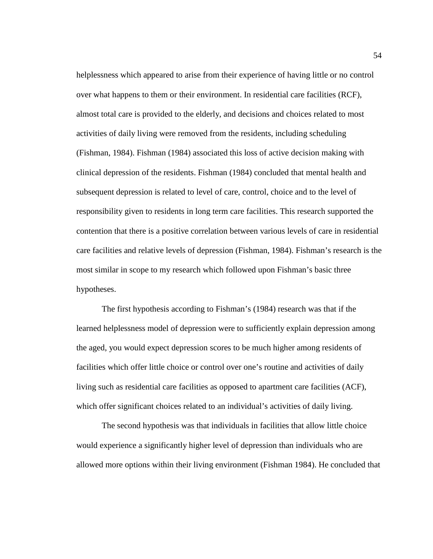helplessness which appeared to arise from their experience of having little or no control over what happens to them or their environment. In residential care facilities (RCF), almost total care is provided to the elderly, and decisions and choices related to most activities of daily living were removed from the residents, including scheduling (Fishman, 1984). Fishman (1984) associated this loss of active decision making with clinical depression of the residents. Fishman (1984) concluded that mental health and subsequent depression is related to level of care, control, choice and to the level of responsibility given to residents in long term care facilities. This research supported the contention that there is a positive correlation between various levels of care in residential care facilities and relative levels of depression (Fishman, 1984). Fishman's research is the most similar in scope to my research which followed upon Fishman's basic three hypotheses.

The first hypothesis according to Fishman's (1984) research was that if the learned helplessness model of depression were to sufficiently explain depression among the aged, you would expect depression scores to be much higher among residents of facilities which offer little choice or control over one's routine and activities of daily living such as residential care facilities as opposed to apartment care facilities (ACF), which offer significant choices related to an individual's activities of daily living.

The second hypothesis was that individuals in facilities that allow little choice would experience a significantly higher level of depression than individuals who are allowed more options within their living environment (Fishman 1984). He concluded that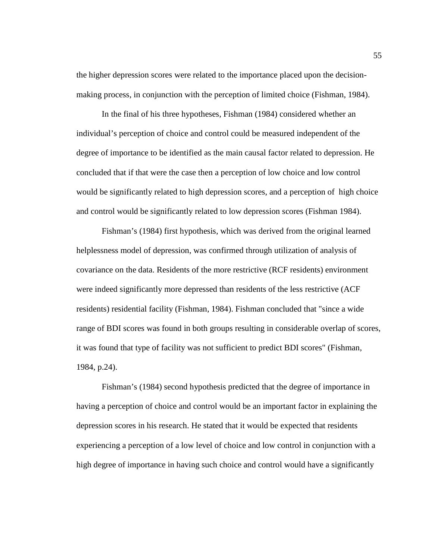the higher depression scores were related to the importance placed upon the decisionmaking process, in conjunction with the perception of limited choice (Fishman, 1984).

In the final of his three hypotheses, Fishman (1984) considered whether an individual's perception of choice and control could be measured independent of the degree of importance to be identified as the main causal factor related to depression. He concluded that if that were the case then a perception of low choice and low control would be significantly related to high depression scores, and a perception of high choice and control would be significantly related to low depression scores (Fishman 1984).

Fishman's (1984) first hypothesis, which was derived from the original learned helplessness model of depression, was confirmed through utilization of analysis of covariance on the data. Residents of the more restrictive (RCF residents) environment were indeed significantly more depressed than residents of the less restrictive (ACF residents) residential facility (Fishman, 1984). Fishman concluded that "since a wide range of BDI scores was found in both groups resulting in considerable overlap of scores, it was found that type of facility was not sufficient to predict BDI scores" (Fishman, 1984, p.24).

Fishman's (1984) second hypothesis predicted that the degree of importance in having a perception of choice and control would be an important factor in explaining the depression scores in his research. He stated that it would be expected that residents experiencing a perception of a low level of choice and low control in conjunction with a high degree of importance in having such choice and control would have a significantly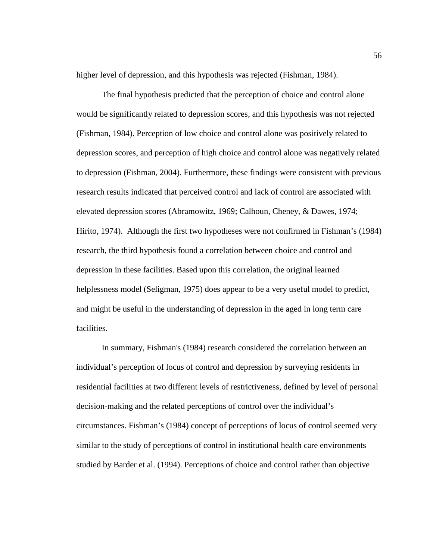higher level of depression, and this hypothesis was rejected (Fishman, 1984).

The final hypothesis predicted that the perception of choice and control alone would be significantly related to depression scores, and this hypothesis was not rejected (Fishman, 1984). Perception of low choice and control alone was positively related to depression scores, and perception of high choice and control alone was negatively related to depression (Fishman, 2004). Furthermore, these findings were consistent with previous research results indicated that perceived control and lack of control are associated with elevated depression scores (Abramowitz, 1969; Calhoun, Cheney, & Dawes, 1974; Hirito, 1974). Although the first two hypotheses were not confirmed in Fishman's (1984) research, the third hypothesis found a correlation between choice and control and depression in these facilities. Based upon this correlation, the original learned helplessness model (Seligman, 1975) does appear to be a very useful model to predict, and might be useful in the understanding of depression in the aged in long term care facilities.

In summary, Fishman's (1984) research considered the correlation between an individual's perception of locus of control and depression by surveying residents in residential facilities at two different levels of restrictiveness, defined by level of personal decision-making and the related perceptions of control over the individual's circumstances. Fishman's (1984) concept of perceptions of locus of control seemed very similar to the study of perceptions of control in institutional health care environments studied by Barder et al. (1994). Perceptions of choice and control rather than objective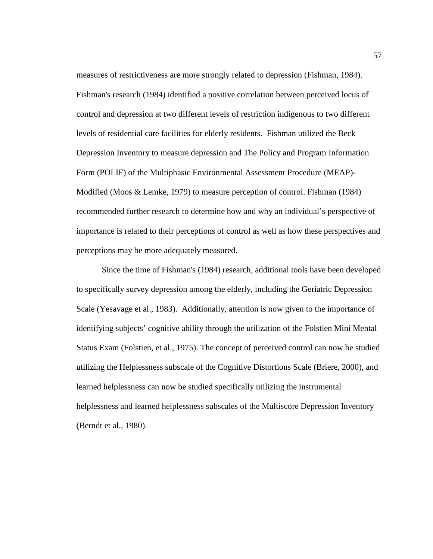measures of restrictiveness are more strongly related to depression (Fishman, 1984). Fishman's research (1984) identified a positive correlation between perceived locus of control and depression at two different levels of restriction indigenous to two different levels of residential care facilities for elderly residents. Fishman utilized the Beck Depression Inventory to measure depression and The Policy and Program Information Form (POLIF) of the Multiphasic Environmental Assessment Procedure (MEAP)- Modified (Moos & Lemke, 1979) to measure perception of control. Fishman (1984) recommended further research to determine how and why an individual's perspective of importance is related to their perceptions of control as well as how these perspectives and perceptions may be more adequately measured.

Since the time of Fishman's (1984) research, additional tools have been developed to specifically survey depression among the elderly, including the Geriatric Depression Scale (Yesavage et al., 1983). Additionally, attention is now given to the importance of identifying subjects' cognitive ability through the utilization of the Folstien Mini Mental Status Exam (Folstien, et al., 1975). The concept of perceived control can now be studied utilizing the Helplessness subscale of the Cognitive Distortions Scale (Briere, 2000), and learned helplessness can now be studied specifically utilizing the instrumental helplessness and learned helplessness subscales of the Multiscore Depression Inventory (Berndt et al., 1980).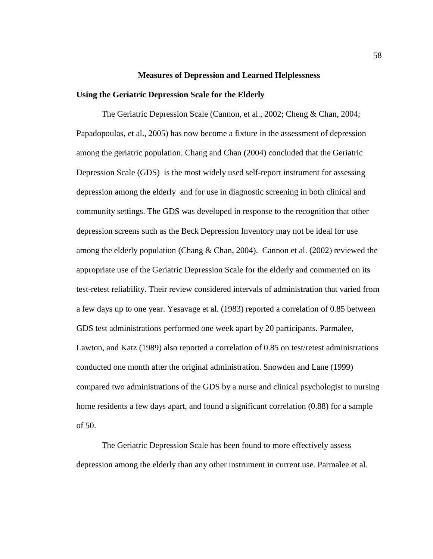#### **Measures of Depression and Learned Helplessness**

#### **Using the Geriatric Depression Scale for the Elderly**

The Geriatric Depression Scale (Cannon, et al., 2002; Cheng & Chan, 2004; Papadopoulas, et al., 2005) has now become a fixture in the assessment of depression among the geriatric population. Chang and Chan (2004) concluded that the Geriatric Depression Scale (GDS) is the most widely used self-report instrument for assessing depression among the elderly and for use in diagnostic screening in both clinical and community settings. The GDS was developed in response to the recognition that other depression screens such as the Beck Depression Inventory may not be ideal for use among the elderly population (Chang  $\&$  Chan, 2004). Cannon et al. (2002) reviewed the appropriate use of the Geriatric Depression Scale for the elderly and commented on its test-retest reliability. Their review considered intervals of administration that varied from a few days up to one year. Yesavage et al. (1983) reported a correlation of 0.85 between GDS test administrations performed one week apart by 20 participants. Parmalee, Lawton, and Katz (1989) also reported a correlation of 0.85 on test/retest administrations conducted one month after the original administration. Snowden and Lane (1999) compared two administrations of the GDS by a nurse and clinical psychologist to nursing home residents a few days apart, and found a significant correlation (0.88) for a sample of 50.

The Geriatric Depression Scale has been found to more effectively assess depression among the elderly than any other instrument in current use. Parmalee et al.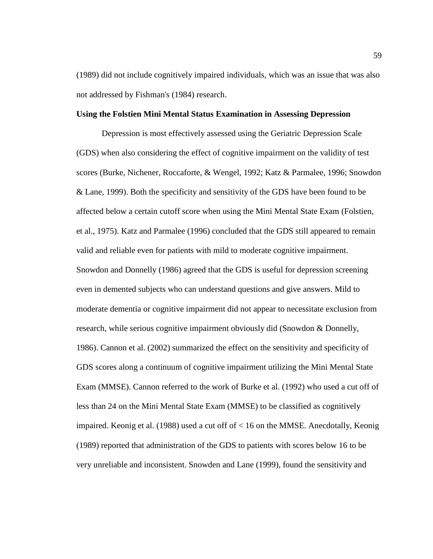(1989) did not include cognitively impaired individuals, which was an issue that was also not addressed by Fishman's (1984) research.

# **Using the Folstien Mini Mental Status Examination in Assessing Depression**

Depression is most effectively assessed using the Geriatric Depression Scale (GDS) when also considering the effect of cognitive impairment on the validity of test scores (Burke, Nichener, Roccaforte, & Wengel, 1992; Katz & Parmalee, 1996; Snowdon & Lane, 1999). Both the specificity and sensitivity of the GDS have been found to be affected below a certain cutoff score when using the Mini Mental State Exam (Folstien, et al., 1975). Katz and Parmalee (1996) concluded that the GDS still appeared to remain valid and reliable even for patients with mild to moderate cognitive impairment. Snowdon and Donnelly (1986) agreed that the GDS is useful for depression screening even in demented subjects who can understand questions and give answers. Mild to moderate dementia or cognitive impairment did not appear to necessitate exclusion from research, while serious cognitive impairment obviously did (Snowdon & Donnelly, 1986). Cannon et al. (2002) summarized the effect on the sensitivity and specificity of GDS scores along a continuum of cognitive impairment utilizing the Mini Mental State Exam (MMSE). Cannon referred to the work of Burke et al. (1992) who used a cut off of less than 24 on the Mini Mental State Exam (MMSE) to be classified as cognitively impaired. Keonig et al. (1988) used a cut off of < 16 on the MMSE. Anecdotally, Keonig (1989) reported that administration of the GDS to patients with scores below 16 to be very unreliable and inconsistent. Snowden and Lane (1999), found the sensitivity and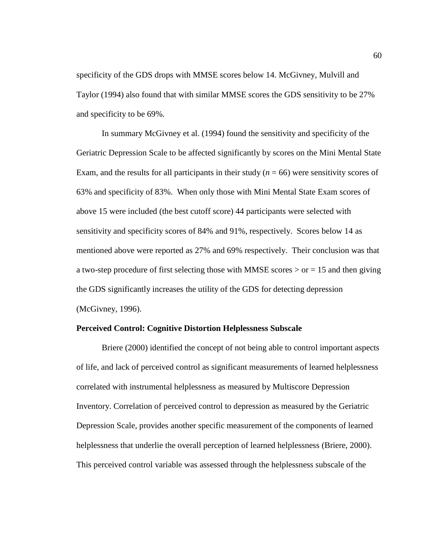specificity of the GDS drops with MMSE scores below 14. McGivney, Mulvill and Taylor (1994) also found that with similar MMSE scores the GDS sensitivity to be 27% and specificity to be 69%.

In summary McGivney et al. (1994) found the sensitivity and specificity of the Geriatric Depression Scale to be affected significantly by scores on the Mini Mental State Exam, and the results for all participants in their study  $(n = 66)$  were sensitivity scores of 63% and specificity of 83%. When only those with Mini Mental State Exam scores of above 15 were included (the best cutoff score) 44 participants were selected with sensitivity and specificity scores of 84% and 91%, respectively. Scores below 14 as mentioned above were reported as 27% and 69% respectively. Their conclusion was that a two-step procedure of first selecting those with MMSE scores  $>$  or  $=$  15 and then giving the GDS significantly increases the utility of the GDS for detecting depression (McGivney, 1996).

# **Perceived Control: Cognitive Distortion Helplessness Subscale**

Briere (2000) identified the concept of not being able to control important aspects of life, and lack of perceived control as significant measurements of learned helplessness correlated with instrumental helplessness as measured by Multiscore Depression Inventory. Correlation of perceived control to depression as measured by the Geriatric Depression Scale, provides another specific measurement of the components of learned helplessness that underlie the overall perception of learned helplessness (Briere, 2000). This perceived control variable was assessed through the helplessness subscale of the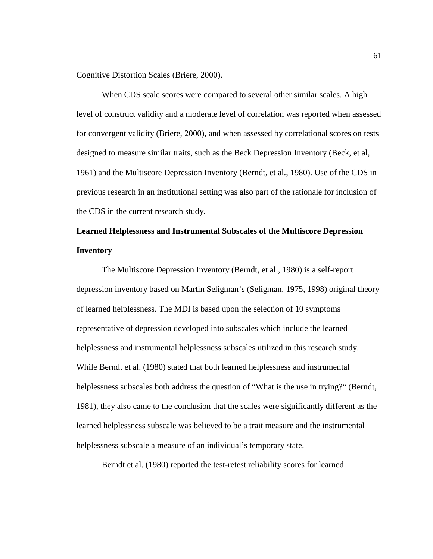Cognitive Distortion Scales (Briere, 2000).

When CDS scale scores were compared to several other similar scales. A high level of construct validity and a moderate level of correlation was reported when assessed for convergent validity (Briere, 2000), and when assessed by correlational scores on tests designed to measure similar traits, such as the Beck Depression Inventory (Beck, et al, 1961) and the Multiscore Depression Inventory (Berndt, et al., 1980). Use of the CDS in previous research in an institutional setting was also part of the rationale for inclusion of the CDS in the current research study.

# **Learned Helplessness and Instrumental Subscales of the Multiscore Depression Inventory**

The Multiscore Depression Inventory (Berndt, et al., 1980) is a self-report depression inventory based on Martin Seligman's (Seligman, 1975, 1998) original theory of learned helplessness. The MDI is based upon the selection of 10 symptoms representative of depression developed into subscales which include the learned helplessness and instrumental helplessness subscales utilized in this research study. While Berndt et al. (1980) stated that both learned helplessness and instrumental helplessness subscales both address the question of "What is the use in trying?" (Berndt, 1981), they also came to the conclusion that the scales were significantly different as the learned helplessness subscale was believed to be a trait measure and the instrumental helplessness subscale a measure of an individual's temporary state.

Berndt et al. (1980) reported the test-retest reliability scores for learned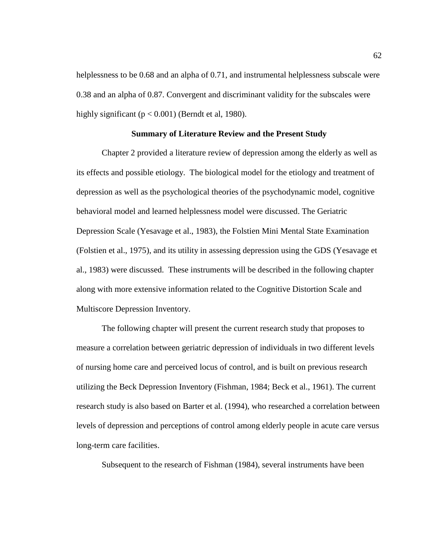helplessness to be 0.68 and an alpha of 0.71, and instrumental helplessness subscale were 0.38 and an alpha of 0.87. Convergent and discriminant validity for the subscales were highly significant ( $p < 0.001$ ) (Berndt et al, 1980).

## **Summary of Literature Review and the Present Study**

Chapter 2 provided a literature review of depression among the elderly as well as its effects and possible etiology. The biological model for the etiology and treatment of depression as well as the psychological theories of the psychodynamic model, cognitive behavioral model and learned helplessness model were discussed. The Geriatric Depression Scale (Yesavage et al., 1983), the Folstien Mini Mental State Examination (Folstien et al., 1975), and its utility in assessing depression using the GDS (Yesavage et al., 1983) were discussed. These instruments will be described in the following chapter along with more extensive information related to the Cognitive Distortion Scale and Multiscore Depression Inventory.

The following chapter will present the current research study that proposes to measure a correlation between geriatric depression of individuals in two different levels of nursing home care and perceived locus of control, and is built on previous research utilizing the Beck Depression Inventory (Fishman, 1984; Beck et al., 1961). The current research study is also based on Barter et al. (1994), who researched a correlation between levels of depression and perceptions of control among elderly people in acute care versus long-term care facilities.

Subsequent to the research of Fishman (1984), several instruments have been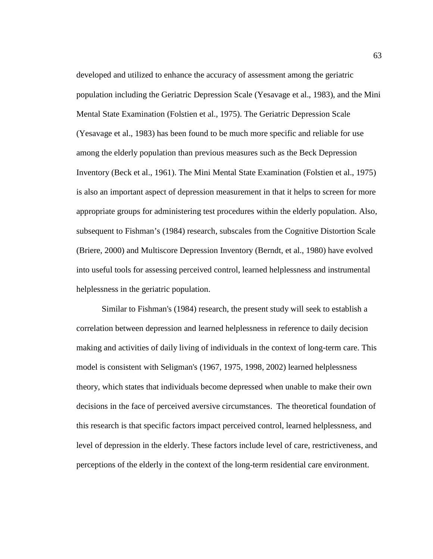developed and utilized to enhance the accuracy of assessment among the geriatric population including the Geriatric Depression Scale (Yesavage et al., 1983), and the Mini Mental State Examination (Folstien et al., 1975). The Geriatric Depression Scale (Yesavage et al., 1983) has been found to be much more specific and reliable for use among the elderly population than previous measures such as the Beck Depression Inventory (Beck et al., 1961). The Mini Mental State Examination (Folstien et al., 1975) is also an important aspect of depression measurement in that it helps to screen for more appropriate groups for administering test procedures within the elderly population. Also, subsequent to Fishman's (1984) research, subscales from the Cognitive Distortion Scale (Briere, 2000) and Multiscore Depression Inventory (Berndt, et al., 1980) have evolved into useful tools for assessing perceived control, learned helplessness and instrumental helplessness in the geriatric population.

Similar to Fishman's (1984) research, the present study will seek to establish a correlation between depression and learned helplessness in reference to daily decision making and activities of daily living of individuals in the context of long-term care. This model is consistent with Seligman's (1967, 1975, 1998, 2002) learned helplessness theory, which states that individuals become depressed when unable to make their own decisions in the face of perceived aversive circumstances. The theoretical foundation of this research is that specific factors impact perceived control, learned helplessness, and level of depression in the elderly. These factors include level of care, restrictiveness, and perceptions of the elderly in the context of the long-term residential care environment.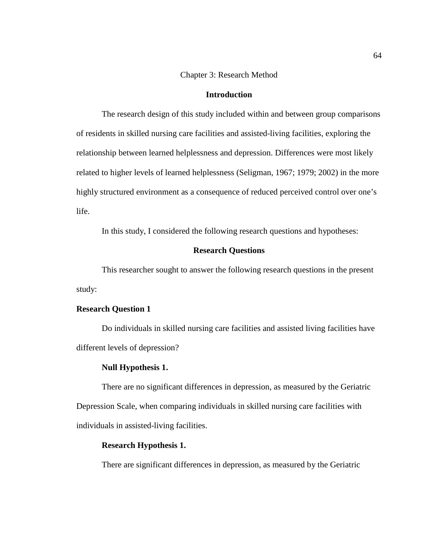# Chapter 3: Research Method

# **Introduction**

The research design of this study included within and between group comparisons of residents in skilled nursing care facilities and assisted-living facilities, exploring the relationship between learned helplessness and depression. Differences were most likely related to higher levels of learned helplessness (Seligman, 1967; 1979; 2002) in the more highly structured environment as a consequence of reduced perceived control over one's life.

In this study, I considered the following research questions and hypotheses:

## **Research Questions**

This researcher sought to answer the following research questions in the present study:

# **Research Question 1**

Do individuals in skilled nursing care facilities and assisted living facilities have different levels of depression?

#### **Null Hypothesis 1.**

There are no significant differences in depression, as measured by the Geriatric Depression Scale, when comparing individuals in skilled nursing care facilities with individuals in assisted-living facilities.

#### **Research Hypothesis 1.**

There are significant differences in depression, as measured by the Geriatric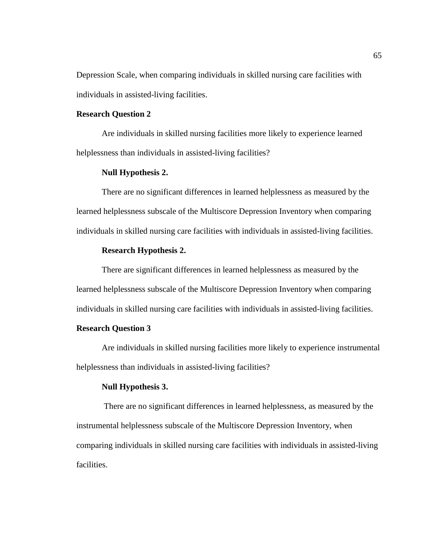Depression Scale, when comparing individuals in skilled nursing care facilities with individuals in assisted-living facilities.

# **Research Question 2**

Are individuals in skilled nursing facilities more likely to experience learned helplessness than individuals in assisted-living facilities?

## **Null Hypothesis 2.**

There are no significant differences in learned helplessness as measured by the learned helplessness subscale of the Multiscore Depression Inventory when comparing individuals in skilled nursing care facilities with individuals in assisted-living facilities.

## **Research Hypothesis 2.**

There are significant differences in learned helplessness as measured by the learned helplessness subscale of the Multiscore Depression Inventory when comparing individuals in skilled nursing care facilities with individuals in assisted-living facilities.

# **Research Question 3**

Are individuals in skilled nursing facilities more likely to experience instrumental helplessness than individuals in assisted-living facilities?

# **Null Hypothesis 3.**

There are no significant differences in learned helplessness, as measured by the instrumental helplessness subscale of the Multiscore Depression Inventory, when comparing individuals in skilled nursing care facilities with individuals in assisted-living facilities.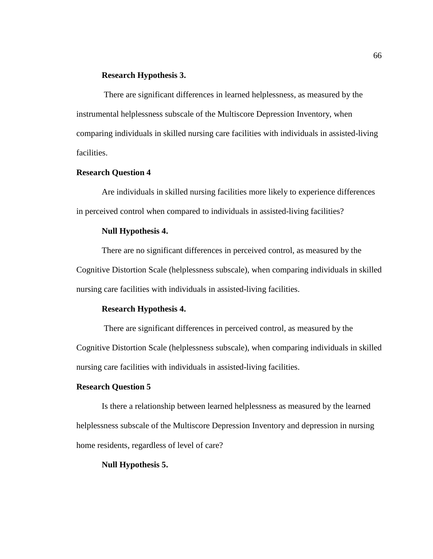# **Research Hypothesis 3.**

There are significant differences in learned helplessness, as measured by the instrumental helplessness subscale of the Multiscore Depression Inventory, when comparing individuals in skilled nursing care facilities with individuals in assisted-living facilities.

# **Research Question 4**

Are individuals in skilled nursing facilities more likely to experience differences in perceived control when compared to individuals in assisted-living facilities?

# **Null Hypothesis 4.**

There are no significant differences in perceived control, as measured by the Cognitive Distortion Scale (helplessness subscale), when comparing individuals in skilled nursing care facilities with individuals in assisted-living facilities.

# **Research Hypothesis 4.**

There are significant differences in perceived control, as measured by the Cognitive Distortion Scale (helplessness subscale), when comparing individuals in skilled nursing care facilities with individuals in assisted-living facilities.

# **Research Question 5**

Is there a relationship between learned helplessness as measured by the learned helplessness subscale of the Multiscore Depression Inventory and depression in nursing home residents, regardless of level of care?

#### **Null Hypothesis 5.**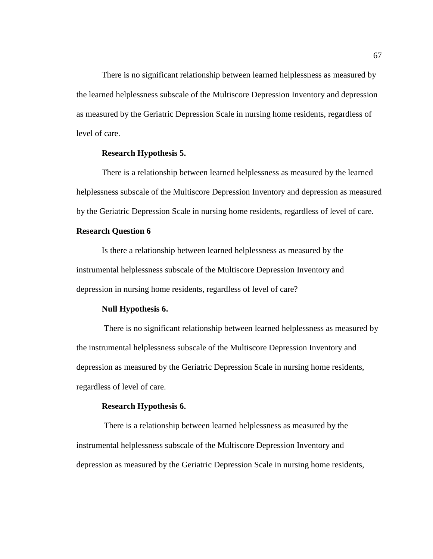There is no significant relationship between learned helplessness as measured by the learned helplessness subscale of the Multiscore Depression Inventory and depression as measured by the Geriatric Depression Scale in nursing home residents, regardless of level of care.

# **Research Hypothesis 5.**

There is a relationship between learned helplessness as measured by the learned helplessness subscale of the Multiscore Depression Inventory and depression as measured by the Geriatric Depression Scale in nursing home residents, regardless of level of care.

# **Research Question 6**

Is there a relationship between learned helplessness as measured by the instrumental helplessness subscale of the Multiscore Depression Inventory and depression in nursing home residents, regardless of level of care?

#### **Null Hypothesis 6.**

There is no significant relationship between learned helplessness as measured by the instrumental helplessness subscale of the Multiscore Depression Inventory and depression as measured by the Geriatric Depression Scale in nursing home residents, regardless of level of care.

#### **Research Hypothesis 6.**

There is a relationship between learned helplessness as measured by the instrumental helplessness subscale of the Multiscore Depression Inventory and depression as measured by the Geriatric Depression Scale in nursing home residents,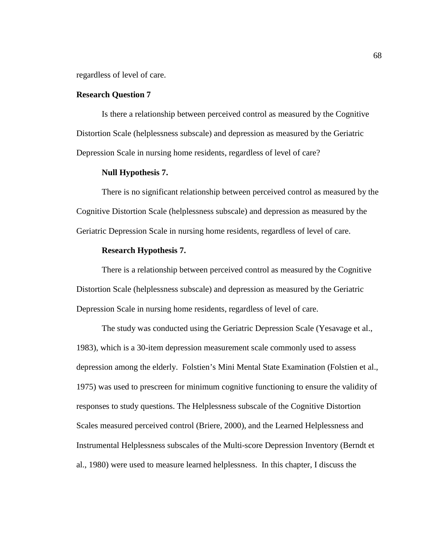regardless of level of care.

# **Research Question 7**

Is there a relationship between perceived control as measured by the Cognitive Distortion Scale (helplessness subscale) and depression as measured by the Geriatric Depression Scale in nursing home residents, regardless of level of care?

## **Null Hypothesis 7.**

There is no significant relationship between perceived control as measured by the Cognitive Distortion Scale (helplessness subscale) and depression as measured by the Geriatric Depression Scale in nursing home residents, regardless of level of care.

## **Research Hypothesis 7.**

There is a relationship between perceived control as measured by the Cognitive Distortion Scale (helplessness subscale) and depression as measured by the Geriatric Depression Scale in nursing home residents, regardless of level of care.

The study was conducted using the Geriatric Depression Scale (Yesavage et al., 1983), which is a 30-item depression measurement scale commonly used to assess depression among the elderly. Folstien's Mini Mental State Examination (Folstien et al., 1975) was used to prescreen for minimum cognitive functioning to ensure the validity of responses to study questions. The Helplessness subscale of the Cognitive Distortion Scales measured perceived control (Briere, 2000), and the Learned Helplessness and Instrumental Helplessness subscales of the Multi-score Depression Inventory (Berndt et al., 1980) were used to measure learned helplessness. In this chapter, I discuss the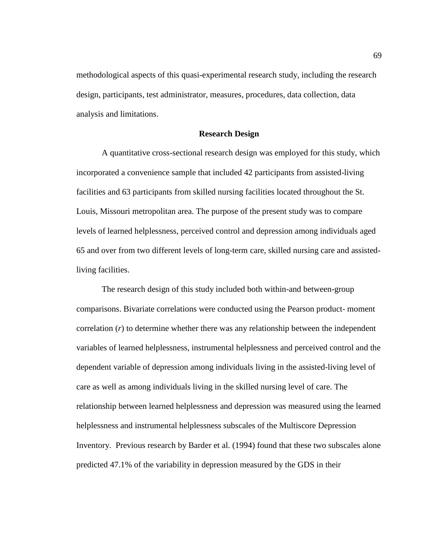methodological aspects of this quasi-experimental research study, including the research design, participants, test administrator, measures, procedures, data collection, data analysis and limitations.

#### **Research Design**

A quantitative cross-sectional research design was employed for this study, which incorporated a convenience sample that included 42 participants from assisted-living facilities and 63 participants from skilled nursing facilities located throughout the St. Louis, Missouri metropolitan area. The purpose of the present study was to compare levels of learned helplessness, perceived control and depression among individuals aged 65 and over from two different levels of long-term care, skilled nursing care and assistedliving facilities.

The research design of this study included both within-and between-group comparisons. Bivariate correlations were conducted using the Pearson product- moment correlation (*r*) to determine whether there was any relationship between the independent variables of learned helplessness, instrumental helplessness and perceived control and the dependent variable of depression among individuals living in the assisted-living level of care as well as among individuals living in the skilled nursing level of care. The relationship between learned helplessness and depression was measured using the learned helplessness and instrumental helplessness subscales of the Multiscore Depression Inventory. Previous research by Barder et al. (1994) found that these two subscales alone predicted 47.1% of the variability in depression measured by the GDS in their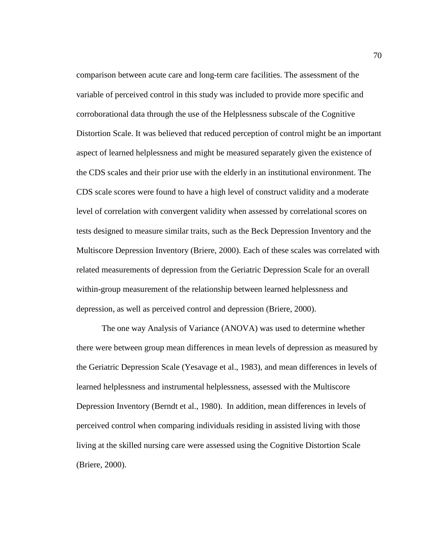comparison between acute care and long-term care facilities. The assessment of the variable of perceived control in this study was included to provide more specific and corroborational data through the use of the Helplessness subscale of the Cognitive Distortion Scale. It was believed that reduced perception of control might be an important aspect of learned helplessness and might be measured separately given the existence of the CDS scales and their prior use with the elderly in an institutional environment. The CDS scale scores were found to have a high level of construct validity and a moderate level of correlation with convergent validity when assessed by correlational scores on tests designed to measure similar traits, such as the Beck Depression Inventory and the Multiscore Depression Inventory (Briere, 2000). Each of these scales was correlated with related measurements of depression from the Geriatric Depression Scale for an overall within-group measurement of the relationship between learned helplessness and depression, as well as perceived control and depression (Briere, 2000).

The one way Analysis of Variance (ANOVA) was used to determine whether there were between group mean differences in mean levels of depression as measured by the Geriatric Depression Scale (Yesavage et al., 1983), and mean differences in levels of learned helplessness and instrumental helplessness, assessed with the Multiscore Depression Inventory (Berndt et al., 1980). In addition, mean differences in levels of perceived control when comparing individuals residing in assisted living with those living at the skilled nursing care were assessed using the Cognitive Distortion Scale (Briere, 2000).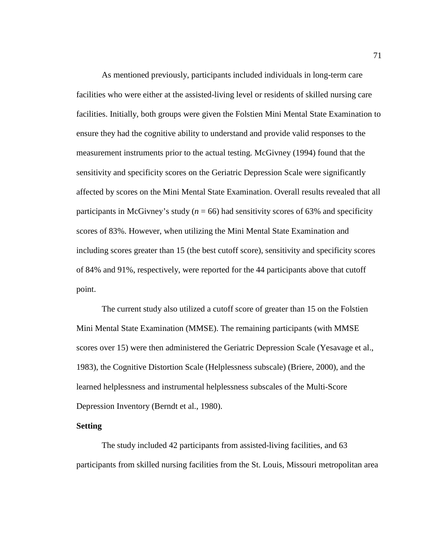As mentioned previously, participants included individuals in long-term care facilities who were either at the assisted-living level or residents of skilled nursing care facilities. Initially, both groups were given the Folstien Mini Mental State Examination to ensure they had the cognitive ability to understand and provide valid responses to the measurement instruments prior to the actual testing. McGivney (1994) found that the sensitivity and specificity scores on the Geriatric Depression Scale were significantly affected by scores on the Mini Mental State Examination. Overall results revealed that all participants in McGivney's study ( $n = 66$ ) had sensitivity scores of 63% and specificity scores of 83%. However, when utilizing the Mini Mental State Examination and including scores greater than 15 (the best cutoff score), sensitivity and specificity scores of 84% and 91%, respectively, were reported for the 44 participants above that cutoff point.

The current study also utilized a cutoff score of greater than 15 on the Folstien Mini Mental State Examination (MMSE). The remaining participants (with MMSE scores over 15) were then administered the Geriatric Depression Scale (Yesavage et al., 1983), the Cognitive Distortion Scale (Helplessness subscale) (Briere, 2000), and the learned helplessness and instrumental helplessness subscales of the Multi-Score Depression Inventory (Berndt et al., 1980).

# **Setting**

The study included 42 participants from assisted-living facilities, and 63 participants from skilled nursing facilities from the St. Louis, Missouri metropolitan area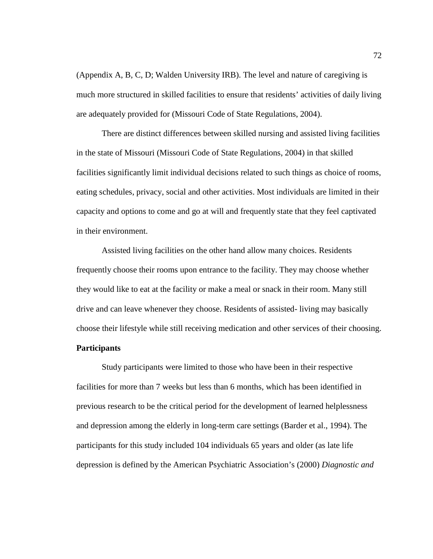(Appendix A, B, C, D; Walden University IRB). The level and nature of caregiving is much more structured in skilled facilities to ensure that residents' activities of daily living are adequately provided for (Missouri Code of State Regulations, 2004).

There are distinct differences between skilled nursing and assisted living facilities in the state of Missouri (Missouri Code of State Regulations, 2004) in that skilled facilities significantly limit individual decisions related to such things as choice of rooms, eating schedules, privacy, social and other activities. Most individuals are limited in their capacity and options to come and go at will and frequently state that they feel captivated in their environment.

Assisted living facilities on the other hand allow many choices. Residents frequently choose their rooms upon entrance to the facility. They may choose whether they would like to eat at the facility or make a meal or snack in their room. Many still drive and can leave whenever they choose. Residents of assisted- living may basically choose their lifestyle while still receiving medication and other services of their choosing.

# **Participants**

Study participants were limited to those who have been in their respective facilities for more than 7 weeks but less than 6 months, which has been identified in previous research to be the critical period for the development of learned helplessness and depression among the elderly in long-term care settings (Barder et al., 1994). The participants for this study included 104 individuals 65 years and older (as late life depression is defined by the American Psychiatric Association's (2000) *Diagnostic and*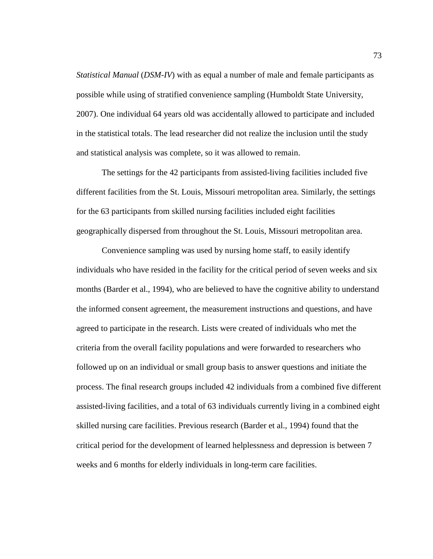*Statistical Manual (DSM-IV)* with as equal a number of male and female participants as possible while using of stratified convenience sampling (Humboldt State University, 2007). One individual 64 years old was accidentally allowed to participate and included in the statistical totals. The lead researcher did not realize the inclusion until the study and statistical analysis was complete, so it was allowed to remain.

The settings for the 42 participants from assisted-living facilities included five different facilities from the St. Louis, Missouri metropolitan area. Similarly, the settings for the 63 participants from skilled nursing facilities included eight facilities geographically dispersed from throughout the St. Louis, Missouri metropolitan area.

Convenience sampling was used by nursing home staff, to easily identify individuals who have resided in the facility for the critical period of seven weeks and six months (Barder et al., 1994), who are believed to have the cognitive ability to understand the informed consent agreement, the measurement instructions and questions, and have agreed to participate in the research. Lists were created of individuals who met the criteria from the overall facility populations and were forwarded to researchers who followed up on an individual or small group basis to answer questions and initiate the process. The final research groups included 42 individuals from a combined five different assisted-living facilities, and a total of 63 individuals currently living in a combined eight skilled nursing care facilities. Previous research (Barder et al., 1994) found that the critical period for the development of learned helplessness and depression is between 7 weeks and 6 months for elderly individuals in long-term care facilities.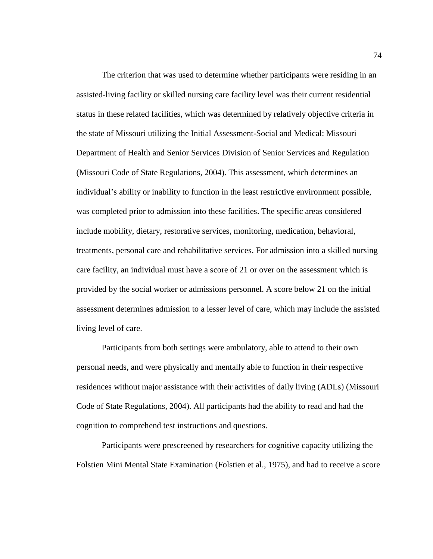The criterion that was used to determine whether participants were residing in an assisted-living facility or skilled nursing care facility level was their current residential status in these related facilities, which was determined by relatively objective criteria in the state of Missouri utilizing the Initial Assessment-Social and Medical: Missouri Department of Health and Senior Services Division of Senior Services and Regulation (Missouri Code of State Regulations, 2004). This assessment, which determines an individual's ability or inability to function in the least restrictive environment possible, was completed prior to admission into these facilities. The specific areas considered include mobility, dietary, restorative services, monitoring, medication, behavioral, treatments, personal care and rehabilitative services. For admission into a skilled nursing care facility, an individual must have a score of 21 or over on the assessment which is provided by the social worker or admissions personnel. A score below 21 on the initial assessment determines admission to a lesser level of care, which may include the assisted living level of care.

Participants from both settings were ambulatory, able to attend to their own personal needs, and were physically and mentally able to function in their respective residences without major assistance with their activities of daily living (ADLs) (Missouri Code of State Regulations, 2004). All participants had the ability to read and had the cognition to comprehend test instructions and questions.

Participants were prescreened by researchers for cognitive capacity utilizing the Folstien Mini Mental State Examination (Folstien et al., 1975), and had to receive a score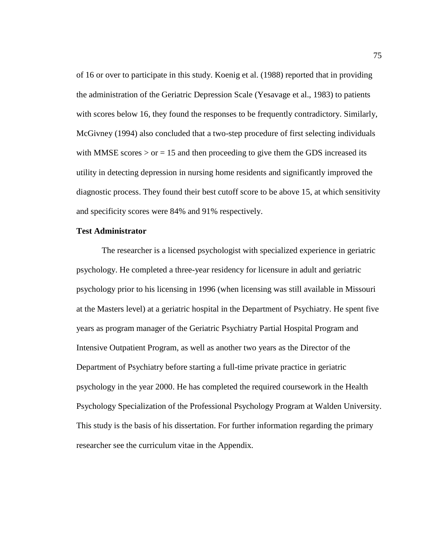of 16 or over to participate in this study. Koenig et al. (1988) reported that in providing the administration of the Geriatric Depression Scale (Yesavage et al., 1983) to patients with scores below 16, they found the responses to be frequently contradictory. Similarly, McGivney (1994) also concluded that a two-step procedure of first selecting individuals with MMSE scores  $>$  or  $=$  15 and then proceeding to give them the GDS increased its utility in detecting depression in nursing home residents and significantly improved the diagnostic process. They found their best cutoff score to be above 15, at which sensitivity and specificity scores were 84% and 91% respectively.

# **Test Administrator**

The researcher is a licensed psychologist with specialized experience in geriatric psychology. He completed a three-year residency for licensure in adult and geriatric psychology prior to his licensing in 1996 (when licensing was still available in Missouri at the Masters level) at a geriatric hospital in the Department of Psychiatry. He spent five years as program manager of the Geriatric Psychiatry Partial Hospital Program and Intensive Outpatient Program, as well as another two years as the Director of the Department of Psychiatry before starting a full-time private practice in geriatric psychology in the year 2000. He has completed the required coursework in the Health Psychology Specialization of the Professional Psychology Program at Walden University. This study is the basis of his dissertation. For further information regarding the primary researcher see the curriculum vitae in the Appendix.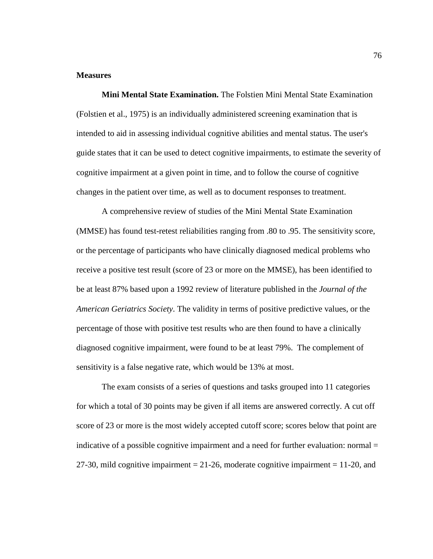## **Measures**

**Mini Mental State Examination.** The Folstien Mini Mental State Examination (Folstien et al., 1975) is an individually administered screening examination that is intended to aid in assessing individual cognitive abilities and mental status. The user's guide states that it can be used to detect cognitive impairments, to estimate the severity of cognitive impairment at a given point in time, and to follow the course of cognitive changes in the patient over time, as well as to document responses to treatment.

A comprehensive review of studies of the Mini Mental State Examination (MMSE) has found test-retest reliabilities ranging from .80 to .95. The sensitivity score, or the percentage of participants who have clinically diagnosed medical problems who receive a positive test result (score of 23 or more on the MMSE), has been identified to be at least 87% based upon a 1992 review of literature published in the *Journal of the American Geriatrics Society*. The validity in terms of positive predictive values, or the percentage of those with positive test results who are then found to have a clinically diagnosed cognitive impairment, were found to be at least 79%. The complement of sensitivity is a false negative rate, which would be 13% at most.

The exam consists of a series of questions and tasks grouped into 11 categories for which a total of 30 points may be given if all items are answered correctly. A cut off score of 23 or more is the most widely accepted cutoff score; scores below that point are indicative of a possible cognitive impairment and a need for further evaluation: normal = 27-30, mild cognitive impairment  $= 21-26$ , moderate cognitive impairment  $= 11-20$ , and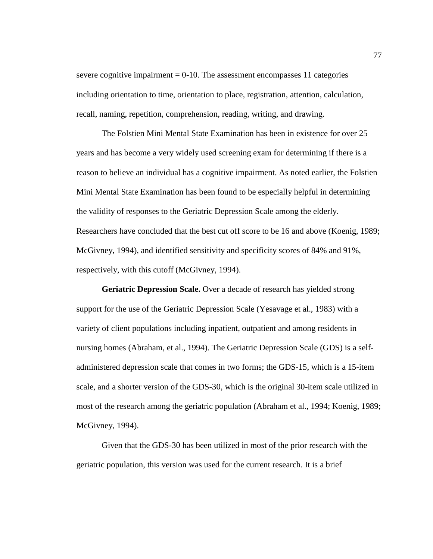severe cognitive impairment  $= 0-10$ . The assessment encompasses 11 categories including orientation to time, orientation to place, registration, attention, calculation, recall, naming, repetition, comprehension, reading, writing, and drawing.

The Folstien Mini Mental State Examination has been in existence for over 25 years and has become a very widely used screening exam for determining if there is a reason to believe an individual has a cognitive impairment. As noted earlier, the Folstien Mini Mental State Examination has been found to be especially helpful in determining the validity of responses to the Geriatric Depression Scale among the elderly. Researchers have concluded that the best cut off score to be 16 and above (Koenig, 1989; McGivney, 1994), and identified sensitivity and specificity scores of 84% and 91%, respectively, with this cutoff (McGivney, 1994).

**Geriatric Depression Scale.** Over a decade of research has yielded strong support for the use of the Geriatric Depression Scale (Yesavage et al., 1983) with a variety of client populations including inpatient, outpatient and among residents in nursing homes (Abraham, et al., 1994). The Geriatric Depression Scale (GDS) is a selfadministered depression scale that comes in two forms; the GDS-15, which is a 15-item scale, and a shorter version of the GDS-30, which is the original 30-item scale utilized in most of the research among the geriatric population (Abraham et al., 1994; Koenig, 1989; McGivney, 1994).

Given that the GDS-30 has been utilized in most of the prior research with the geriatric population, this version was used for the current research. It is a brief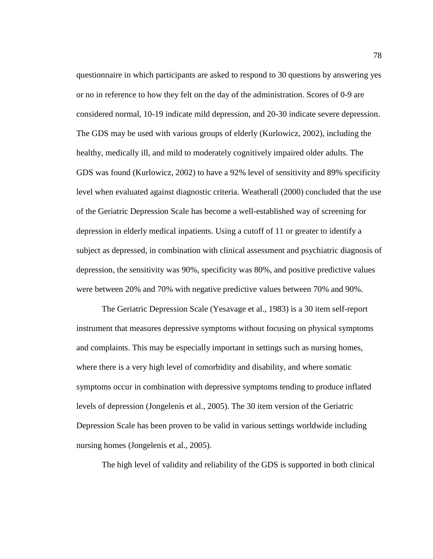questionnaire in which participants are asked to respond to 30 questions by answering yes or no in reference to how they felt on the day of the administration. Scores of 0-9 are considered normal, 10-19 indicate mild depression, and 20-30 indicate severe depression. The GDS may be used with various groups of elderly (Kurlowicz, 2002), including the healthy, medically ill, and mild to moderately cognitively impaired older adults. The GDS was found (Kurlowicz, 2002) to have a 92% level of sensitivity and 89% specificity level when evaluated against diagnostic criteria. Weatherall (2000) concluded that the use of the Geriatric Depression Scale has become a well-established way of screening for depression in elderly medical inpatients. Using a cutoff of 11 or greater to identify a subject as depressed, in combination with clinical assessment and psychiatric diagnosis of depression, the sensitivity was 90%, specificity was 80%, and positive predictive values were between 20% and 70% with negative predictive values between 70% and 90%.

The Geriatric Depression Scale (Yesavage et al., 1983) is a 30 item self-report instrument that measures depressive symptoms without focusing on physical symptoms and complaints. This may be especially important in settings such as nursing homes, where there is a very high level of comorbidity and disability, and where somatic symptoms occur in combination with depressive symptoms tending to produce inflated levels of depression (Jongelenis et al., 2005). The 30 item version of the Geriatric Depression Scale has been proven to be valid in various settings worldwide including nursing homes (Jongelenis et al., 2005).

The high level of validity and reliability of the GDS is supported in both clinical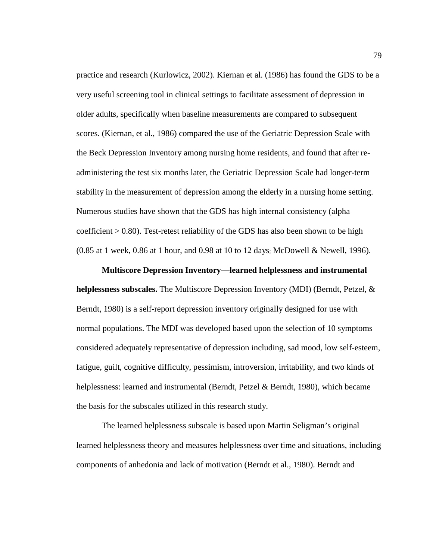practice and research (Kurlowicz, 2002). Kiernan et al. (1986) has found the GDS to be a very useful screening tool in clinical settings to facilitate assessment of depression in older adults, specifically when baseline measurements are compared to subsequent scores. (Kiernan, et al., 1986) compared the use of the Geriatric Depression Scale with the Beck Depression Inventory among nursing home residents, and found that after readministering the test six months later, the Geriatric Depression Scale had longer-term stability in the measurement of depression among the elderly in a nursing home setting. Numerous studies have shown that the GDS has high internal consistency (alpha coefficient > 0.80). Test-retest reliability of the GDS has also been shown to be high  $(0.85$  at 1 week,  $0.86$  at 1 hour, and  $0.98$  at 10 to 12 days; McDowell & Newell, 1996).

#### **Multiscore Depression Inventory—learned helplessness and instrumental**

**helplessness subscales.** The Multiscore Depression Inventory (MDI) (Berndt, Petzel, & Berndt, 1980) is a self-report depression inventory originally designed for use with normal populations. The MDI was developed based upon the selection of 10 symptoms considered adequately representative of depression including, sad mood, low self-esteem, fatigue, guilt, cognitive difficulty, pessimism, introversion, irritability, and two kinds of helplessness: learned and instrumental (Berndt, Petzel & Berndt, 1980), which became the basis for the subscales utilized in this research study.

The learned helplessness subscale is based upon Martin Seligman's original learned helplessness theory and measures helplessness over time and situations, including components of anhedonia and lack of motivation (Berndt et al., 1980). Berndt and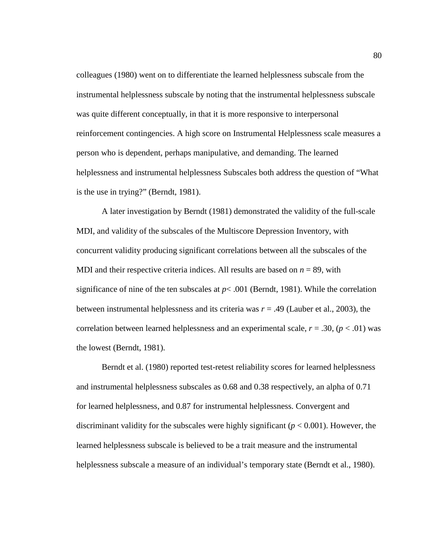colleagues (1980) went on to differentiate the learned helplessness subscale from the instrumental helplessness subscale by noting that the instrumental helplessness subscale was quite different conceptually, in that it is more responsive to interpersonal reinforcement contingencies. A high score on Instrumental Helplessness scale measures a person who is dependent, perhaps manipulative, and demanding. The learned helplessness and instrumental helplessness Subscales both address the question of "What is the use in trying?" (Berndt, 1981).

A later investigation by Berndt (1981) demonstrated the validity of the full-scale MDI, and validity of the subscales of the Multiscore Depression Inventory, with concurrent validity producing significant correlations between all the subscales of the MDI and their respective criteria indices. All results are based on  $n = 89$ , with significance of nine of the ten subscales at  $p < .001$  (Berndt, 1981). While the correlation between instrumental helplessness and its criteria was *r* = .49 (Lauber et al., 2003), the correlation between learned helplessness and an experimental scale,  $r = .30$ ,  $(p < .01)$  was the lowest (Berndt, 1981).

Berndt et al. (1980) reported test-retest reliability scores for learned helplessness and instrumental helplessness subscales as 0.68 and 0.38 respectively, an alpha of 0.71 for learned helplessness, and 0.87 for instrumental helplessness. Convergent and discriminant validity for the subscales were highly significant ( $p < 0.001$ ). However, the learned helplessness subscale is believed to be a trait measure and the instrumental helplessness subscale a measure of an individual's temporary state (Berndt et al., 1980).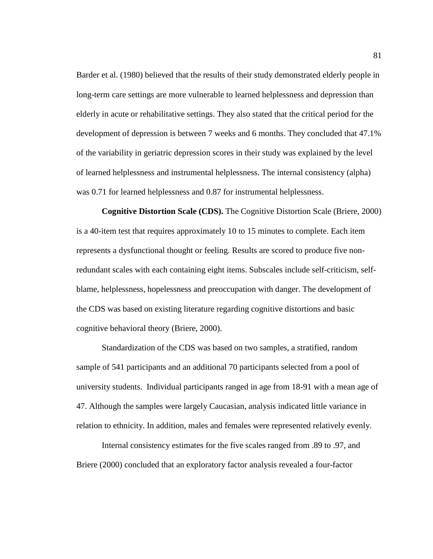Barder et al. (1980) believed that the results of their study demonstrated elderly people in long-term care settings are more vulnerable to learned helplessness and depression than elderly in acute or rehabilitative settings. They also stated that the critical period for the development of depression is between 7 weeks and 6 months. They concluded that 47.1% of the variability in geriatric depression scores in their study was explained by the level of learned helplessness and instrumental helplessness. The internal consistency (alpha) was 0.71 for learned helplessness and 0.87 for instrumental helplessness.

**Cognitive Distortion Scale (CDS).** The Cognitive Distortion Scale (Briere, 2000) is a 40-item test that requires approximately 10 to 15 minutes to complete. Each item represents a dysfunctional thought or feeling. Results are scored to produce five nonredundant scales with each containing eight items. Subscales include self-criticism, selfblame, helplessness, hopelessness and preoccupation with danger. The development of the CDS was based on existing literature regarding cognitive distortions and basic cognitive behavioral theory (Briere, 2000).

Standardization of the CDS was based on two samples, a stratified, random sample of 541 participants and an additional 70 participants selected from a pool of university students. Individual participants ranged in age from 18-91 with a mean age of 47. Although the samples were largely Caucasian, analysis indicated little variance in relation to ethnicity. In addition, males and females were represented relatively evenly.

Internal consistency estimates for the five scales ranged from .89 to .97, and Briere (2000) concluded that an exploratory factor analysis revealed a four-factor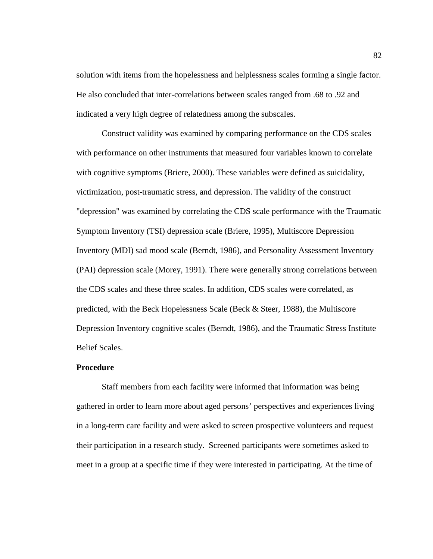solution with items from the hopelessness and helplessness scales forming a single factor. He also concluded that inter-correlations between scales ranged from .68 to .92 and indicated a very high degree of relatedness among the subscales.

Construct validity was examined by comparing performance on the CDS scales with performance on other instruments that measured four variables known to correlate with cognitive symptoms (Briere, 2000). These variables were defined as suicidality, victimization, post-traumatic stress, and depression. The validity of the construct "depression" was examined by correlating the CDS scale performance with the Traumatic Symptom Inventory (TSI) depression scale (Briere, 1995), Multiscore Depression Inventory (MDI) sad mood scale (Berndt, 1986), and Personality Assessment Inventory (PAI) depression scale (Morey, 1991). There were generally strong correlations between the CDS scales and these three scales. In addition, CDS scales were correlated, as predicted, with the Beck Hopelessness Scale (Beck & Steer, 1988), the Multiscore Depression Inventory cognitive scales (Berndt, 1986), and the Traumatic Stress Institute Belief Scales.

# **Procedure**

Staff members from each facility were informed that information was being gathered in order to learn more about aged persons' perspectives and experiences living in a long-term care facility and were asked to screen prospective volunteers and request their participation in a research study. Screened participants were sometimes asked to meet in a group at a specific time if they were interested in participating. At the time of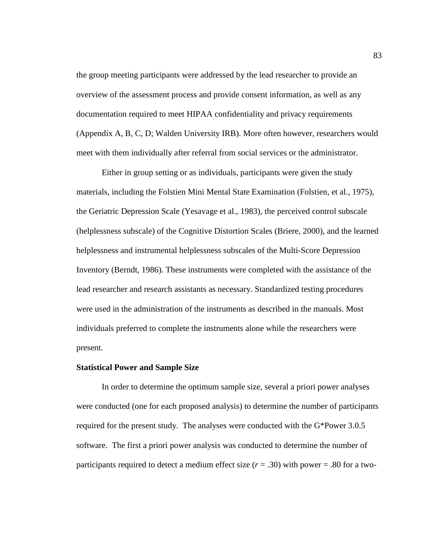the group meeting participants were addressed by the lead researcher to provide an overview of the assessment process and provide consent information, as well as any documentation required to meet HIPAA confidentiality and privacy requirements (Appendix A, B, C, D; Walden University IRB). More often however, researchers would meet with them individually after referral from social services or the administrator.

Either in group setting or as individuals, participants were given the study materials, including the Folstien Mini Mental State Examination (Folstien, et al., 1975), the Geriatric Depression Scale (Yesavage et al., 1983), the perceived control subscale (helplessness subscale) of the Cognitive Distortion Scales (Briere, 2000), and the learned helplessness and instrumental helplessness subscales of the Multi-Score Depression Inventory (Berndt, 1986). These instruments were completed with the assistance of the lead researcher and research assistants as necessary. Standardized testing procedures were used in the administration of the instruments as described in the manuals. Most individuals preferred to complete the instruments alone while the researchers were present.

#### **Statistical Power and Sample Size**

In order to determine the optimum sample size, several a priori power analyses were conducted (one for each proposed analysis) to determine the number of participants required for the present study. The analyses were conducted with the G\*Power 3.0.5 software. The first a priori power analysis was conducted to determine the number of participants required to detect a medium effect size  $(r = .30)$  with power = .80 for a two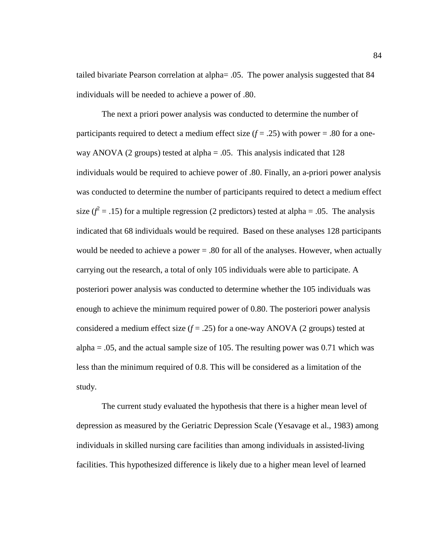tailed bivariate Pearson correlation at alpha= .05. The power analysis suggested that 84 individuals will be needed to achieve a power of .80.

The next a priori power analysis was conducted to determine the number of participants required to detect a medium effect size  $(f = .25)$  with power = .80 for a oneway ANOVA (2 groups) tested at alpha  $= .05$ . This analysis indicated that 128 individuals would be required to achieve power of .80. Finally, an a-priori power analysis was conducted to determine the number of participants required to detect a medium effect size  $(f^2 = .15)$  for a multiple regression (2 predictors) tested at alpha = .05. The analysis indicated that 68 individuals would be required. Based on these analyses 128 participants would be needed to achieve a power = .80 for all of the analyses. However, when actually carrying out the research, a total of only 105 individuals were able to participate. A posteriori power analysis was conducted to determine whether the 105 individuals was enough to achieve the minimum required power of 0.80. The posteriori power analysis considered a medium effect size  $(f = .25)$  for a one-way ANOVA (2 groups) tested at alpha  $= .05$ , and the actual sample size of 105. The resulting power was 0.71 which was less than the minimum required of 0.8. This will be considered as a limitation of the study.

The current study evaluated the hypothesis that there is a higher mean level of depression as measured by the Geriatric Depression Scale (Yesavage et al., 1983) among individuals in skilled nursing care facilities than among individuals in assisted-living facilities. This hypothesized difference is likely due to a higher mean level of learned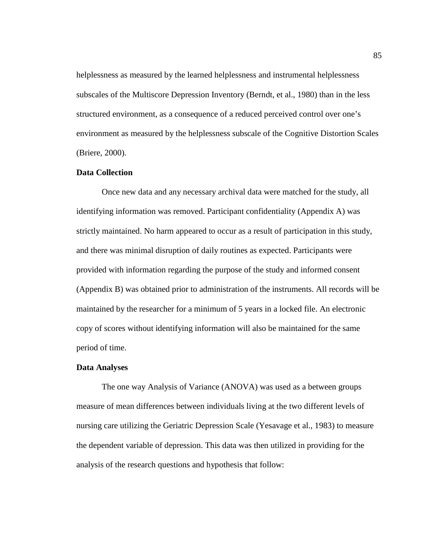helplessness as measured by the learned helplessness and instrumental helplessness subscales of the Multiscore Depression Inventory (Berndt, et al., 1980) than in the less structured environment, as a consequence of a reduced perceived control over one's environment as measured by the helplessness subscale of the Cognitive Distortion Scales (Briere, 2000).

# **Data Collection**

Once new data and any necessary archival data were matched for the study, all identifying information was removed. Participant confidentiality (Appendix A) was strictly maintained. No harm appeared to occur as a result of participation in this study, and there was minimal disruption of daily routines as expected. Participants were provided with information regarding the purpose of the study and informed consent (Appendix B) was obtained prior to administration of the instruments. All records will be maintained by the researcher for a minimum of 5 years in a locked file. An electronic copy of scores without identifying information will also be maintained for the same period of time.

#### **Data Analyses**

The one way Analysis of Variance (ANOVA) was used as a between groups measure of mean differences between individuals living at the two different levels of nursing care utilizing the Geriatric Depression Scale (Yesavage et al., 1983) to measure the dependent variable of depression. This data was then utilized in providing for the analysis of the research questions and hypothesis that follow: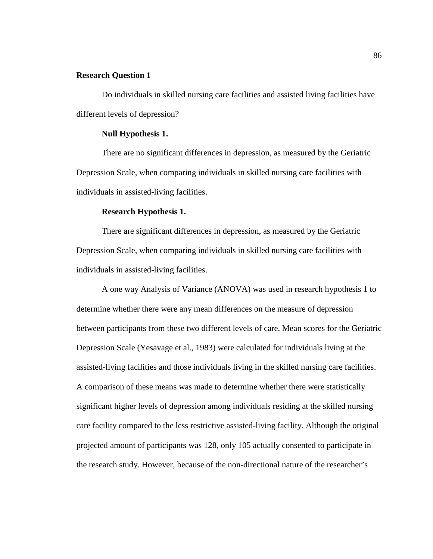# **Research Question 1**

Do individuals in skilled nursing care facilities and assisted living facilities have different levels of depression?

# **Null Hypothesis 1.**

There are no significant differences in depression, as measured by the Geriatric Depression Scale, when comparing individuals in skilled nursing care facilities with individuals in assisted-living facilities.

# **Research Hypothesis 1.**

There are significant differences in depression, as measured by the Geriatric Depression Scale, when comparing individuals in skilled nursing care facilities with individuals in assisted-living facilities.

A one way Analysis of Variance (ANOVA) was used in research hypothesis 1 to determine whether there were any mean differences on the measure of depression between participants from these two different levels of care. Mean scores for the Geriatric Depression Scale (Yesavage et al., 1983) were calculated for individuals living at the assisted-living facilities and those individuals living in the skilled nursing care facilities. A comparison of these means was made to determine whether there were statistically significant higher levels of depression among individuals residing at the skilled nursing care facility compared to the less restrictive assisted-living facility. Although the original projected amount of participants was 128, only 105 actually consented to participate in the research study. However, because of the non-directional nature of the researcher's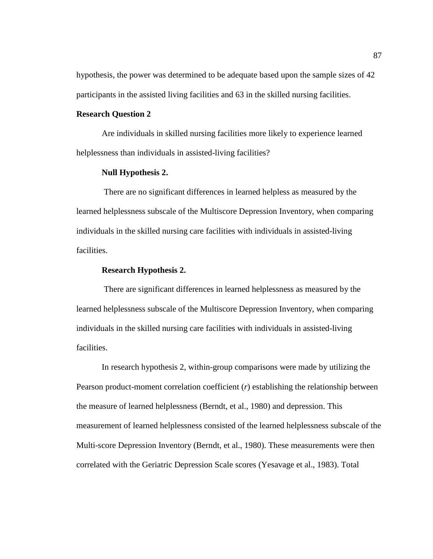hypothesis, the power was determined to be adequate based upon the sample sizes of 42 participants in the assisted living facilities and 63 in the skilled nursing facilities.

# **Research Question 2**

Are individuals in skilled nursing facilities more likely to experience learned helplessness than individuals in assisted-living facilities?

# **Null Hypothesis 2.**

There are no significant differences in learned helpless as measured by the learned helplessness subscale of the Multiscore Depression Inventory, when comparing individuals in the skilled nursing care facilities with individuals in assisted-living facilities.

#### **Research Hypothesis 2.**

There are significant differences in learned helplessness as measured by the learned helplessness subscale of the Multiscore Depression Inventory, when comparing individuals in the skilled nursing care facilities with individuals in assisted-living facilities.

In research hypothesis 2, within-group comparisons were made by utilizing the Pearson product-moment correlation coefficient (*r*) establishing the relationship between the measure of learned helplessness (Berndt, et al., 1980) and depression. This measurement of learned helplessness consisted of the learned helplessness subscale of the Multi-score Depression Inventory (Berndt, et al., 1980). These measurements were then correlated with the Geriatric Depression Scale scores (Yesavage et al., 1983). Total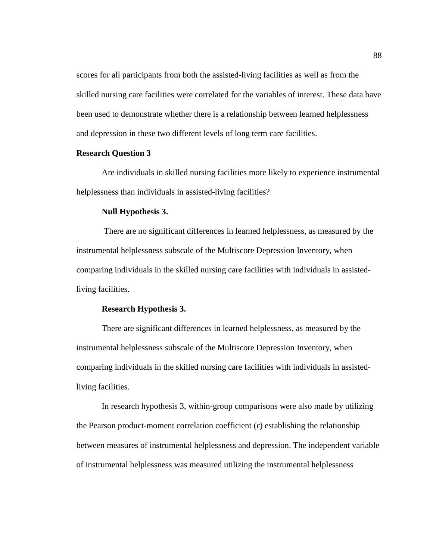scores for all participants from both the assisted-living facilities as well as from the skilled nursing care facilities were correlated for the variables of interest. These data have been used to demonstrate whether there is a relationship between learned helplessness and depression in these two different levels of long term care facilities.

# **Research Question 3**

Are individuals in skilled nursing facilities more likely to experience instrumental helplessness than individuals in assisted-living facilities?

# **Null Hypothesis 3.**

There are no significant differences in learned helplessness, as measured by the instrumental helplessness subscale of the Multiscore Depression Inventory, when comparing individuals in the skilled nursing care facilities with individuals in assistedliving facilities.

# **Research Hypothesis 3.**

There are significant differences in learned helplessness, as measured by the instrumental helplessness subscale of the Multiscore Depression Inventory, when comparing individuals in the skilled nursing care facilities with individuals in assistedliving facilities.

In research hypothesis 3, within-group comparisons were also made by utilizing the Pearson product-moment correlation coefficient (*r*) establishing the relationship between measures of instrumental helplessness and depression. The independent variable of instrumental helplessness was measured utilizing the instrumental helplessness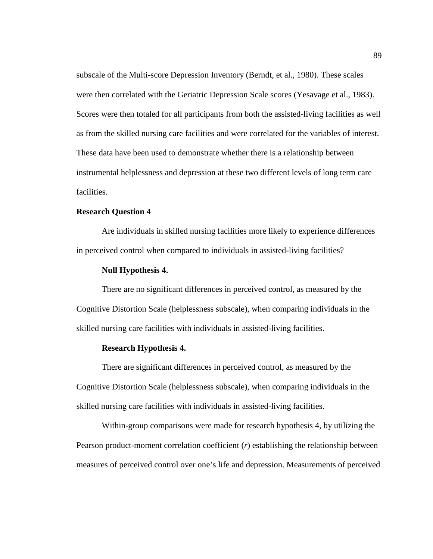subscale of the Multi-score Depression Inventory (Berndt, et al., 1980). These scales were then correlated with the Geriatric Depression Scale scores (Yesavage et al., 1983). Scores were then totaled for all participants from both the assisted-living facilities as well as from the skilled nursing care facilities and were correlated for the variables of interest. These data have been used to demonstrate whether there is a relationship between instrumental helplessness and depression at these two different levels of long term care facilities.

## **Research Question 4**

Are individuals in skilled nursing facilities more likely to experience differences in perceived control when compared to individuals in assisted-living facilities?

# **Null Hypothesis 4.**

There are no significant differences in perceived control, as measured by the Cognitive Distortion Scale (helplessness subscale), when comparing individuals in the skilled nursing care facilities with individuals in assisted-living facilities.

# **Research Hypothesis 4.**

There are significant differences in perceived control, as measured by the Cognitive Distortion Scale (helplessness subscale), when comparing individuals in the skilled nursing care facilities with individuals in assisted-living facilities.

Within-group comparisons were made for research hypothesis 4, by utilizing the Pearson product-moment correlation coefficient (*r*) establishing the relationship between measures of perceived control over one's life and depression. Measurements of perceived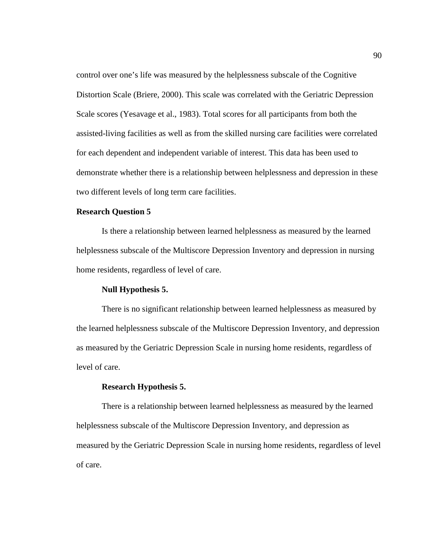control over one's life was measured by the helplessness subscale of the Cognitive Distortion Scale (Briere, 2000). This scale was correlated with the Geriatric Depression Scale scores (Yesavage et al., 1983). Total scores for all participants from both the assisted-living facilities as well as from the skilled nursing care facilities were correlated for each dependent and independent variable of interest. This data has been used to demonstrate whether there is a relationship between helplessness and depression in these two different levels of long term care facilities.

# **Research Question 5**

Is there a relationship between learned helplessness as measured by the learned helplessness subscale of the Multiscore Depression Inventory and depression in nursing home residents, regardless of level of care.

## **Null Hypothesis 5.**

There is no significant relationship between learned helplessness as measured by the learned helplessness subscale of the Multiscore Depression Inventory, and depression as measured by the Geriatric Depression Scale in nursing home residents, regardless of level of care.

#### **Research Hypothesis 5.**

There is a relationship between learned helplessness as measured by the learned helplessness subscale of the Multiscore Depression Inventory, and depression as measured by the Geriatric Depression Scale in nursing home residents, regardless of level of care.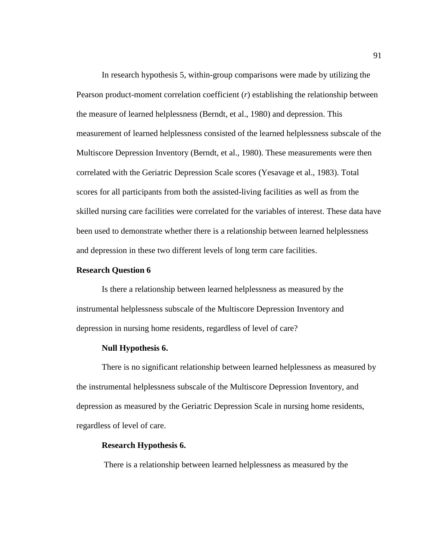In research hypothesis 5, within-group comparisons were made by utilizing the Pearson product-moment correlation coefficient (*r*) establishing the relationship between the measure of learned helplessness (Berndt, et al., 1980) and depression. This measurement of learned helplessness consisted of the learned helplessness subscale of the Multiscore Depression Inventory (Berndt, et al., 1980). These measurements were then correlated with the Geriatric Depression Scale scores (Yesavage et al., 1983). Total scores for all participants from both the assisted-living facilities as well as from the skilled nursing care facilities were correlated for the variables of interest. These data have been used to demonstrate whether there is a relationship between learned helplessness and depression in these two different levels of long term care facilities.

#### **Research Question 6**

Is there a relationship between learned helplessness as measured by the instrumental helplessness subscale of the Multiscore Depression Inventory and depression in nursing home residents, regardless of level of care?

# **Null Hypothesis 6.**

There is no significant relationship between learned helplessness as measured by the instrumental helplessness subscale of the Multiscore Depression Inventory, and depression as measured by the Geriatric Depression Scale in nursing home residents, regardless of level of care.

## **Research Hypothesis 6.**

There is a relationship between learned helplessness as measured by the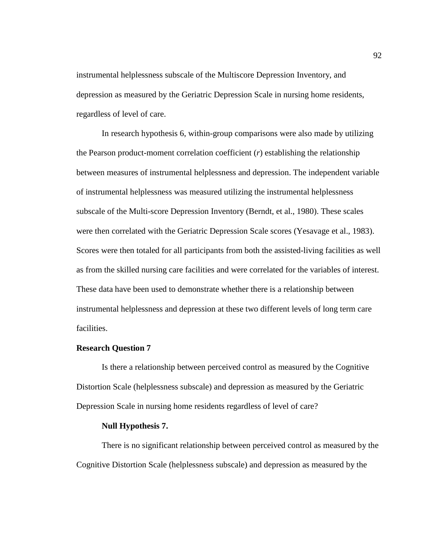instrumental helplessness subscale of the Multiscore Depression Inventory, and depression as measured by the Geriatric Depression Scale in nursing home residents, regardless of level of care.

In research hypothesis 6, within-group comparisons were also made by utilizing the Pearson product-moment correlation coefficient (*r*) establishing the relationship between measures of instrumental helplessness and depression. The independent variable of instrumental helplessness was measured utilizing the instrumental helplessness subscale of the Multi-score Depression Inventory (Berndt, et al., 1980). These scales were then correlated with the Geriatric Depression Scale scores (Yesavage et al., 1983). Scores were then totaled for all participants from both the assisted-living facilities as well as from the skilled nursing care facilities and were correlated for the variables of interest. These data have been used to demonstrate whether there is a relationship between instrumental helplessness and depression at these two different levels of long term care facilities.

#### **Research Question 7**

Is there a relationship between perceived control as measured by the Cognitive Distortion Scale (helplessness subscale) and depression as measured by the Geriatric Depression Scale in nursing home residents regardless of level of care?

#### **Null Hypothesis 7.**

There is no significant relationship between perceived control as measured by the Cognitive Distortion Scale (helplessness subscale) and depression as measured by the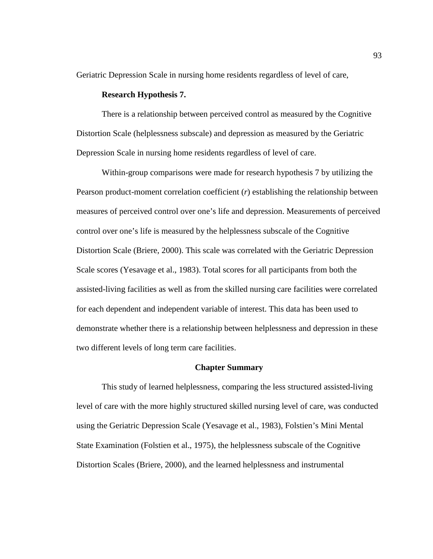Geriatric Depression Scale in nursing home residents regardless of level of care,

# **Research Hypothesis 7.**

There is a relationship between perceived control as measured by the Cognitive Distortion Scale (helplessness subscale) and depression as measured by the Geriatric Depression Scale in nursing home residents regardless of level of care.

Within-group comparisons were made for research hypothesis 7 by utilizing the Pearson product-moment correlation coefficient (*r*) establishing the relationship between measures of perceived control over one's life and depression. Measurements of perceived control over one's life is measured by the helplessness subscale of the Cognitive Distortion Scale (Briere, 2000). This scale was correlated with the Geriatric Depression Scale scores (Yesavage et al., 1983). Total scores for all participants from both the assisted-living facilities as well as from the skilled nursing care facilities were correlated for each dependent and independent variable of interest. This data has been used to demonstrate whether there is a relationship between helplessness and depression in these two different levels of long term care facilities.

#### **Chapter Summary**

This study of learned helplessness, comparing the less structured assisted-living level of care with the more highly structured skilled nursing level of care, was conducted using the Geriatric Depression Scale (Yesavage et al., 1983), Folstien's Mini Mental State Examination (Folstien et al., 1975), the helplessness subscale of the Cognitive Distortion Scales (Briere, 2000), and the learned helplessness and instrumental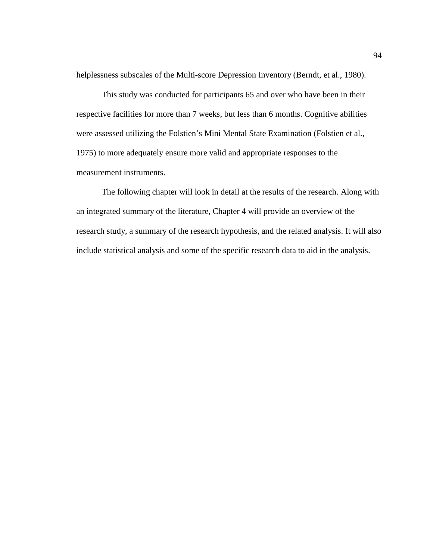helplessness subscales of the Multi-score Depression Inventory (Berndt, et al., 1980).

This study was conducted for participants 65 and over who have been in their respective facilities for more than 7 weeks, but less than 6 months. Cognitive abilities were assessed utilizing the Folstien's Mini Mental State Examination (Folstien et al., 1975) to more adequately ensure more valid and appropriate responses to the measurement instruments.

The following chapter will look in detail at the results of the research. Along with an integrated summary of the literature, Chapter 4 will provide an overview of the research study, a summary of the research hypothesis, and the related analysis. It will also include statistical analysis and some of the specific research data to aid in the analysis.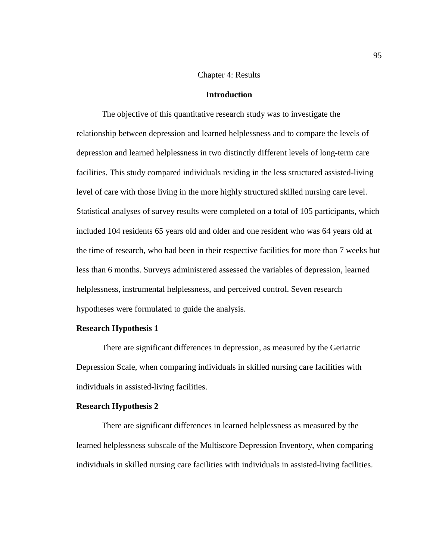## Chapter 4: Results

# **Introduction**

The objective of this quantitative research study was to investigate the relationship between depression and learned helplessness and to compare the levels of depression and learned helplessness in two distinctly different levels of long-term care facilities. This study compared individuals residing in the less structured assisted-living level of care with those living in the more highly structured skilled nursing care level. Statistical analyses of survey results were completed on a total of 105 participants, which included 104 residents 65 years old and older and one resident who was 64 years old at the time of research, who had been in their respective facilities for more than 7 weeks but less than 6 months. Surveys administered assessed the variables of depression, learned helplessness, instrumental helplessness, and perceived control. Seven research hypotheses were formulated to guide the analysis.

### **Research Hypothesis 1**

There are significant differences in depression, as measured by the Geriatric Depression Scale, when comparing individuals in skilled nursing care facilities with individuals in assisted-living facilities.

## **Research Hypothesis 2**

There are significant differences in learned helplessness as measured by the learned helplessness subscale of the Multiscore Depression Inventory, when comparing individuals in skilled nursing care facilities with individuals in assisted-living facilities.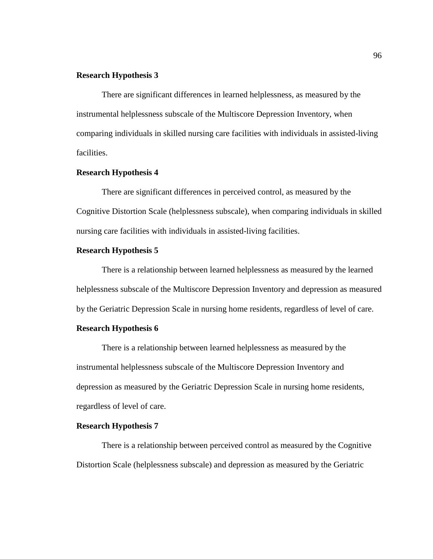## **Research Hypothesis 3**

There are significant differences in learned helplessness, as measured by the instrumental helplessness subscale of the Multiscore Depression Inventory, when comparing individuals in skilled nursing care facilities with individuals in assisted-living facilities.

# **Research Hypothesis 4**

There are significant differences in perceived control, as measured by the Cognitive Distortion Scale (helplessness subscale), when comparing individuals in skilled nursing care facilities with individuals in assisted-living facilities.

## **Research Hypothesis 5**

There is a relationship between learned helplessness as measured by the learned helplessness subscale of the Multiscore Depression Inventory and depression as measured by the Geriatric Depression Scale in nursing home residents, regardless of level of care.

# **Research Hypothesis 6**

There is a relationship between learned helplessness as measured by the instrumental helplessness subscale of the Multiscore Depression Inventory and depression as measured by the Geriatric Depression Scale in nursing home residents, regardless of level of care.

#### **Research Hypothesis 7**

There is a relationship between perceived control as measured by the Cognitive Distortion Scale (helplessness subscale) and depression as measured by the Geriatric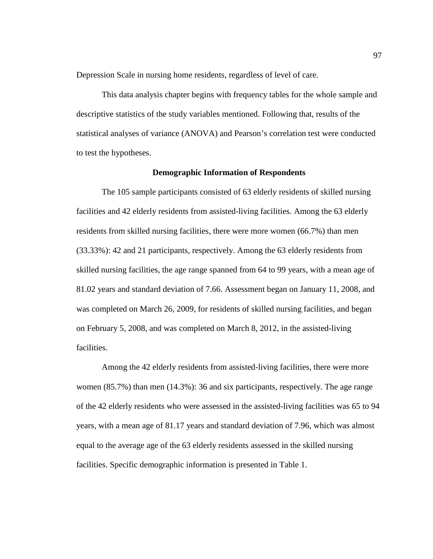Depression Scale in nursing home residents, regardless of level of care.

This data analysis chapter begins with frequency tables for the whole sample and descriptive statistics of the study variables mentioned. Following that, results of the statistical analyses of variance (ANOVA) and Pearson's correlation test were conducted to test the hypotheses.

## **Demographic Information of Respondents**

The 105 sample participants consisted of 63 elderly residents of skilled nursing facilities and 42 elderly residents from assisted-living facilities. Among the 63 elderly residents from skilled nursing facilities, there were more women (66.7%) than men (33.33%): 42 and 21 participants, respectively. Among the 63 elderly residents from skilled nursing facilities, the age range spanned from 64 to 99 years, with a mean age of 81.02 years and standard deviation of 7.66. Assessment began on January 11, 2008, and was completed on March 26, 2009, for residents of skilled nursing facilities, and began on February 5, 2008, and was completed on March 8, 2012, in the assisted-living facilities.

Among the 42 elderly residents from assisted-living facilities, there were more women (85.7%) than men (14.3%): 36 and six participants, respectively. The age range of the 42 elderly residents who were assessed in the assisted-living facilities was 65 to 94 years, with a mean age of 81.17 years and standard deviation of 7.96, which was almost equal to the average age of the 63 elderly residents assessed in the skilled nursing facilities. Specific demographic information is presented in Table 1.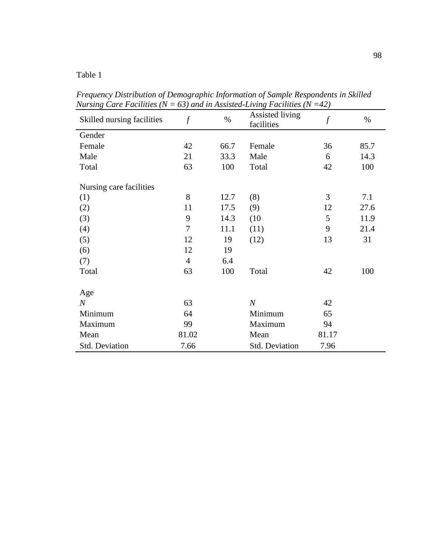Table 1

| Skilled nursing facilities | $\mathcal{f}$ | $\%$ | Assisted living<br>facilities | $\boldsymbol{f}$ | $\%$ |
|----------------------------|---------------|------|-------------------------------|------------------|------|
| Gender                     |               |      |                               |                  |      |
| Female                     | 42            | 66.7 | Female                        | 36               | 85.7 |
| Male                       | 21            | 33.3 | Male                          | 6                | 14.3 |
| Total                      | 63            | 100  | Total                         | 42               | 100  |
| Nursing care facilities    |               |      |                               |                  |      |
| (1)                        | 8             | 12.7 | (8)                           | 3                | 7.1  |
| (2)                        | 11            | 17.5 | (9)                           | 12               | 27.6 |
| (3)                        | 9             | 14.3 | (10)                          | 5                | 11.9 |
| (4)                        | 7             | 11.1 | (11)                          | 9                | 21.4 |
| (5)                        | 12            | 19   | (12)                          | 13               | 31   |
| (6)                        | 12            | 19   |                               |                  |      |
| (7)                        | 4             | 6.4  |                               |                  |      |
| Total                      | 63            | 100  | Total                         | 42               | 100  |
| Age                        |               |      |                               |                  |      |
| $\boldsymbol{N}$           | 63            |      | $\boldsymbol{N}$              | 42               |      |
| Minimum                    | 64            |      | Minimum                       | 65               |      |
| Maximum                    | 99            |      | Maximum                       | 94               |      |
| Mean                       | 81.02         |      | Mean                          | 81.17            |      |
| Std. Deviation             | 7.66          |      | Std. Deviation                | 7.96             |      |

*Frequency Distribution of Demographic Information of Sample Respondents in Skilled Nursing Care Facilities (N = 63) and in Assisted-Living Facilities (N =42)*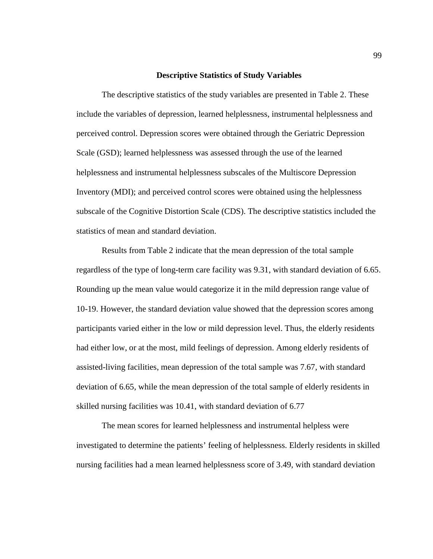### **Descriptive Statistics of Study Variables**

The descriptive statistics of the study variables are presented in Table 2. These include the variables of depression, learned helplessness, instrumental helplessness and perceived control. Depression scores were obtained through the Geriatric Depression Scale (GSD); learned helplessness was assessed through the use of the learned helplessness and instrumental helplessness subscales of the Multiscore Depression Inventory (MDI); and perceived control scores were obtained using the helplessness subscale of the Cognitive Distortion Scale (CDS). The descriptive statistics included the statistics of mean and standard deviation.

Results from Table 2 indicate that the mean depression of the total sample regardless of the type of long-term care facility was 9.31, with standard deviation of 6.65. Rounding up the mean value would categorize it in the mild depression range value of 10-19. However, the standard deviation value showed that the depression scores among participants varied either in the low or mild depression level. Thus, the elderly residents had either low, or at the most, mild feelings of depression. Among elderly residents of assisted-living facilities, mean depression of the total sample was 7.67, with standard deviation of 6.65, while the mean depression of the total sample of elderly residents in skilled nursing facilities was 10.41, with standard deviation of 6.77

The mean scores for learned helplessness and instrumental helpless were investigated to determine the patients' feeling of helplessness. Elderly residents in skilled nursing facilities had a mean learned helplessness score of 3.49, with standard deviation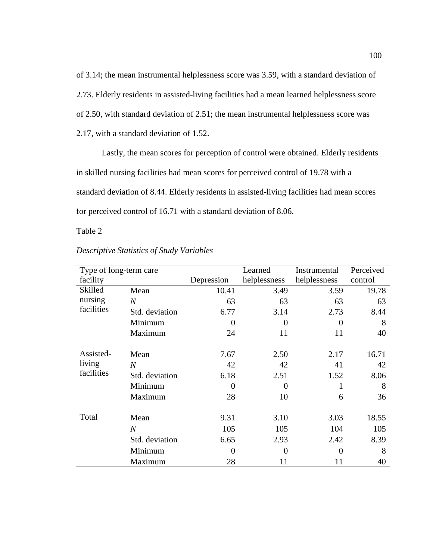of 3.14; the mean instrumental helplessness score was 3.59, with a standard deviation of 2.73. Elderly residents in assisted-living facilities had a mean learned helplessness score of 2.50, with standard deviation of 2.51; the mean instrumental helplessness score was 2.17, with a standard deviation of 1.52.

Lastly, the mean scores for perception of control were obtained. Elderly residents in skilled nursing facilities had mean scores for perceived control of 19.78 with a standard deviation of 8.44. Elderly residents in assisted-living facilities had mean scores for perceived control of 16.71 with a standard deviation of 8.06.

Table 2

| Type of long-term care |                |            | Learned      | Instrumental | Perceived |
|------------------------|----------------|------------|--------------|--------------|-----------|
| facility               |                | Depression | helplessness | helplessness | control   |
| Skilled                | Mean           | 10.41      | 3.49         | 3.59         | 19.78     |
| nursing                | $\overline{N}$ | 63         | 63           | 63           | 63        |
| facilities             | Std. deviation | 6.77       | 3.14         | 2.73         | 8.44      |
|                        | Minimum        | 0          | $\Omega$     | 0            | 8         |
|                        | Maximum        | 24         | 11           | 11           | 40        |
| Assisted-              | Mean           | 7.67       | 2.50         | 2.17         | 16.71     |
| living                 | $\overline{N}$ | 42         | 42           | 41           | 42        |
| facilities             | Std. deviation | 6.18       | 2.51         | 1.52         | 8.06      |
|                        | Minimum        | $\Omega$   | $\Omega$     |              | 8         |
|                        | Maximum        | 28         | 10           | 6            | 36        |
| Total                  | Mean           | 9.31       | 3.10         | 3.03         | 18.55     |
|                        | $\overline{N}$ | 105        | 105          | 104          | 105       |
|                        | Std. deviation | 6.65       | 2.93         | 2.42         | 8.39      |
|                        | Minimum        | 0          | $\Omega$     | 0            | 8         |
|                        | Maximum        | 28         | 11           | 11           | 40        |

*Descriptive Statistics of Study Variables*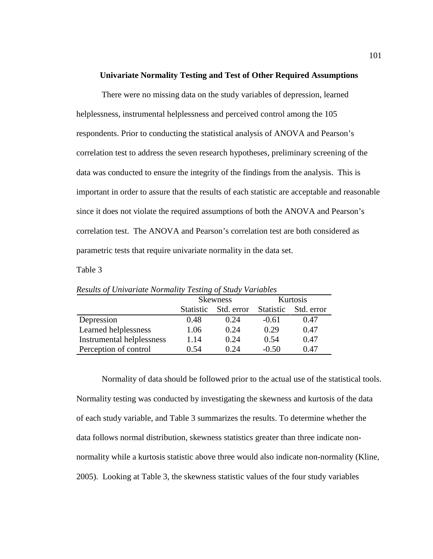### **Univariate Normality Testing and Test of Other Required Assumptions**

There were no missing data on the study variables of depression, learned helplessness, instrumental helplessness and perceived control among the 105 respondents. Prior to conducting the statistical analysis of ANOVA and Pearson's correlation test to address the seven research hypotheses, preliminary screening of the data was conducted to ensure the integrity of the findings from the analysis. This is important in order to assure that the results of each statistic are acceptable and reasonable since it does not violate the required assumptions of both the ANOVA and Pearson's correlation test. The ANOVA and Pearson's correlation test are both considered as parametric tests that require univariate normality in the data set.

Table 3

|                           | <b>Skewness</b>  |            |                  | Kurtosis   |
|---------------------------|------------------|------------|------------------|------------|
|                           | <b>Statistic</b> | Std. error | <b>Statistic</b> | Std. error |
| Depression                | 0.48             | 0.24       | $-0.61$          | 0.47       |
| Learned helplessness      | 1.06             | 0.24       | 0.29             | 0.47       |
| Instrumental helplessness | 1.14             | 0.24       | 0.54             | 0.47       |
| Perception of control     | 0.54             | 0.24       | $-0.50$          | 0.47       |

*Results of Univariate Normality Testing of Study Variables*

Normality of data should be followed prior to the actual use of the statistical tools. Normality testing was conducted by investigating the skewness and kurtosis of the data of each study variable, and Table 3 summarizes the results. To determine whether the data follows normal distribution, skewness statistics greater than three indicate nonnormality while a kurtosis statistic above three would also indicate non-normality (Kline, 2005). Looking at Table 3, the skewness statistic values of the four study variables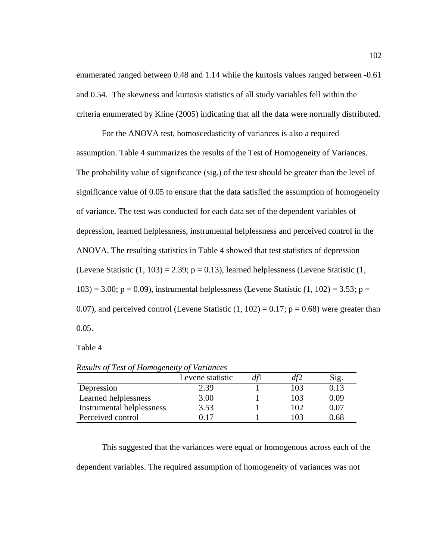enumerated ranged between 0.48 and 1.14 while the kurtosis values ranged between -0.61 and 0.54. The skewness and kurtosis statistics of all study variables fell within the criteria enumerated by Kline (2005) indicating that all the data were normally distributed.

For the ANOVA test, homoscedasticity of variances is also a required assumption. Table 4 summarizes the results of the Test of Homogeneity of Variances. The probability value of significance (sig.) of the test should be greater than the level of significance value of 0.05 to ensure that the data satisfied the assumption of homogeneity of variance. The test was conducted for each data set of the dependent variables of depression, learned helplessness, instrumental helplessness and perceived control in the ANOVA. The resulting statistics in Table 4 showed that test statistics of depression (Levene Statistic  $(1, 103) = 2.39$ ;  $p = 0.13$ ), learned helplessness (Levene Statistic  $(1, 103)$ ) 103) = 3.00; p = 0.09), instrumental helplessness (Levene Statistic  $(1, 102)$  = 3.53; p = 0.07), and perceived control (Levene Statistic  $(1, 102) = 0.17$ ;  $p = 0.68$ ) were greater than 0.05.

Table 4

|                           | Levene statistic | df1 | df2 | Sig.     |
|---------------------------|------------------|-----|-----|----------|
| Depression                | 2.39             |     | 103 | 0.13     |
| Learned helplessness      | 3.00             |     | 103 | 0.09     |
| Instrumental helplessness | 3.53             |     | 102 | 0.07     |
| Perceived control         | ነ 17             |     | 103 | $0.68\,$ |

*Results of Test of Homogeneity of Variances*

This suggested that the variances were equal or homogenous across each of the dependent variables. The required assumption of homogeneity of variances was not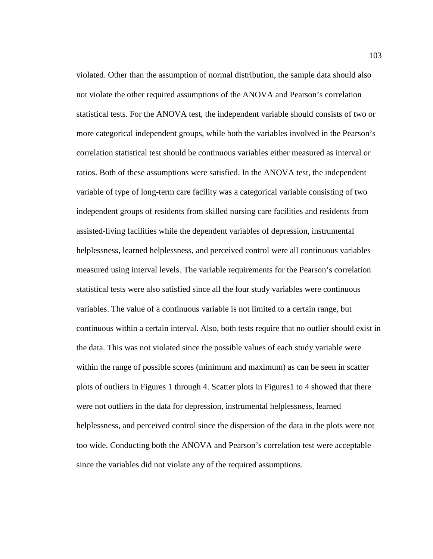violated. Other than the assumption of normal distribution, the sample data should also not violate the other required assumptions of the ANOVA and Pearson's correlation statistical tests. For the ANOVA test, the independent variable should consists of two or more categorical independent groups, while both the variables involved in the Pearson's correlation statistical test should be continuous variables either measured as interval or ratios. Both of these assumptions were satisfied. In the ANOVA test, the independent variable of type of long-term care facility was a categorical variable consisting of two independent groups of residents from skilled nursing care facilities and residents from assisted-living facilities while the dependent variables of depression, instrumental helplessness, learned helplessness, and perceived control were all continuous variables measured using interval levels. The variable requirements for the Pearson's correlation statistical tests were also satisfied since all the four study variables were continuous variables. The value of a continuous variable is not limited to a certain range, but continuous within a certain interval. Also, both tests require that no outlier should exist in the data. This was not violated since the possible values of each study variable were within the range of possible scores (minimum and maximum) as can be seen in scatter plots of outliers in Figures 1 through 4. Scatter plots in Figures1 to 4 showed that there were not outliers in the data for depression, instrumental helplessness, learned helplessness, and perceived control since the dispersion of the data in the plots were not too wide. Conducting both the ANOVA and Pearson's correlation test were acceptable since the variables did not violate any of the required assumptions.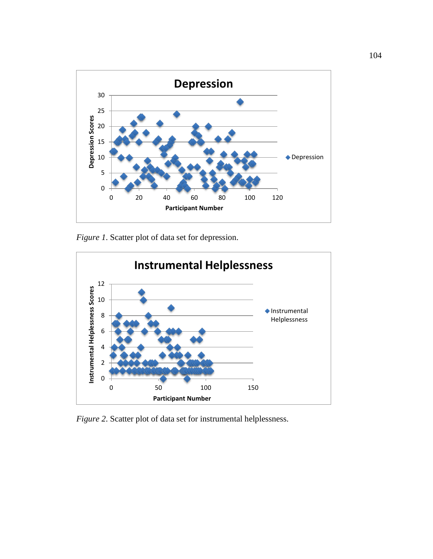

*Figure 1*. Scatter plot of data set for depression.



*Figure 2*. Scatter plot of data set for instrumental helplessness.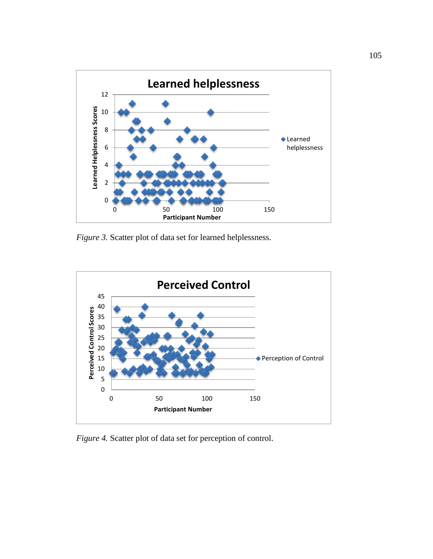

*Figure 3.* Scatter plot of data set for learned helplessness.



*Figure 4.* Scatter plot of data set for perception of control.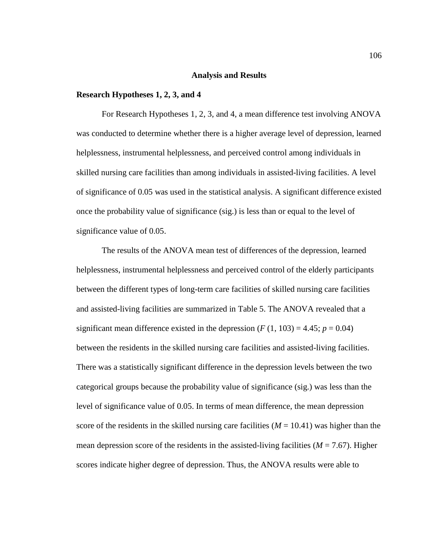# **Analysis and Results**

# **Research Hypotheses 1, 2, 3, and 4**

For Research Hypotheses 1, 2, 3, and 4, a mean difference test involving ANOVA was conducted to determine whether there is a higher average level of depression, learned helplessness, instrumental helplessness, and perceived control among individuals in skilled nursing care facilities than among individuals in assisted-living facilities. A level of significance of 0.05 was used in the statistical analysis. A significant difference existed once the probability value of significance (sig.) is less than or equal to the level of significance value of 0.05.

The results of the ANOVA mean test of differences of the depression, learned helplessness, instrumental helplessness and perceived control of the elderly participants between the different types of long-term care facilities of skilled nursing care facilities and assisted-living facilities are summarized in Table 5. The ANOVA revealed that a significant mean difference existed in the depression  $(F(1, 103) = 4.45; p = 0.04)$ between the residents in the skilled nursing care facilities and assisted-living facilities. There was a statistically significant difference in the depression levels between the two categorical groups because the probability value of significance (sig.) was less than the level of significance value of 0.05. In terms of mean difference, the mean depression score of the residents in the skilled nursing care facilities  $(M = 10.41)$  was higher than the mean depression score of the residents in the assisted-living facilities  $(M = 7.67)$ . Higher scores indicate higher degree of depression. Thus, the ANOVA results were able to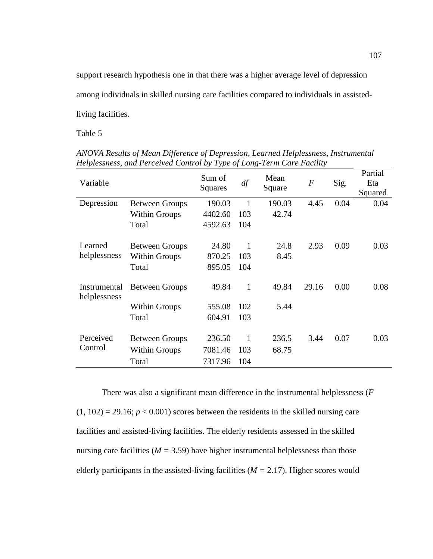support research hypothesis one in that there was a higher average level of depression among individuals in skilled nursing care facilities compared to individuals in assistedliving facilities.

Table 5

| Variable                     |                       | Sum of<br>Squares | $d\!f$       | Mean<br>Square | $\overline{F}$ | Sig. | Partial<br>Eta<br>Squared |
|------------------------------|-----------------------|-------------------|--------------|----------------|----------------|------|---------------------------|
| Depression                   | <b>Between Groups</b> | 190.03            | 1            | 190.03         | 4.45           | 0.04 | 0.04                      |
|                              | <b>Within Groups</b>  | 4402.60           | 103          | 42.74          |                |      |                           |
|                              | Total                 | 4592.63           | 104          |                |                |      |                           |
|                              |                       |                   |              |                |                |      |                           |
| Learned                      | <b>Between Groups</b> | 24.80             | 1            | 24.8           | 2.93           | 0.09 | 0.03                      |
| helplessness                 | <b>Within Groups</b>  | 870.25            | 103          | 8.45           |                |      |                           |
|                              | Total                 | 895.05            | 104          |                |                |      |                           |
| Instrumental<br>helplessness | <b>Between Groups</b> | 49.84             | $\mathbf{1}$ | 49.84          | 29.16          | 0.00 | 0.08                      |
|                              | <b>Within Groups</b>  | 555.08            | 102          | 5.44           |                |      |                           |
|                              | Total                 | 604.91            | 103          |                |                |      |                           |
| Perceived                    |                       |                   |              |                |                |      |                           |
|                              | <b>Between Groups</b> | 236.50            | 1            | 236.5          | 3.44           | 0.07 | 0.03                      |
| Control                      | <b>Within Groups</b>  | 7081.46           | 103          | 68.75          |                |      |                           |
|                              | Total                 | 7317.96           | 104          |                |                |      |                           |

*ANOVA Results of Mean Difference of Depression, Learned Helplessness, Instrumental Helplessness, and Perceived Control by Type of Long-Term Care Facility*

There was also a significant mean difference in the instrumental helplessness (*F*  $(1, 102) = 29.16$ ;  $p < 0.001$ ) scores between the residents in the skilled nursing care facilities and assisted-living facilities. The elderly residents assessed in the skilled nursing care facilities ( $M = 3.59$ ) have higher instrumental helplessness than those elderly participants in the assisted-living facilities  $(M = 2.17)$ . Higher scores would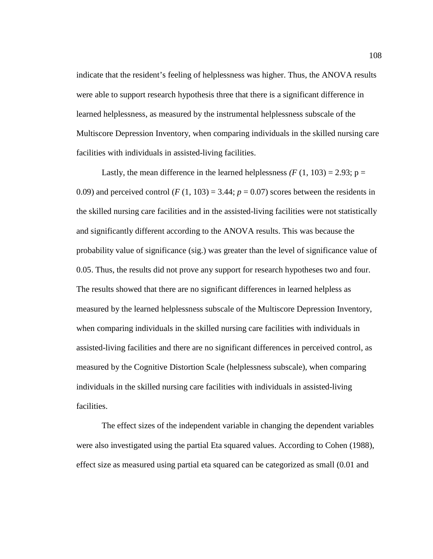indicate that the resident's feeling of helplessness was higher. Thus, the ANOVA results were able to support research hypothesis three that there is a significant difference in learned helplessness, as measured by the instrumental helplessness subscale of the Multiscore Depression Inventory, when comparing individuals in the skilled nursing care facilities with individuals in assisted-living facilities.

Lastly, the mean difference in the learned helplessness  $(F(1, 103) = 2.93; p =$ 0.09) and perceived control  $(F(1, 103) = 3.44; p = 0.07)$  scores between the residents in the skilled nursing care facilities and in the assisted-living facilities were not statistically and significantly different according to the ANOVA results. This was because the probability value of significance (sig.) was greater than the level of significance value of 0.05. Thus, the results did not prove any support for research hypotheses two and four. The results showed that there are no significant differences in learned helpless as measured by the learned helplessness subscale of the Multiscore Depression Inventory, when comparing individuals in the skilled nursing care facilities with individuals in assisted-living facilities and there are no significant differences in perceived control, as measured by the Cognitive Distortion Scale (helplessness subscale), when comparing individuals in the skilled nursing care facilities with individuals in assisted-living facilities.

The effect sizes of the independent variable in changing the dependent variables were also investigated using the partial Eta squared values. According to Cohen (1988), effect size as measured using partial eta squared can be categorized as small (0.01 and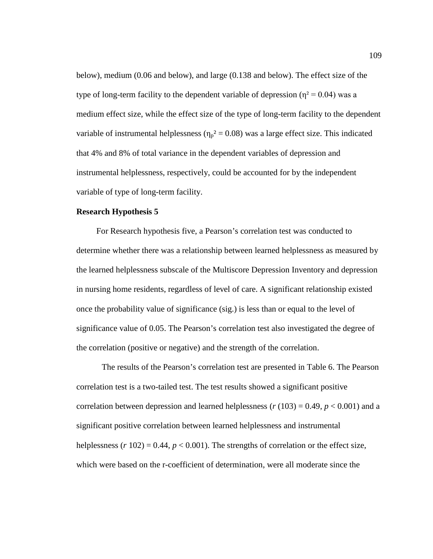below), medium (0.06 and below), and large (0.138 and below). The effect size of the type of long-term facility to the dependent variable of depression ( $\eta^2 = 0.04$ ) was a medium effect size, while the effect size of the type of long-term facility to the dependent variable of instrumental helplessness ( $\eta_p^2 = 0.08$ ) was a large effect size. This indicated that 4% and 8% of total variance in the dependent variables of depression and instrumental helplessness, respectively, could be accounted for by the independent variable of type of long-term facility.

## **Research Hypothesis 5**

For Research hypothesis five, a Pearson's correlation test was conducted to determine whether there was a relationship between learned helplessness as measured by the learned helplessness subscale of the Multiscore Depression Inventory and depression in nursing home residents, regardless of level of care. A significant relationship existed once the probability value of significance (sig.) is less than or equal to the level of significance value of 0.05. The Pearson's correlation test also investigated the degree of the correlation (positive or negative) and the strength of the correlation.

The results of the Pearson's correlation test are presented in Table 6. The Pearson correlation test is a two-tailed test. The test results showed a significant positive correlation between depression and learned helplessness  $(r (103) = 0.49, p < 0.001)$  and a significant positive correlation between learned helplessness and instrumental helplessness  $(r 102) = 0.44$ ,  $p < 0.001$ ). The strengths of correlation or the effect size, which were based on the r-coefficient of determination, were all moderate since the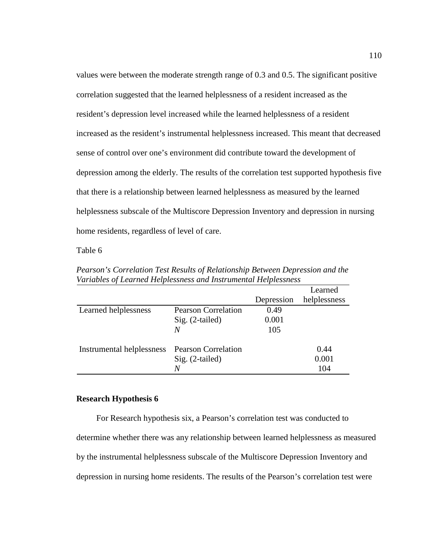values were between the moderate strength range of 0.3 and 0.5. The significant positive correlation suggested that the learned helplessness of a resident increased as the resident's depression level increased while the learned helplessness of a resident increased as the resident's instrumental helplessness increased. This meant that decreased sense of control over one's environment did contribute toward the development of depression among the elderly. The results of the correlation test supported hypothesis five that there is a relationship between learned helplessness as measured by the learned helplessness subscale of the Multiscore Depression Inventory and depression in nursing home residents, regardless of level of care.

Table 6

|                                               |                            |            | Learned      |
|-----------------------------------------------|----------------------------|------------|--------------|
|                                               |                            | Depression | helplessness |
| Learned helplessness                          | <b>Pearson Correlation</b> | 0.49       |              |
|                                               | $Sig. (2-tailed)$          | 0.001      |              |
|                                               | N                          | 105        |              |
| Instrumental helplessness Pearson Correlation |                            |            | 0.44         |
|                                               | $Sig. (2-tailed)$          |            | 0.001        |
|                                               | N                          |            | 104          |

*Pearson's Correlation Test Results of Relationship Between Depression and the Variables of Learned Helplessness and Instrumental Helplessness*

### **Research Hypothesis 6**

For Research hypothesis six, a Pearson's correlation test was conducted to determine whether there was any relationship between learned helplessness as measured by the instrumental helplessness subscale of the Multiscore Depression Inventory and depression in nursing home residents. The results of the Pearson's correlation test were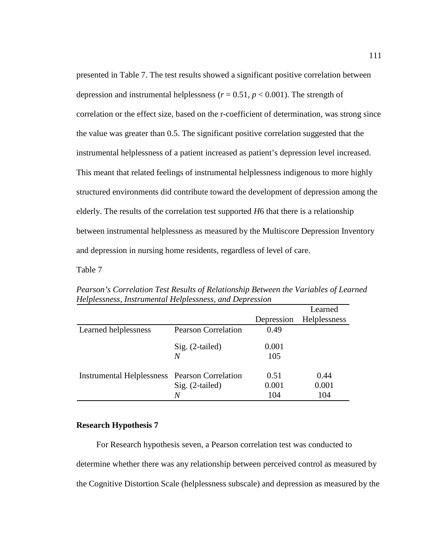presented in Table 7. The test results showed a significant positive correlation between depression and instrumental helplessness ( $r = 0.51$ ,  $p < 0.001$ ). The strength of correlation or the effect size, based on the r-coefficient of determination, was strong since the value was greater than 0.5. The significant positive correlation suggested that the instrumental helplessness of a patient increased as patient's depression level increased. This meant that related feelings of instrumental helplessness indigenous to more highly structured environments did contribute toward the development of depression among the elderly. The results of the correlation test supported *H*6 that there is a relationship between instrumental helplessness as measured by the Multiscore Depression Inventory and depression in nursing home residents, regardless of level of care.

Table 7

|                                                      |                            |            | Learned      |
|------------------------------------------------------|----------------------------|------------|--------------|
|                                                      |                            | Depression | Helplessness |
| Learned helplessness                                 | <b>Pearson Correlation</b> | 0.49       |              |
|                                                      | $Sig. (2-tailed)$          | 0.001      |              |
|                                                      | N                          | 105        |              |
| <b>Instrumental Helplessness</b> Pearson Correlation |                            | 0.51       | 0.44         |
|                                                      | $Sig. (2-tailed)$          | 0.001      | 0.001        |
|                                                      | N                          | 104        | 104          |

*Pearson's Correlation Test Results of Relationship Between the Variables of Learned Helplessness, Instrumental Helplessness, and Depression*

## **Research Hypothesis 7**

For Research hypothesis seven, a Pearson correlation test was conducted to determine whether there was any relationship between perceived control as measured by the Cognitive Distortion Scale (helplessness subscale) and depression as measured by the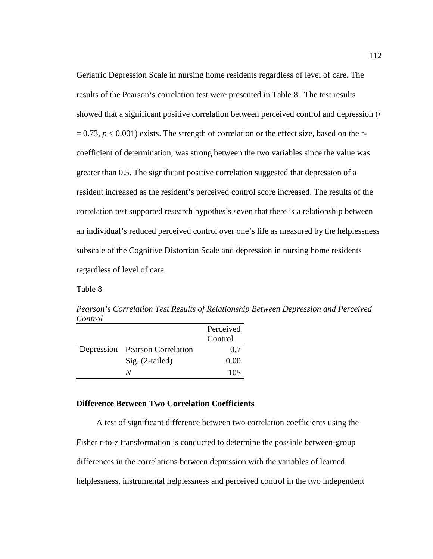Geriatric Depression Scale in nursing home residents regardless of level of care. The results of the Pearson's correlation test were presented in Table 8. The test results showed that a significant positive correlation between perceived control and depression (*r*  $= 0.73$ ,  $p < 0.001$ ) exists. The strength of correlation or the effect size, based on the rcoefficient of determination, was strong between the two variables since the value was greater than 0.5. The significant positive correlation suggested that depression of a resident increased as the resident's perceived control score increased. The results of the correlation test supported research hypothesis seven that there is a relationship between an individual's reduced perceived control over one's life as measured by the helplessness subscale of the Cognitive Distortion Scale and depression in nursing home residents regardless of level of care.

Table 8

*Pearson's Correlation Test Results of Relationship Between Depression and Perceived Control* 

|                                | Perceived |
|--------------------------------|-----------|
|                                | Control   |
| Depression Pearson Correlation | 0.7       |
| $Sig. (2-tailed)$              | 0.00      |
| N/                             | 105       |

# **Difference Between Two Correlation Coefficients**

A test of significant difference between two correlation coefficients using the Fisher r-to-z transformation is conducted to determine the possible between-group differences in the correlations between depression with the variables of learned helplessness, instrumental helplessness and perceived control in the two independent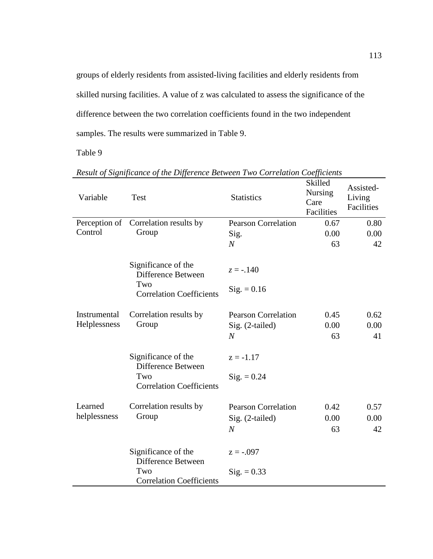groups of elderly residents from assisted-living facilities and elderly residents from skilled nursing facilities. A value of z was calculated to assess the significance of the difference between the two correlation coefficients found in the two independent samples. The results were summarized in Table 9.

Table 9

| Variable     | Test                                             | <b>Statistics</b>          | Skilled<br><b>Nursing</b><br>Care<br>Facilities | Assisted-<br>Living<br>Facilities |
|--------------|--------------------------------------------------|----------------------------|-------------------------------------------------|-----------------------------------|
|              | Perception of Correlation results by             | <b>Pearson Correlation</b> | 0.67                                            | 0.80                              |
| Control      | Group                                            | Sig.                       | 0.00                                            | 0.00                              |
|              |                                                  | $\boldsymbol{N}$           | 63                                              | 42                                |
|              | Significance of the<br>Difference Between<br>Two | $z = -0.140$               |                                                 |                                   |
|              | <b>Correlation Coefficients</b>                  | $\text{Sig.} = 0.16$       |                                                 |                                   |
| Instrumental | Correlation results by                           | <b>Pearson Correlation</b> | 0.45                                            | 0.62                              |
| Helplessness | Group                                            | Sig. (2-tailed)            | 0.00                                            | 0.00                              |
|              |                                                  | $\overline{N}$             | 63                                              | 41                                |
|              | Significance of the<br>Difference Between        | $z = -1.17$                |                                                 |                                   |
|              | Two<br><b>Correlation Coefficients</b>           | $Sig. = 0.24$              |                                                 |                                   |
| Learned      | Correlation results by                           | <b>Pearson Correlation</b> | 0.42                                            | 0.57                              |
| helplessness | Group                                            | Sig. (2-tailed)            | 0.00                                            | 0.00                              |
|              |                                                  | $\boldsymbol{N}$           | 63                                              | 42                                |
|              | Significance of the<br>Difference Between        | $z = -.097$                |                                                 |                                   |
|              | Two<br><b>Correlation Coefficients</b>           | $Sig. = 0.33$              |                                                 |                                   |

*Result of Significance of the Difference Between Two Correlation Coefficients*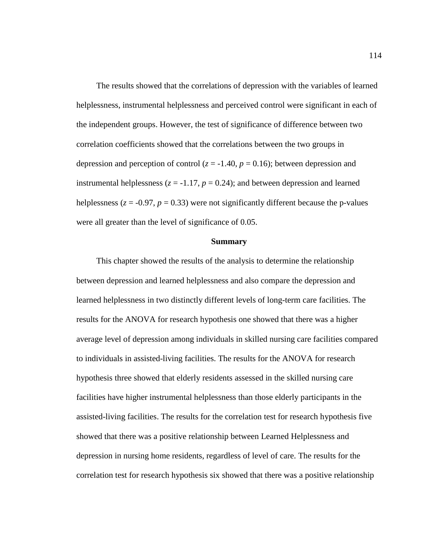The results showed that the correlations of depression with the variables of learned helplessness, instrumental helplessness and perceived control were significant in each of the independent groups. However, the test of significance of difference between two correlation coefficients showed that the correlations between the two groups in depression and perception of control ( $z = -1.40$ ,  $p = 0.16$ ); between depression and instrumental helplessness  $(z = -1.17, p = 0.24)$ ; and between depression and learned helplessness ( $z = -0.97$ ,  $p = 0.33$ ) were not significantly different because the p-values were all greater than the level of significance of 0.05.

#### **Summary**

This chapter showed the results of the analysis to determine the relationship between depression and learned helplessness and also compare the depression and learned helplessness in two distinctly different levels of long-term care facilities. The results for the ANOVA for research hypothesis one showed that there was a higher average level of depression among individuals in skilled nursing care facilities compared to individuals in assisted-living facilities. The results for the ANOVA for research hypothesis three showed that elderly residents assessed in the skilled nursing care facilities have higher instrumental helplessness than those elderly participants in the assisted-living facilities. The results for the correlation test for research hypothesis five showed that there was a positive relationship between Learned Helplessness and depression in nursing home residents, regardless of level of care. The results for the correlation test for research hypothesis six showed that there was a positive relationship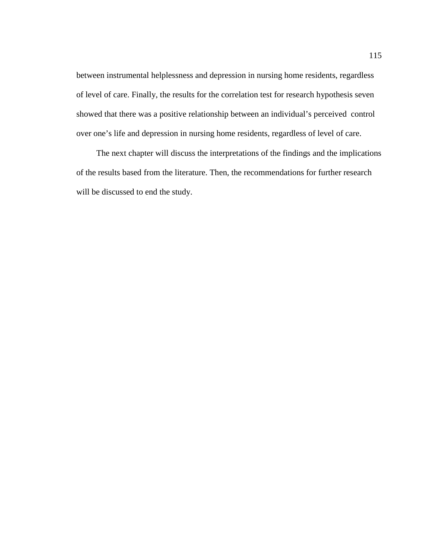between instrumental helplessness and depression in nursing home residents, regardless of level of care. Finally, the results for the correlation test for research hypothesis seven showed that there was a positive relationship between an individual's perceived control over one's life and depression in nursing home residents, regardless of level of care.

The next chapter will discuss the interpretations of the findings and the implications of the results based from the literature. Then, the recommendations for further research will be discussed to end the study.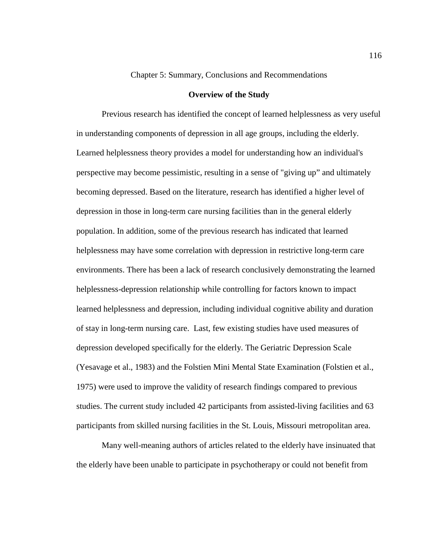## Chapter 5: Summary, Conclusions and Recommendations

### **Overview of the Study**

Previous research has identified the concept of learned helplessness as very useful in understanding components of depression in all age groups, including the elderly. Learned helplessness theory provides a model for understanding how an individual's perspective may become pessimistic, resulting in a sense of "giving up" and ultimately becoming depressed. Based on the literature, research has identified a higher level of depression in those in long-term care nursing facilities than in the general elderly population. In addition, some of the previous research has indicated that learned helplessness may have some correlation with depression in restrictive long-term care environments. There has been a lack of research conclusively demonstrating the learned helplessness-depression relationship while controlling for factors known to impact learned helplessness and depression, including individual cognitive ability and duration of stay in long-term nursing care. Last, few existing studies have used measures of depression developed specifically for the elderly. The Geriatric Depression Scale (Yesavage et al., 1983) and the Folstien Mini Mental State Examination (Folstien et al., 1975) were used to improve the validity of research findings compared to previous studies. The current study included 42 participants from assisted-living facilities and 63 participants from skilled nursing facilities in the St. Louis, Missouri metropolitan area.

Many well-meaning authors of articles related to the elderly have insinuated that the elderly have been unable to participate in psychotherapy or could not benefit from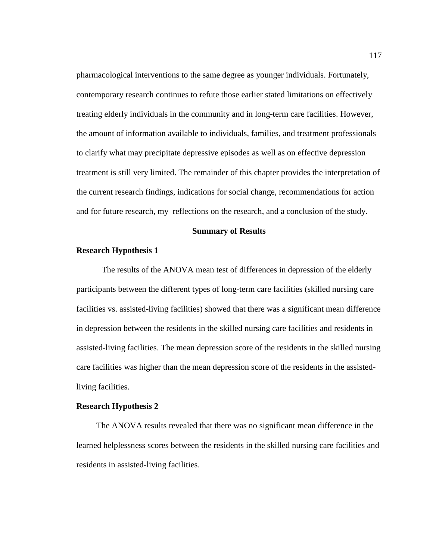pharmacological interventions to the same degree as younger individuals. Fortunately, contemporary research continues to refute those earlier stated limitations on effectively treating elderly individuals in the community and in long-term care facilities. However, the amount of information available to individuals, families, and treatment professionals to clarify what may precipitate depressive episodes as well as on effective depression treatment is still very limited. The remainder of this chapter provides the interpretation of the current research findings, indications for social change, recommendations for action and for future research, my reflections on the research, and a conclusion of the study.

#### **Summary of Results**

#### **Research Hypothesis 1**

The results of the ANOVA mean test of differences in depression of the elderly participants between the different types of long-term care facilities (skilled nursing care facilities vs. assisted-living facilities) showed that there was a significant mean difference in depression between the residents in the skilled nursing care facilities and residents in assisted-living facilities. The mean depression score of the residents in the skilled nursing care facilities was higher than the mean depression score of the residents in the assistedliving facilities.

#### **Research Hypothesis 2**

The ANOVA results revealed that there was no significant mean difference in the learned helplessness scores between the residents in the skilled nursing care facilities and residents in assisted-living facilities.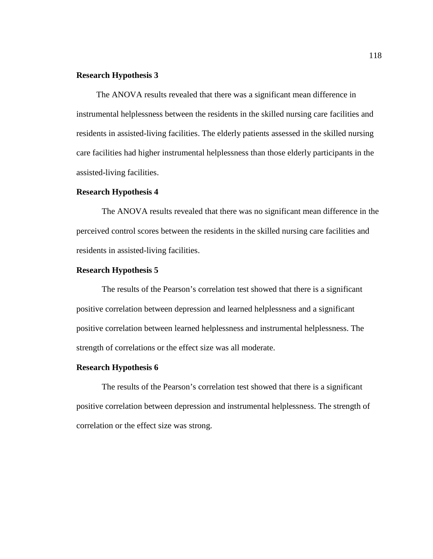### **Research Hypothesis 3**

The ANOVA results revealed that there was a significant mean difference in instrumental helplessness between the residents in the skilled nursing care facilities and residents in assisted-living facilities. The elderly patients assessed in the skilled nursing care facilities had higher instrumental helplessness than those elderly participants in the assisted-living facilities.

#### **Research Hypothesis 4**

The ANOVA results revealed that there was no significant mean difference in the perceived control scores between the residents in the skilled nursing care facilities and residents in assisted-living facilities.

# **Research Hypothesis 5**

The results of the Pearson's correlation test showed that there is a significant positive correlation between depression and learned helplessness and a significant positive correlation between learned helplessness and instrumental helplessness. The strength of correlations or the effect size was all moderate.

#### **Research Hypothesis 6**

The results of the Pearson's correlation test showed that there is a significant positive correlation between depression and instrumental helplessness. The strength of correlation or the effect size was strong.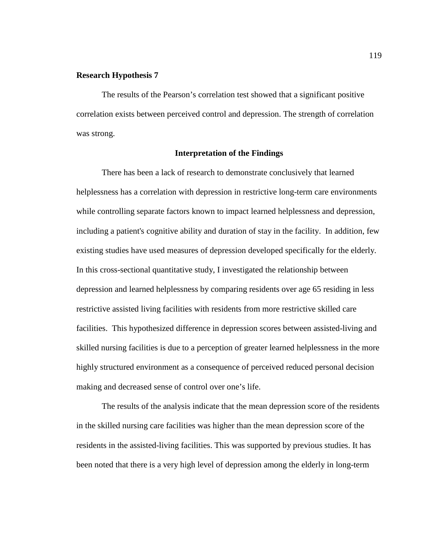## **Research Hypothesis 7**

The results of the Pearson's correlation test showed that a significant positive correlation exists between perceived control and depression. The strength of correlation was strong.

# **Interpretation of the Findings**

There has been a lack of research to demonstrate conclusively that learned helplessness has a correlation with depression in restrictive long-term care environments while controlling separate factors known to impact learned helplessness and depression, including a patient's cognitive ability and duration of stay in the facility. In addition, few existing studies have used measures of depression developed specifically for the elderly. In this cross-sectional quantitative study, I investigated the relationship between depression and learned helplessness by comparing residents over age 65 residing in less restrictive assisted living facilities with residents from more restrictive skilled care facilities. This hypothesized difference in depression scores between assisted-living and skilled nursing facilities is due to a perception of greater learned helplessness in the more highly structured environment as a consequence of perceived reduced personal decision making and decreased sense of control over one's life.

The results of the analysis indicate that the mean depression score of the residents in the skilled nursing care facilities was higher than the mean depression score of the residents in the assisted-living facilities. This was supported by previous studies. It has been noted that there is a very high level of depression among the elderly in long-term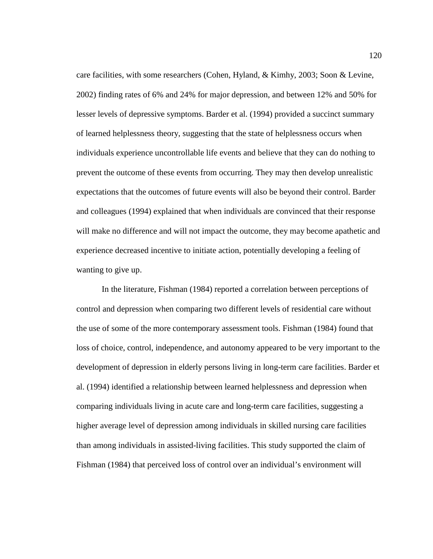care facilities, with some researchers (Cohen, Hyland, & Kimhy, 2003; Soon & Levine, 2002) finding rates of 6% and 24% for major depression, and between 12% and 50% for lesser levels of depressive symptoms. Barder et al. (1994) provided a succinct summary of learned helplessness theory, suggesting that the state of helplessness occurs when individuals experience uncontrollable life events and believe that they can do nothing to prevent the outcome of these events from occurring. They may then develop unrealistic expectations that the outcomes of future events will also be beyond their control. Barder and colleagues (1994) explained that when individuals are convinced that their response will make no difference and will not impact the outcome, they may become apathetic and experience decreased incentive to initiate action, potentially developing a feeling of wanting to give up.

In the literature, Fishman (1984) reported a correlation between perceptions of control and depression when comparing two different levels of residential care without the use of some of the more contemporary assessment tools. Fishman (1984) found that loss of choice, control, independence, and autonomy appeared to be very important to the development of depression in elderly persons living in long-term care facilities. Barder et al. (1994) identified a relationship between learned helplessness and depression when comparing individuals living in acute care and long-term care facilities, suggesting a higher average level of depression among individuals in skilled nursing care facilities than among individuals in assisted-living facilities. This study supported the claim of Fishman (1984) that perceived loss of control over an individual's environment will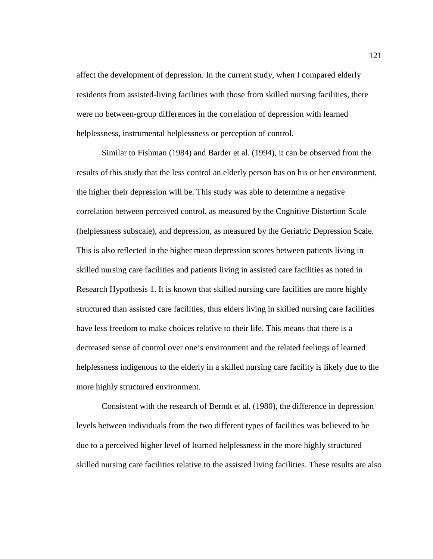affect the development of depression. In the current study, when I compared elderly residents from assisted-living facilities with those from skilled nursing facilities, there were no between-group differences in the correlation of depression with learned helplessness, instrumental helplessness or perception of control.

Similar to Fishman (1984) and Barder et al. (1994), it can be observed from the results of this study that the less control an elderly person has on his or her environment, the higher their depression will be. This study was able to determine a negative correlation between perceived control, as measured by the Cognitive Distortion Scale (helplessness subscale), and depression, as measured by the Geriatric Depression Scale. This is also reflected in the higher mean depression scores between patients living in skilled nursing care facilities and patients living in assisted care facilities as noted in Research Hypothesis 1. It is known that skilled nursing care facilities are more highly structured than assisted care facilities, thus elders living in skilled nursing care facilities have less freedom to make choices relative to their life. This means that there is a decreased sense of control over one's environment and the related feelings of learned helplessness indigenous to the elderly in a skilled nursing care facility is likely due to the more highly structured environment.

Consistent with the research of Berndt et al. (1980), the difference in depression levels between individuals from the two different types of facilities was believed to be due to a perceived higher level of learned helplessness in the more highly structured skilled nursing care facilities relative to the assisted living facilities. These results are also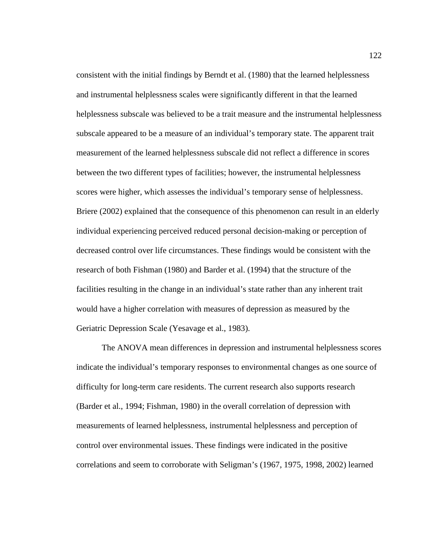consistent with the initial findings by Berndt et al. (1980) that the learned helplessness and instrumental helplessness scales were significantly different in that the learned helplessness subscale was believed to be a trait measure and the instrumental helplessness subscale appeared to be a measure of an individual's temporary state. The apparent trait measurement of the learned helplessness subscale did not reflect a difference in scores between the two different types of facilities; however, the instrumental helplessness scores were higher, which assesses the individual's temporary sense of helplessness. Briere (2002) explained that the consequence of this phenomenon can result in an elderly individual experiencing perceived reduced personal decision-making or perception of decreased control over life circumstances. These findings would be consistent with the research of both Fishman (1980) and Barder et al. (1994) that the structure of the facilities resulting in the change in an individual's state rather than any inherent trait would have a higher correlation with measures of depression as measured by the Geriatric Depression Scale (Yesavage et al., 1983).

The ANOVA mean differences in depression and instrumental helplessness scores indicate the individual's temporary responses to environmental changes as one source of difficulty for long-term care residents. The current research also supports research (Barder et al., 1994; Fishman, 1980) in the overall correlation of depression with measurements of learned helplessness, instrumental helplessness and perception of control over environmental issues. These findings were indicated in the positive correlations and seem to corroborate with Seligman's (1967, 1975, 1998, 2002) learned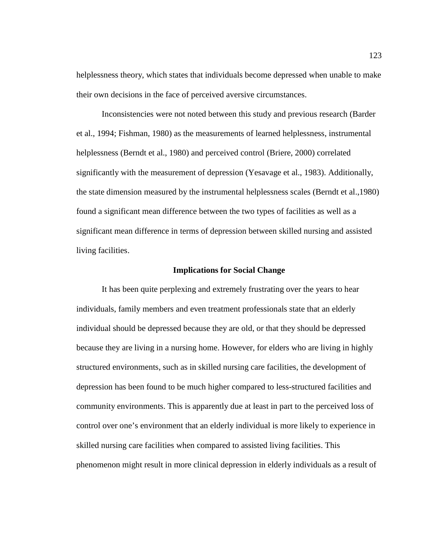helplessness theory, which states that individuals become depressed when unable to make their own decisions in the face of perceived aversive circumstances.

Inconsistencies were not noted between this study and previous research (Barder et al., 1994; Fishman, 1980) as the measurements of learned helplessness, instrumental helplessness (Berndt et al., 1980) and perceived control (Briere, 2000) correlated significantly with the measurement of depression (Yesavage et al., 1983). Additionally, the state dimension measured by the instrumental helplessness scales (Berndt et al.,1980) found a significant mean difference between the two types of facilities as well as a significant mean difference in terms of depression between skilled nursing and assisted living facilities.

#### **Implications for Social Change**

It has been quite perplexing and extremely frustrating over the years to hear individuals, family members and even treatment professionals state that an elderly individual should be depressed because they are old, or that they should be depressed because they are living in a nursing home. However, for elders who are living in highly structured environments, such as in skilled nursing care facilities, the development of depression has been found to be much higher compared to less-structured facilities and community environments. This is apparently due at least in part to the perceived loss of control over one's environment that an elderly individual is more likely to experience in skilled nursing care facilities when compared to assisted living facilities. This phenomenon might result in more clinical depression in elderly individuals as a result of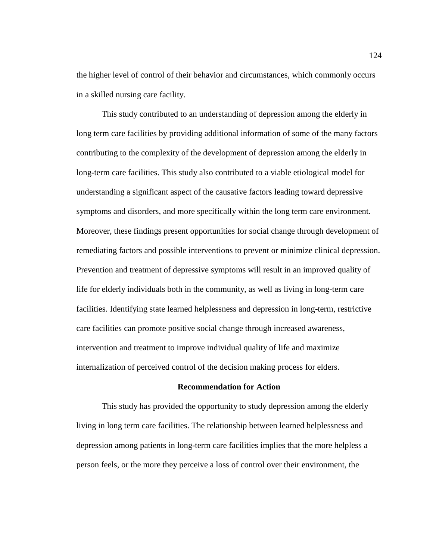the higher level of control of their behavior and circumstances, which commonly occurs in a skilled nursing care facility.

This study contributed to an understanding of depression among the elderly in long term care facilities by providing additional information of some of the many factors contributing to the complexity of the development of depression among the elderly in long-term care facilities. This study also contributed to a viable etiological model for understanding a significant aspect of the causative factors leading toward depressive symptoms and disorders, and more specifically within the long term care environment. Moreover, these findings present opportunities for social change through development of remediating factors and possible interventions to prevent or minimize clinical depression. Prevention and treatment of depressive symptoms will result in an improved quality of life for elderly individuals both in the community, as well as living in long-term care facilities. Identifying state learned helplessness and depression in long-term, restrictive care facilities can promote positive social change through increased awareness, intervention and treatment to improve individual quality of life and maximize internalization of perceived control of the decision making process for elders.

## **Recommendation for Action**

This study has provided the opportunity to study depression among the elderly living in long term care facilities. The relationship between learned helplessness and depression among patients in long-term care facilities implies that the more helpless a person feels, or the more they perceive a loss of control over their environment, the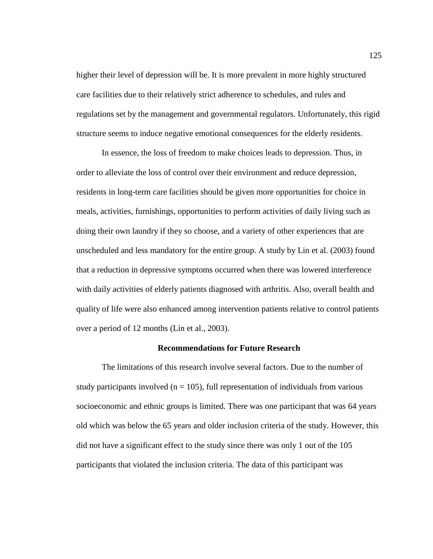higher their level of depression will be. It is more prevalent in more highly structured care facilities due to their relatively strict adherence to schedules, and rules and regulations set by the management and governmental regulators. Unfortunately, this rigid structure seems to induce negative emotional consequences for the elderly residents.

In essence, the loss of freedom to make choices leads to depression. Thus, in order to alleviate the loss of control over their environment and reduce depression, residents in long-term care facilities should be given more opportunities for choice in meals, activities, furnishings, opportunities to perform activities of daily living such as doing their own laundry if they so choose, and a variety of other experiences that are unscheduled and less mandatory for the entire group. A study by Lin et al. (2003) found that a reduction in depressive symptoms occurred when there was lowered interference with daily activities of elderly patients diagnosed with arthritis. Also, overall health and quality of life were also enhanced among intervention patients relative to control patients over a period of 12 months (Lin et al., 2003).

### **Recommendations for Future Research**

The limitations of this research involve several factors. Due to the number of study participants involved ( $n = 105$ ), full representation of individuals from various socioeconomic and ethnic groups is limited. There was one participant that was 64 years old which was below the 65 years and older inclusion criteria of the study. However, this did not have a significant effect to the study since there was only 1 out of the 105 participants that violated the inclusion criteria. The data of this participant was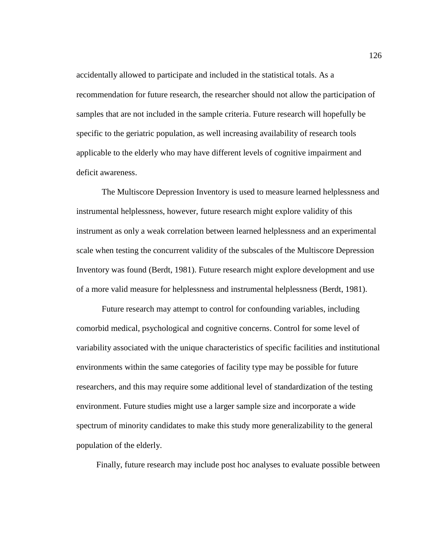accidentally allowed to participate and included in the statistical totals. As a recommendation for future research, the researcher should not allow the participation of samples that are not included in the sample criteria. Future research will hopefully be specific to the geriatric population, as well increasing availability of research tools applicable to the elderly who may have different levels of cognitive impairment and deficit awareness.

The Multiscore Depression Inventory is used to measure learned helplessness and instrumental helplessness, however, future research might explore validity of this instrument as only a weak correlation between learned helplessness and an experimental scale when testing the concurrent validity of the subscales of the Multiscore Depression Inventory was found (Berdt, 1981). Future research might explore development and use of a more valid measure for helplessness and instrumental helplessness (Berdt, 1981).

Future research may attempt to control for confounding variables, including comorbid medical, psychological and cognitive concerns. Control for some level of variability associated with the unique characteristics of specific facilities and institutional environments within the same categories of facility type may be possible for future researchers, and this may require some additional level of standardization of the testing environment. Future studies might use a larger sample size and incorporate a wide spectrum of minority candidates to make this study more generalizability to the general population of the elderly.

Finally, future research may include post hoc analyses to evaluate possible between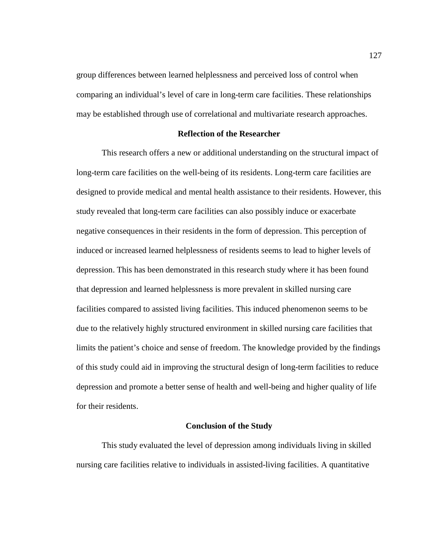group differences between learned helplessness and perceived loss of control when comparing an individual's level of care in long-term care facilities. These relationships may be established through use of correlational and multivariate research approaches.

### **Reflection of the Researcher**

This research offers a new or additional understanding on the structural impact of long-term care facilities on the well-being of its residents. Long-term care facilities are designed to provide medical and mental health assistance to their residents. However, this study revealed that long-term care facilities can also possibly induce or exacerbate negative consequences in their residents in the form of depression. This perception of induced or increased learned helplessness of residents seems to lead to higher levels of depression. This has been demonstrated in this research study where it has been found that depression and learned helplessness is more prevalent in skilled nursing care facilities compared to assisted living facilities. This induced phenomenon seems to be due to the relatively highly structured environment in skilled nursing care facilities that limits the patient's choice and sense of freedom. The knowledge provided by the findings of this study could aid in improving the structural design of long-term facilities to reduce depression and promote a better sense of health and well-being and higher quality of life for their residents.

#### **Conclusion of the Study**

This study evaluated the level of depression among individuals living in skilled nursing care facilities relative to individuals in assisted-living facilities. A quantitative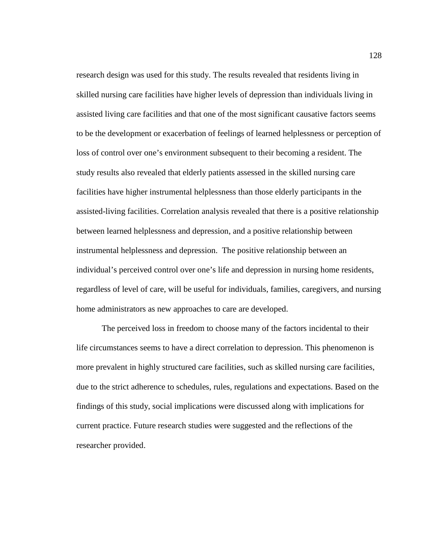research design was used for this study. The results revealed that residents living in skilled nursing care facilities have higher levels of depression than individuals living in assisted living care facilities and that one of the most significant causative factors seems to be the development or exacerbation of feelings of learned helplessness or perception of loss of control over one's environment subsequent to their becoming a resident. The study results also revealed that elderly patients assessed in the skilled nursing care facilities have higher instrumental helplessness than those elderly participants in the assisted-living facilities. Correlation analysis revealed that there is a positive relationship between learned helplessness and depression, and a positive relationship between instrumental helplessness and depression. The positive relationship between an individual's perceived control over one's life and depression in nursing home residents, regardless of level of care, will be useful for individuals, families, caregivers, and nursing home administrators as new approaches to care are developed.

The perceived loss in freedom to choose many of the factors incidental to their life circumstances seems to have a direct correlation to depression. This phenomenon is more prevalent in highly structured care facilities, such as skilled nursing care facilities, due to the strict adherence to schedules, rules, regulations and expectations. Based on the findings of this study, social implications were discussed along with implications for current practice. Future research studies were suggested and the reflections of the researcher provided.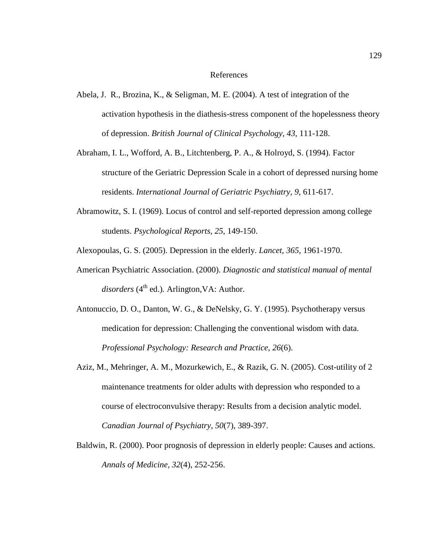### References

- Abela, J. R., Brozina, K., & Seligman, M. E. (2004). A test of integration of the activation hypothesis in the diathesis-stress component of the hopelessness theory of depression. *British Journal of Clinical Psychology, 43,* 111-128.
- Abraham, I. L., Wofford, A. B., Litchtenberg, P. A., & Holroyd, S. (1994). Factor structure of the Geriatric Depression Scale in a cohort of depressed nursing home residents. *International Journal of Geriatric Psychiatry*, *9*, 611-617.
- Abramowitz, S. I. (1969). Locus of control and self-reported depression among college students. *Psychological Reports, 25*, 149-150.
- Alexopoulas, G. S. (2005). Depression in the elderly. *Lancet*, *365*, 1961-1970.
- American Psychiatric Association. (2000). *Diagnostic and statistical manual of mental disorders* (4<sup>th</sup> ed.). Arlington, VA: Author.
- Antonuccio, D. O., Danton, W. G., & DeNelsky, G. Y. (1995). Psychotherapy versus medication for depression: Challenging the conventional wisdom with data. *Professional Psychology: Research and Practice, 26*(6).
- Aziz, M., Mehringer, A. M., Mozurkewich, E., & Razik, G. N. (2005). Cost-utility of 2 maintenance treatments for older adults with depression who responded to a course of electroconvulsive therapy: Results from a decision analytic model. *Canadian Journal of Psychiatry, 50*(7), 389-397.
- Baldwin, R. (2000). Poor prognosis of depression in elderly people: Causes and actions. *Annals of Medicine, 32*(4), 252-256.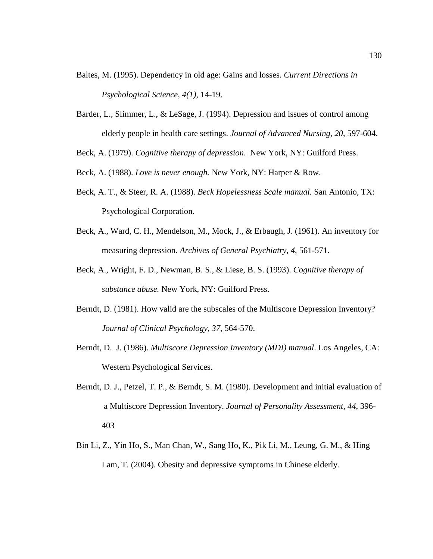- Baltes, M. (1995). Dependency in old age: Gains and losses. *Current Directions in Psychological Science, 4(1),* 14-19.
- Barder, L., Slimmer, L., & LeSage, J. (1994). Depression and issues of control among elderly people in health care settings. *Journal of Advanced Nursing, 20*, 597-604.

Beck, A. (1979). *Cognitive therapy of depression*. New York, NY: Guilford Press.

- Beck, A. (1988). *Love is never enough.* New York, NY: Harper & Row.
- Beck, A. T., & Steer, R. A. (1988). *Beck Hopelessness Scale manual.* San Antonio, TX: Psychological Corporation.
- Beck, A., Ward, C. H., Mendelson, M., Mock, J., & Erbaugh, J. (1961). An inventory for measuring depression. *Archives of General Psychiatry, 4*, 561-571.
- Beck, A., Wright, F. D., Newman, B. S., & Liese, B. S. (1993). *Cognitive therapy of substance abuse.* New York, NY: Guilford Press.
- Berndt, D. (1981). How valid are the subscales of the Multiscore Depression Inventory? *Journal of Clinical Psychology, 37*, 564-570.
- Berndt, D. J. (1986). *Multiscore Depression Inventory (MDI) manual*. Los Angeles, CA: Western Psychological Services.
- Berndt, D. J., Petzel, T. P., & Berndt, S. M. (1980). Development and initial evaluation of a Multiscore Depression Inventory. *Journal of Personality Assessment, 44*, 396- 403
- Bin Li, Z., Yin Ho, S., Man Chan, W., Sang Ho, K., Pik Li, M., Leung, G. M., & Hing Lam, T. (2004). Obesity and depressive symptoms in Chinese elderly*.*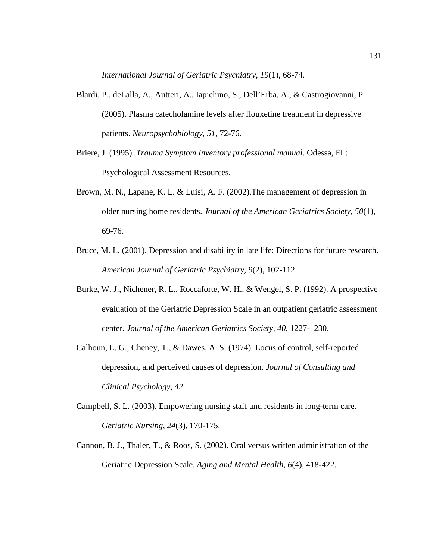*International Journal of Geriatric Psychiatry, 19*(1), 68-74.

- Blardi, P., deLalla, A., Autteri, A., Iapichino, S., Dell'Erba, A., & Castrogiovanni, P. (2005). Plasma catecholamine levels after flouxetine treatment in depressive patients. *Neuropsychobiology, 51*, 72-76.
- Briere, J. (1995). *Trauma Symptom Inventory professional manual*. Odessa, FL: Psychological Assessment Resources.
- Brown, M. N., Lapane, K. L. & Luisi, A. F. (2002).The management of depression in older nursing home residents. *Journal of the American Geriatrics Society, 50*(1), 69-76.
- Bruce, M. L. (2001). Depression and disability in late life: Directions for future research. *American Journal of Geriatric Psychiatry, 9*(2), 102-112.
- Burke, W. J., Nichener, R. L., Roccaforte, W. H., & Wengel, S. P. (1992). A prospective evaluation of the Geriatric Depression Scale in an outpatient geriatric assessment center. *Journal of the American Geriatrics Society, 40*, 1227-1230.
- Calhoun, L. G., Cheney, T., & Dawes, A. S. (1974). Locus of control, self-reported depression, and perceived causes of depression. *Journal of Consulting and Clinical Psychology, 42*.
- Campbell, S. L. (2003). Empowering nursing staff and residents in long-term care. *Geriatric Nursing, 24*(3), 170-175.
- Cannon, B. J., Thaler, T., & Roos, S. (2002). Oral versus written administration of the Geriatric Depression Scale. *Aging and Mental Health, 6*(4), 418-422.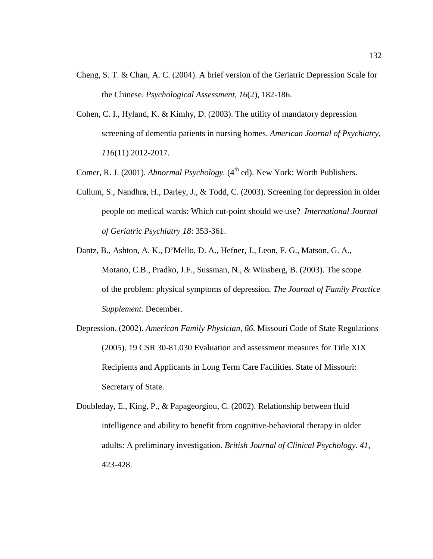- Cheng, S. T. & Chan, A. C. (2004). A brief version of the Geriatric Depression Scale for the Chinese. *Psychological Assessment, 16*(2), 182-186.
- Cohen, C. I., Hyland, K. & Kimhy, D. (2003). The utility of mandatory depression screening of dementia patients in nursing homes. *American Journal of Psychiatry, 116*(11) 2012-2017.
- Comer, R. J. (2001). *Abnormal Psychology.* (4<sup>th</sup> ed). New York: Worth Publishers.
- Cullum, S., Nandhra, H., Darley, J., & Todd, C. (2003). Screening for depression in older people on medical wards: Which cut-point should we use? *International Journal of Geriatric Psychiatry 18*: 353-361.
- Dantz, B., Ashton, A. K., D'Mello, D. A., Hefner, J., Leon, F. G., Matson, G. A., Motano, C.B., Pradko, J.F., Sussman, N., & Winsberg, B. (2003). The scope of the problem: physical symptoms of depression*. The Journal of Family Practice Supplement*. December.
- Depression. (2002). *American Family Physician, 66*. Missouri Code of State Regulations (2005). 19 CSR 30-81.030 Evaluation and assessment measures for Title XIX Recipients and Applicants in Long Term Care Facilities. State of Missouri: Secretary of State.
- Doubleday, E., King, P., & Papageorgiou, C. (2002). Relationship between fluid intelligence and ability to benefit from cognitive-behavioral therapy in older adults: A preliminary investigation. *British Journal of Clinical Psychology. 41*, 423-428.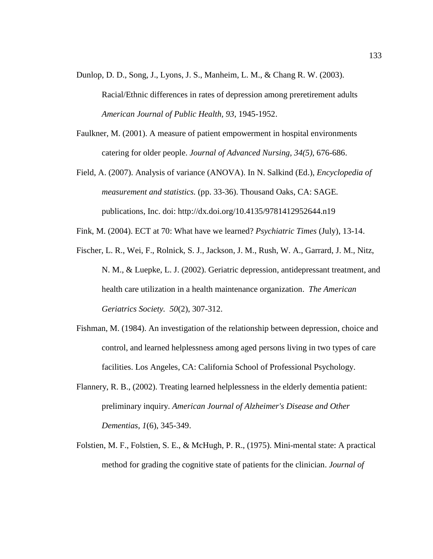Dunlop, D. D., Song, J., Lyons, J. S., Manheim, L. M., & Chang R. W. (2003).

Racial/Ethnic differences in rates of depression among preretirement adults *American Journal of Public Health, 93*, 1945-1952.

- Faulkner, M. (2001). A measure of patient empowerment in hospital environments catering for older people. *Journal of Advanced Nursing, 34(5)*, 676-686.
- Field, A. (2007). Analysis of variance (ANOVA). In N. Salkind (Ed.), *Encyclopedia of measurement and statistics.* (pp. 33-36). Thousand Oaks, CA: SAGE. publications, Inc. doi: http://dx.doi.org/10.4135/9781412952644.n19
- Fink, M. (2004). ECT at 70: What have we learned? *Psychiatric Times* (July), 13-14.
- Fischer, L. R., Wei, F., Rolnick, S. J., Jackson, J. M., Rush, W. A., Garrard, J. M., Nitz, N. M., & Luepke, L. J. (2002). Geriatric depression, antidepressant treatment, and health care utilization in a health maintenance organization. *The American Geriatrics Society. 50*(2), 307-312.
- Fishman, M. (1984). An investigation of the relationship between depression, choice and control, and learned helplessness among aged persons living in two types of care facilities. Los Angeles, CA: California School of Professional Psychology.
- Flannery, R. B., (2002). Treating learned helplessness in the elderly dementia patient: preliminary inquiry. *American Journal of Alzheimer's Disease and Other Dementias, 1*(6), 345-349.
- Folstien, M. F., Folstien, S. E., & McHugh, P. R., (1975). Mini-mental state: A practical method for grading the cognitive state of patients for the clinician. *Journal of*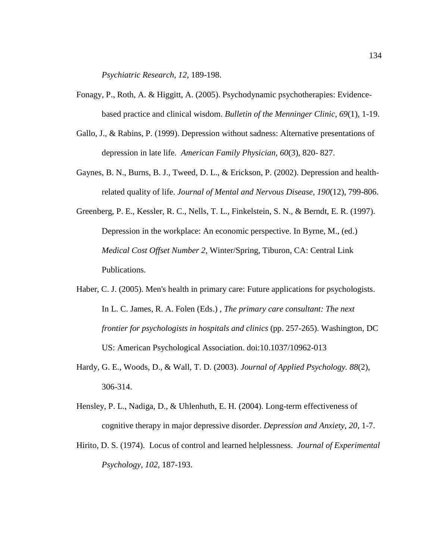*Psychiatric Research, 12*, 189-198.

- Fonagy, P., Roth, A. & Higgitt, A. (2005). Psychodynamic psychotherapies: Evidencebased practice and clinical wisdom. *Bulletin of the Menninger Clinic, 69*(1), 1-19.
- Gallo, J., & Rabins, P. (1999). Depression without sadness: Alternative presentations of depression in late life. *American Family Physician, 60*(3), 820- 827.
- Gaynes, B. N., Burns, B. J., Tweed, D. L., & Erickson, P. (2002). Depression and healthrelated quality of life. *Journal of Mental and Nervous Disease, 190*(12), 799-806.
- Greenberg, P. E., Kessler, R. C., Nells, T. L., Finkelstein, S. N., & Berndt, E. R. (1997). Depression in the workplace: An economic perspective. In Byrne, M., (ed.) *Medical Cost Offset Number 2*, Winter/Spring, Tiburon, CA: Central Link Publications.
- Haber, C. J. (2005). Men's health in primary care: Future applications for psychologists. In L. C. James, R. A. Folen (Eds.) , *The primary care consultant: The next frontier for psychologists in hospitals and clinics* (pp. 257-265). Washington, DC US: American Psychological Association. doi:10.1037/10962-013
- Hardy, G. E., Woods, D., & Wall, T. D. (2003). *Journal of Applied Psychology. 88*(2), 306-314.
- Hensley, P. L., Nadiga, D., & Uhlenhuth, E. H. (2004). Long-term effectiveness of cognitive therapy in major depressive disorder. *Depression and Anxiety, 20,* 1-7.
- Hirito, D. S. (1974). Locus of control and learned helplessness. *Journal of Experimental Psychology, 102*, 187-193.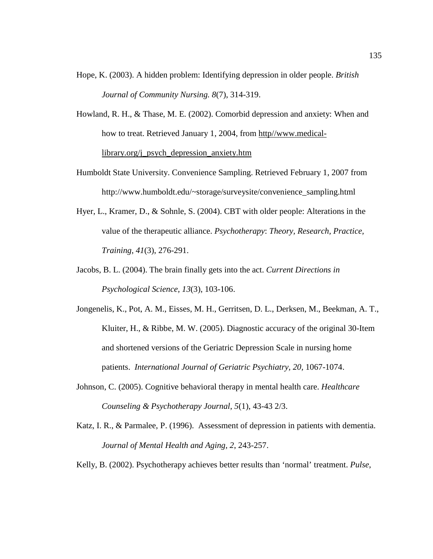- Hope, K. (2003). A hidden problem: Identifying depression in older people. *British Journal of Community Nursing. 8*(7), 314-319.
- Howland, R. H., & Thase, M. E. (2002). Comorbid depression and anxiety: When and how to treat. Retrieved January 1, 2004, from http//www.medicallibrary.org/j\_psych\_depression\_anxiety.htm
- Humboldt State University. Convenience Sampling. Retrieved February 1, 2007 from http://www.humboldt.edu/~storage/surveysite/convenience\_sampling.html
- Hyer, L., Kramer, D., & Sohnle, S. (2004). CBT with older people: Alterations in the value of the therapeutic alliance. *Psychotherapy*: *Theory, Research, Practice, Training*, *41*(3), 276-291.
- Jacobs, B. L. (2004). The brain finally gets into the act. *Current Directions in Psychological Science, 13*(3), 103-106.
- Jongenelis, K., Pot, A. M., Eisses, M. H., Gerritsen, D. L., Derksen, M., Beekman, A. T., Kluiter, H., & Ribbe, M. W. (2005). Diagnostic accuracy of the original 30-Item and shortened versions of the Geriatric Depression Scale in nursing home patients. *International Journal of Geriatric Psychiatry, 20,* 1067-1074.
- Johnson, C. (2005). Cognitive behavioral therapy in mental health care. *Healthcare Counseling & Psychotherapy Journal*, *5*(1), 43-43 2/3.
- Katz, I. R., & Parmalee, P. (1996). Assessment of depression in patients with dementia. *Journal of Mental Health and Aging, 2*, 243-257.
- Kelly, B. (2002). Psychotherapy achieves better results than 'normal' treatment. *Pulse*,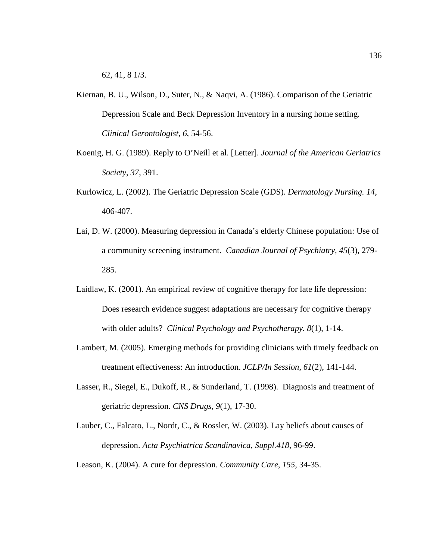62, 41, 8 1/3.

- Kiernan, B. U., Wilson, D., Suter, N., & Naqvi, A. (1986). Comparison of the Geriatric Depression Scale and Beck Depression Inventory in a nursing home setting. *Clinical Gerontologist, 6*, 54-56.
- Koenig, H. G. (1989). Reply to O'Neill et al. [Letter]. *Journal of the American Geriatrics Society, 37*, 391.
- Kurlowicz, L. (2002). The Geriatric Depression Scale (GDS). *Dermatology Nursing. 14*, 406-407.
- Lai, D. W. (2000). Measuring depression in Canada's elderly Chinese population: Use of a community screening instrument. *Canadian Journal of Psychiatry, 45*(3), 279- 285.
- Laidlaw, K. (2001). An empirical review of cognitive therapy for late life depression: Does research evidence suggest adaptations are necessary for cognitive therapy with older adults? *Clinical Psychology and Psychotherapy. 8*(1), 1-14.
- Lambert, M. (2005). Emerging methods for providing clinicians with timely feedback on treatment effectiveness: An introduction. *JCLP/In Session, 61*(2), 141-144.
- Lasser, R., Siegel, E., Dukoff, R., & Sunderland, T. (1998). Diagnosis and treatment of geriatric depression. *CNS Drugs, 9*(1), 17-30.
- Lauber, C., Falcato, L., Nordt, C., & Rossler, W. (2003). Lay beliefs about causes of depression. *Acta Psychiatrica Scandinavica, Suppl.418*, 96-99.
- Leason, K. (2004). A cure for depression. *Community Care*, *155,* 34-35.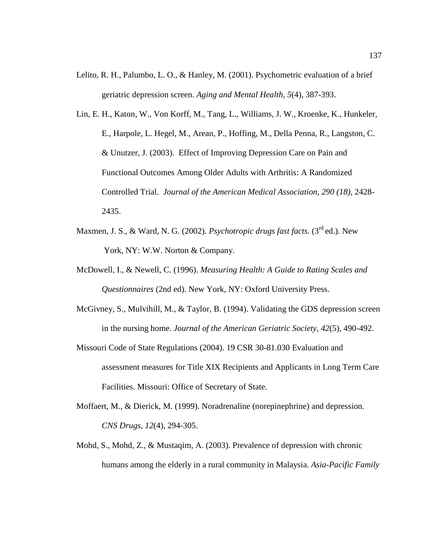- Lelito, R. H., Palumbo, L. O., & Hanley, M. (2001). Psychometric evaluation of a brief geriatric depression screen. *Aging and Mental Health, 5*(4), 387-393.
- Lin, E. H., Katon, W., Von Korff, M., Tang, L., Williams, J. W., Kroenke, K., Hunkeler, E., Harpole, L. Hegel, M., Arean, P., Hoffing, M., Della Penna, R., Langston, C. & Unutzer, J. (2003). Effect of Improving Depression Care on Pain and Functional Outcomes Among Older Adults with Arthritis: A Randomized Controlled Trial. *Journal of the American Medical Association, 290 (18),* 2428- 2435.
- Maxmen, J. S., & Ward, N. G. (2002). *Psychotropic drugs fast facts*. (3<sup>rd</sup> ed.). New York, NY: W.W. Norton & Company.
- McDowell, I., & Newell, C. (1996). *Measuring Health: A Guide to Rating Scales and Questionnaires* (2nd ed). New York, NY: Oxford University Press.
- McGivney, S., Mulvihill, M., & Taylor, B. (1994). Validating the GDS depression screen in the nursing home. *Journal of the American Geriatric Society, 42*(5), 490-492.
- Missouri Code of State Regulations (2004). 19 CSR 30-81.030 Evaluation and assessment measures for Title XIX Recipients and Applicants in Long Term Care Facilities. Missouri: Office of Secretary of State.
- Moffaert, M., & Dierick, M. (1999). Noradrenaline (norepinephrine) and depression. *CNS Drugs, 12*(4), 294-305.
- Mohd, S., Mohd, Z., & Mustaqim, A. (2003). Prevalence of depression with chronic humans among the elderly in a rural community in Malaysia. *Asia-Pacific Family*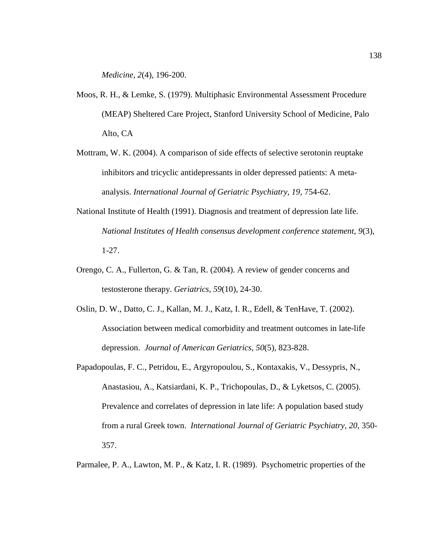*Medicine, 2*(4), 196-200.

- Moos, R. H., & Lemke, S. (1979). Multiphasic Environmental Assessment Procedure (MEAP) Sheltered Care Project, Stanford University School of Medicine, Palo Alto, CA
- Mottram, W. K. (2004). A comparison of side effects of selective serotonin reuptake inhibitors and tricyclic antidepressants in older depressed patients: A metaanalysis. *International Journal of Geriatric Psychiatry, 19*, 754-62.
- National Institute of Health (1991). Diagnosis and treatment of depression late life. *National Institutes of Health consensus development conference statement, 9*(3), 1-27.
- Orengo, C. A., Fullerton, G. & Tan, R. (2004). A review of gender concerns and testosterone therapy. *Geriatrics, 59*(10), 24-30.
- Oslin, D. W., Datto, C. J., Kallan, M. J., Katz, I. R., Edell, & TenHave, T. (2002). Association between medical comorbidity and treatment outcomes in late-life depression. *Journal of American Geriatrics, 50*(5), 823-828.
- Papadopoulas, F. C., Petridou, E., Argyropoulou, S., Kontaxakis, V., Dessypris, N., Anastasiou, A., Katsiardani, K. P., Trichopoulas, D., & Lyketsos, C. (2005). Prevalence and correlates of depression in late life: A population based study from a rural Greek town. *International Journal of Geriatric Psychiatry, 20*, 350- 357.
- Parmalee, P. A., Lawton, M. P., & Katz, I. R. (1989). Psychometric properties of the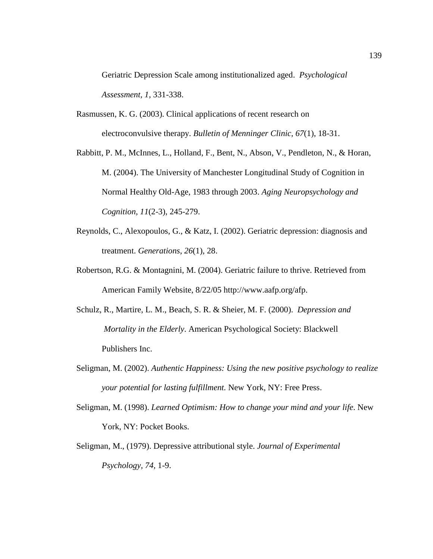Geriatric Depression Scale among institutionalized aged. *Psychological Assessment, 1,* 331-338.

- Rasmussen, K. G. (2003). Clinical applications of recent research on electroconvulsive therapy. *Bulletin of Menninger Clinic, 67*(1), 18-31.
- Rabbitt, P. M., McInnes, L., Holland, F., Bent, N., Abson, V., Pendleton, N., & Horan, M. (2004). The University of Manchester Longitudinal Study of Cognition in Normal Healthy Old-Age, 1983 through 2003. *Aging Neuropsychology and Cognition, 11*(2-3), 245-279.
- Reynolds, C., Alexopoulos, G., & Katz, I. (2002). Geriatric depression: diagnosis and treatment. *Generations*, *26*(1), 28.
- Robertson, R.G. & Montagnini, M. (2004). Geriatric failure to thrive. Retrieved from American Family Website, 8/22/05 [http://www.aafp.org/afp.](http://www.aafp.org/afp)
- Schulz, R., Martire, L. M., Beach, S. R. & Sheier, M. F. (2000). *Depression and Mortality in the Elderly*. American Psychological Society: Blackwell Publishers Inc.
- Seligman, M. (2002). *Authentic Happiness: Using the new positive psychology to realize your potential for lasting fulfillment.* New York, NY: Free Press.
- Seligman, M. (1998). *Learned Optimism: How to change your mind and your life*. New York, NY: Pocket Books.
- Seligman, M., (1979). Depressive attributional style. *Journal of Experimental Psychology, 74,* 1-9.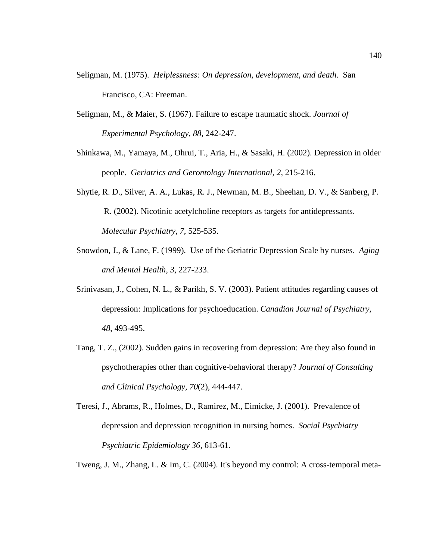- Seligman, M. (1975). *Helplessness: On depression, development, and death.* San Francisco, CA: Freeman.
- Seligman, M., & Maier, S. (1967). Failure to escape traumatic shock. *Journal of Experimental Psychology, 88*, 242-247.
- Shinkawa, M., Yamaya, M., Ohrui, T., Aria, H., & Sasaki, H. (2002). Depression in older people. *Geriatrics and Gerontology International, 2*, 215-216.
- Shytie, R. D., Silver, A. A., Lukas, R. J., Newman, M. B., Sheehan, D. V., & Sanberg, P. R. (2002). Nicotinic acetylcholine receptors as targets for antidepressants.  *Molecular Psychiatry, 7*, 525-535.
- Snowdon, J., & Lane, F. (1999). Use of the Geriatric Depression Scale by nurses. *Aging and Mental Health, 3*, 227-233.
- Srinivasan, J., Cohen, N. L., & Parikh, S. V. (2003). Patient attitudes regarding causes of depression: Implications for psychoeducation. *Canadian Journal of Psychiatry, 48*, 493-495.
- Tang, T. Z., (2002). Sudden gains in recovering from depression: Are they also found in psychotherapies other than cognitive-behavioral therapy? *Journal of Consulting and Clinical Psychology, 70*(2), 444-447.
- Teresi, J., Abrams, R., Holmes, D., Ramirez, M., Eimicke, J. (2001). Prevalence of depression and depression recognition in nursing homes. *Social Psychiatry Psychiatric Epidemiology 36,* 613-61.
- Tweng, J. M., Zhang, L. & Im, C. (2004). It's beyond my control: A cross-temporal meta-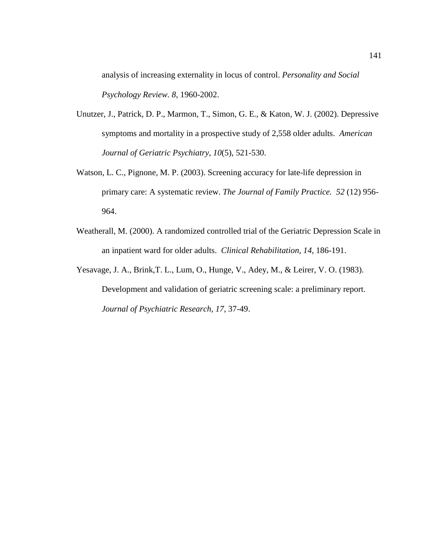analysis of increasing externality in locus of control. *Personality and Social Psychology Review. 8*, 1960-2002.

- Unutzer, J., Patrick, D. P., Marmon, T., Simon, G. E., & Katon, W. J. (2002). Depressive symptoms and mortality in a prospective study of 2,558 older adults. *American Journal of Geriatric Psychiatry, 10*(5), 521-530.
- Watson, L. C., Pignone, M. P. (2003). Screening accuracy for late-life depression in primary care: A systematic review. *The Journal of Family Practice. 52* (12) 956- 964.
- Weatherall, M. (2000). A randomized controlled trial of the Geriatric Depression Scale in an inpatient ward for older adults. *Clinical Rehabilitation, 14*, 186-191.
- Yesavage, J. A., Brink,T. L., Lum, O., Hunge, V., Adey, M., & Leirer, V. O. (1983). Development and validation of geriatric screening scale: a preliminary report. *Journal of Psychiatric Research, 17*, 37-49.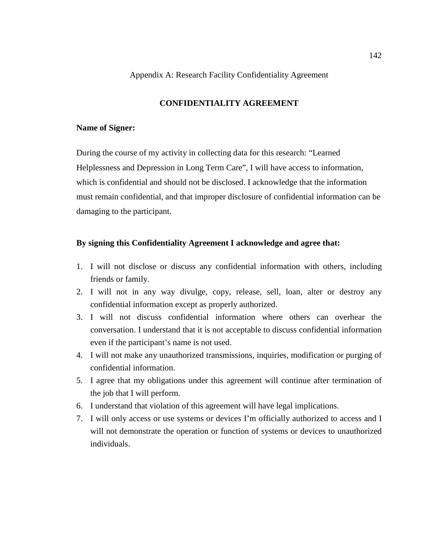#### Appendix A: Research Facility Confidentiality Agreement

# **CONFIDENTIALITY AGREEMENT**

#### **Name of Signer:**

During the course of my activity in collecting data for this research: "Learned Helplessness and Depression in Long Term Care", I will have access to information, which is confidential and should not be disclosed. I acknowledge that the information must remain confidential, and that improper disclosure of confidential information can be damaging to the participant.

### **By signing this Confidentiality Agreement I acknowledge and agree that:**

- 1. I will not disclose or discuss any confidential information with others, including friends or family.
- 2. I will not in any way divulge, copy, release, sell, loan, alter or destroy any confidential information except as properly authorized.
- 3. I will not discuss confidential information where others can overhear the conversation. I understand that it is not acceptable to discuss confidential information even if the participant's name is not used.
- 4. I will not make any unauthorized transmissions, inquiries, modification or purging of confidential information.
- 5. I agree that my obligations under this agreement will continue after termination of the job that I will perform.
- 6. I understand that violation of this agreement will have legal implications.
- 7. I will only access or use systems or devices I'm officially authorized to access and I will not demonstrate the operation or function of systems or devices to unauthorized individuals.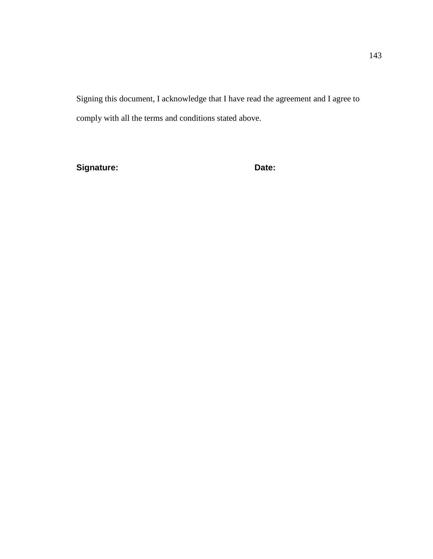Signing this document, I acknowledge that I have read the agreement and I agree to comply with all the terms and conditions stated above.

**Signature: Date:**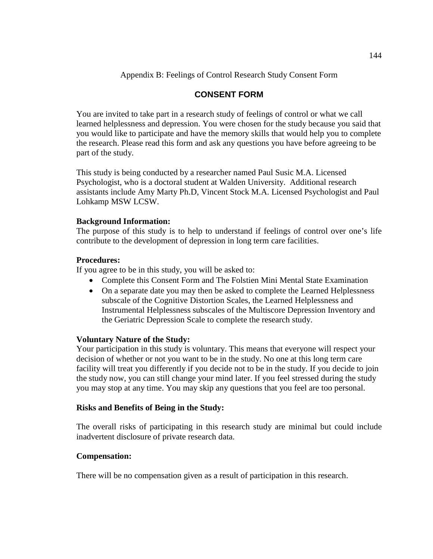# Appendix B: Feelings of Control Research Study Consent Form

# **CONSENT FORM**

You are invited to take part in a research study of feelings of control or what we call learned helplessness and depression. You were chosen for the study because you said that you would like to participate and have the memory skills that would help you to complete the research. Please read this form and ask any questions you have before agreeing to be part of the study.

This study is being conducted by a researcher named Paul Susic M.A. Licensed Psychologist, who is a doctoral student at Walden University. Additional research assistants include Amy Marty Ph.D, Vincent Stock M.A. Licensed Psychologist and Paul Lohkamp MSW LCSW.

# **Background Information:**

The purpose of this study is to help to understand if feelings of control over one's life contribute to the development of depression in long term care facilities.

### **Procedures:**

If you agree to be in this study, you will be asked to:

- Complete this Consent Form and The Folstien Mini Mental State Examination
- On a separate date you may then be asked to complete the Learned Helplessness subscale of the Cognitive Distortion Scales, the Learned Helplessness and Instrumental Helplessness subscales of the Multiscore Depression Inventory and the Geriatric Depression Scale to complete the research study.

# **Voluntary Nature of the Study:**

Your participation in this study is voluntary. This means that everyone will respect your decision of whether or not you want to be in the study. No one at this long term care facility will treat you differently if you decide not to be in the study. If you decide to join the study now, you can still change your mind later. If you feel stressed during the study you may stop at any time. You may skip any questions that you feel are too personal.

# **Risks and Benefits of Being in the Study:**

The overall risks of participating in this research study are minimal but could include inadvertent disclosure of private research data.

# **Compensation:**

There will be no compensation given as a result of participation in this research.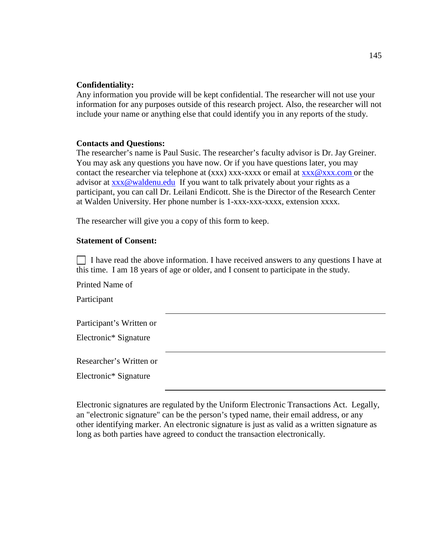### **Confidentiality:**

Any information you provide will be kept confidential. The researcher will not use your information for any purposes outside of this research project. Also, the researcher will not include your name or anything else that could identify you in any reports of the study.

### **Contacts and Questions:**

The researcher's name is Paul Susic. The researcher's faculty advisor is Dr. Jay Greiner. You may ask any questions you have now. Or if you have questions later, you may contact the researcher via telephone at  $(xxx)$  xxx-xxxx or email at  $xxx@xxx$ .com or the advisor at [xxx@waldenu.edu](mailto:xxx@waldenu.edu) If you want to talk privately about your rights as a participant, you can call Dr. Leilani Endicott. She is the Director of the Research Center at Walden University. Her phone number is 1-xxx-xxx-xxxx, extension xxxx.

The researcher will give you a copy of this form to keep.

### **Statement of Consent:**

 $\Box$  I have read the above information. I have received answers to any questions I have at this time. I am 18 years of age or older, and I consent to participate in the study.

Printed Name of Participant Participant's Written or Electronic\* Signature Researcher's Written or Electronic\* Signature

Electronic signatures are regulated by the Uniform Electronic Transactions Act. Legally, an "electronic signature" can be the person's typed name, their email address, or any other identifying marker. An electronic signature is just as valid as a written signature as long as both parties have agreed to conduct the transaction electronically.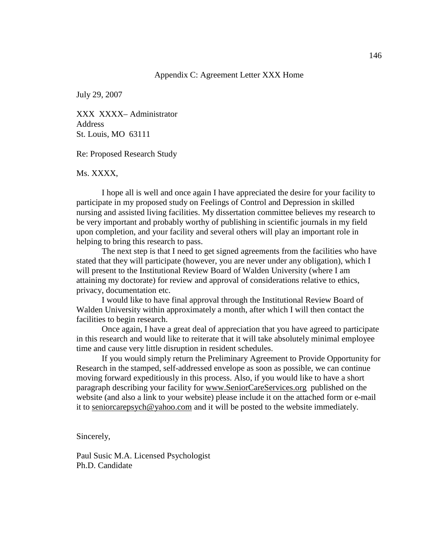#### Appendix C: Agreement Letter XXX Home

July 29, 2007

XXX XXXX– Administrator **Address** St. Louis, MO 63111

Re: Proposed Research Study

#### Ms. XXXX,

I hope all is well and once again I have appreciated the desire for your facility to participate in my proposed study on Feelings of Control and Depression in skilled nursing and assisted living facilities. My dissertation committee believes my research to be very important and probably worthy of publishing in scientific journals in my field upon completion, and your facility and several others will play an important role in helping to bring this research to pass.

The next step is that I need to get signed agreements from the facilities who have stated that they will participate (however, you are never under any obligation), which I will present to the Institutional Review Board of Walden University (where I am attaining my doctorate) for review and approval of considerations relative to ethics, privacy, documentation etc.

I would like to have final approval through the Institutional Review Board of Walden University within approximately a month, after which I will then contact the facilities to begin research.

Once again, I have a great deal of appreciation that you have agreed to participate in this research and would like to reiterate that it will take absolutely minimal employee time and cause very little disruption in resident schedules.

If you would simply return the Preliminary Agreement to Provide Opportunity for Research in the stamped, self-addressed envelope as soon as possible, we can continue moving forward expeditiously in this process. Also, if you would like to have a short paragraph describing your facility for www.SeniorCareServices.org published on the website (and also a link to your website) please include it on the attached form or e-mail it to seniorcarepsych@yahoo.com and it will be posted to the website immediately.

Sincerely,

Paul Susic M.A. Licensed Psychologist Ph.D. Candidate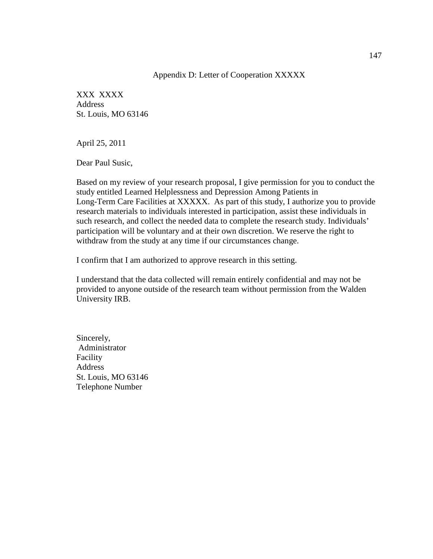#### Appendix D: Letter of Cooperation XXXXX

XXX XXXX Address St. Louis, MO 63146

April 25, 2011

Dear Paul Susic,

Based on my review of your research proposal, I give permission for you to conduct the study entitled Learned Helplessness and Depression Among Patients in Long-Term Care Facilities at XXXXX. As part of this study, I authorize you to provide research materials to individuals interested in participation, assist these individuals in such research, and collect the needed data to complete the research study. Individuals' participation will be voluntary and at their own discretion. We reserve the right to withdraw from the study at any time if our circumstances change.

I confirm that I am authorized to approve research in this setting.

I understand that the data collected will remain entirely confidential and may not be provided to anyone outside of the research team without permission from the Walden University IRB.

Sincerely, Administrator Facility **Address** St. Louis, MO 63146 Telephone Number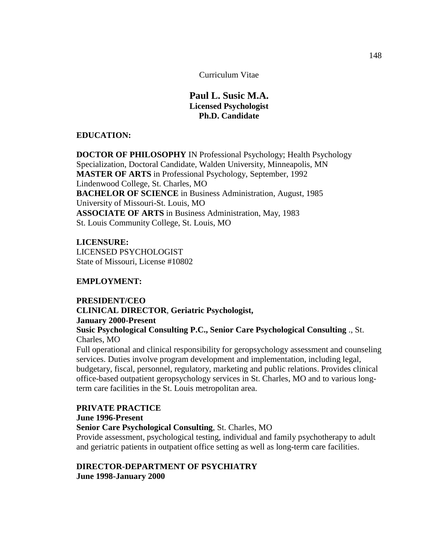Curriculum Vitae

# **Paul L. Susic M.A. Licensed Psychologist Ph.D. Candidate**

### **EDUCATION:**

**DOCTOR OF PHILOSOPHY** IN Professional Psychology; Health Psychology Specialization, Doctoral Candidate, Walden University, Minneapolis, MN **MASTER OF ARTS** in Professional Psychology, September, 1992 Lindenwood College, St. Charles, MO **BACHELOR OF SCIENCE** in Business Administration, August, 1985 University of Missouri-St. Louis, MO **ASSOCIATE OF ARTS** in Business Administration, May, 1983 St. Louis Community College, St. Louis, MO

**LICENSURE:** LICENSED PSYCHOLOGIST State of Missouri, License #10802

# **EMPLOYMENT:**

# **PRESIDENT/CEO CLINICAL DIRECTOR**, **Geriatric Psychologist, January 2000-Present Susic Psychological Consulting P.C., Senior Care Psychological Consulting** ., St. Charles, MO

Full operational and clinical responsibility for geropsychology assessment and counseling services. Duties involve program development and implementation, including legal, budgetary, fiscal, personnel, regulatory, marketing and public relations. Provides clinical office-based outpatient geropsychology services in St. Charles, MO and to various longterm care facilities in the St. Louis metropolitan area.

# **PRIVATE PRACTICE June 1996-Present Senior Care Psychological Consulting**, St. Charles, MO Provide assessment, psychological testing, individual and family psychotherapy to adult

and geriatric patients in outpatient office setting as well as long-term care facilities.

# **DIRECTOR-DEPARTMENT OF PSYCHIATRY June 1998-January 2000**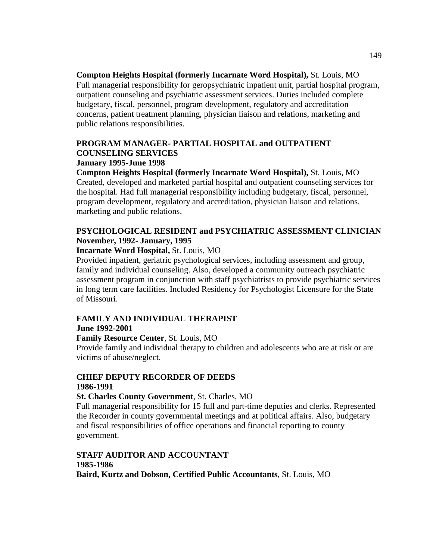**Compton Heights Hospital (formerly Incarnate Word Hospital),** St. Louis, MO Full managerial responsibility for geropsychiatric inpatient unit, partial hospital program, outpatient counseling and psychiatric assessment services. Duties included complete budgetary, fiscal, personnel, program development, regulatory and accreditation concerns, patient treatment planning, physician liaison and relations, marketing and public relations responsibilities.

# **PROGRAM MANAGER- PARTIAL HOSPITAL and OUTPATIENT COUNSELING SERVICES January 1995-June 1998**

**Compton Heights Hospital (formerly Incarnate Word Hospital),** St. Louis, MO Created, developed and marketed partial hospital and outpatient counseling services for the hospital. Had full managerial responsibility including budgetary, fiscal, personnel, program development, regulatory and accreditation, physician liaison and relations, marketing and public relations.

# **PSYCHOLOGICAL RESIDENT and PSYCHIATRIC ASSESSMENT CLINICIAN November, 1992- January, 1995**

### **Incarnate Word Hospital,** St. Louis, MO

Provided inpatient, geriatric psychological services, including assessment and group, family and individual counseling. Also, developed a community outreach psychiatric assessment program in conjunction with staff psychiatrists to provide psychiatric services in long term care facilities. Included Residency for Psychologist Licensure for the State of Missouri.

# **FAMILY AND INDIVIDUAL THERAPIST June 1992-2001**

# **Family Resource Center**, St. Louis, MO

Provide family and individual therapy to children and adolescents who are at risk or are victims of abuse/neglect.

# **CHIEF DEPUTY RECORDER OF DEEDS 1986-1991**

# **St. Charles County Government**, St. Charles, MO

Full managerial responsibility for 15 full and part-time deputies and clerks. Represented the Recorder in county governmental meetings and at political affairs. Also, budgetary and fiscal responsibilities of office operations and financial reporting to county government.

# **STAFF AUDITOR AND ACCOUNTANT 1985-1986 Baird, Kurtz and Dobson, Certified Public Accountants**, St. Louis, MO